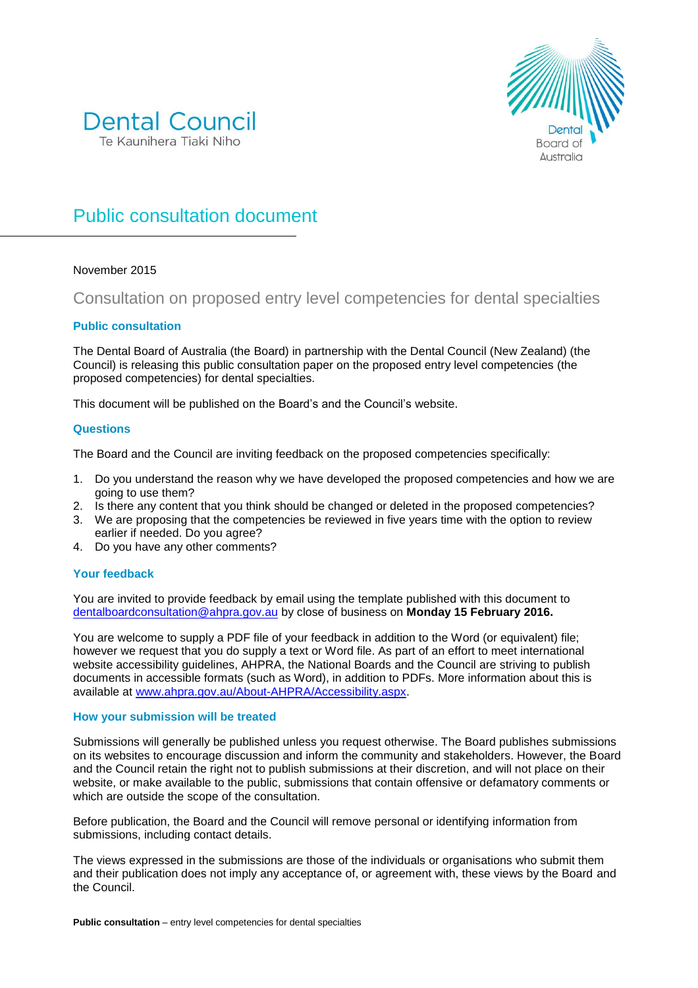



# Public consultation document

## November 2015

## Consultation on proposed entry level competencies for dental specialties

## **Public consultation**

The Dental Board of Australia (the Board) in partnership with the Dental Council (New Zealand) (the Council) is releasing this public consultation paper on the proposed entry level competencies (the proposed competencies) for dental specialties.

This document will be published on the Board's and the Council's website.

## **Questions**

The Board and the Council are inviting feedback on the proposed competencies specifically:

- 1. Do you understand the reason why we have developed the proposed competencies and how we are going to use them?
- 2. Is there any content that you think should be changed or deleted in the proposed competencies?
- 3. We are proposing that the competencies be reviewed in five years time with the option to review earlier if needed. Do you agree?
- 4. Do you have any other comments?

## **Your feedback**

You are invited to provide feedback by email using the template published with this document to [dentalboardconsultation@ahpra.gov.au](mailto:dentalboardconsultation@ahpra.gov.au) by close of business on **Monday 15 February 2016.**

You are welcome to supply a PDF file of your feedback in addition to the Word (or equivalent) file; however we request that you do supply a text or Word file. As part of an effort to meet international website accessibility guidelines, AHPRA, the National Boards and the Council are striving to publish documents in accessible formats (such as Word), in addition to PDFs. More information about this is available at [www.ahpra.gov.au/About-AHPRA/Accessibility.aspx.](http://www.ahpra.gov.au/About-AHPRA/Accessibility.aspx)

## **How your submission will be treated**

Submissions will generally be published unless you request otherwise. The Board publishes submissions on its websites to encourage discussion and inform the community and stakeholders. However, the Board and the Council retain the right not to publish submissions at their discretion, and will not place on their website, or make available to the public, submissions that contain offensive or defamatory comments or which are outside the scope of the consultation.

Before publication, the Board and the Council will remove personal or identifying information from submissions, including contact details.

The views expressed in the submissions are those of the individuals or organisations who submit them and their publication does not imply any acceptance of, or agreement with, these views by the Board and the Council.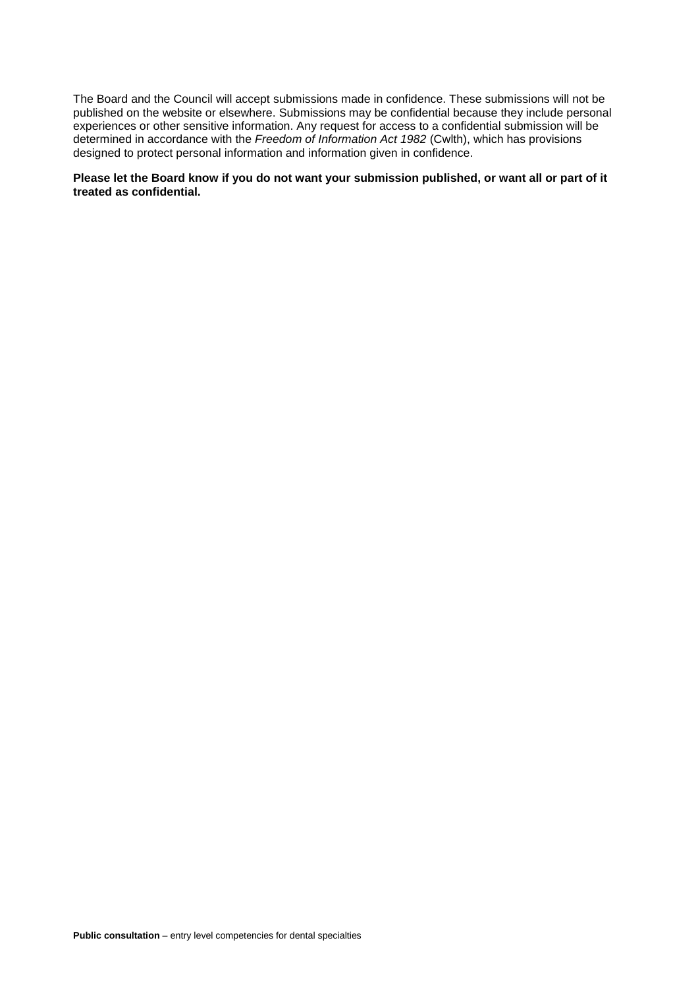The Board and the Council will accept submissions made in confidence. These submissions will not be published on the website or elsewhere. Submissions may be confidential because they include personal experiences or other sensitive information. Any request for access to a confidential submission will be determined in accordance with the *Freedom of Information Act 1982* (Cwlth), which has provisions designed to protect personal information and information given in confidence.

## **Please let the Board know if you do not want your submission published, or want all or part of it treated as confidential.**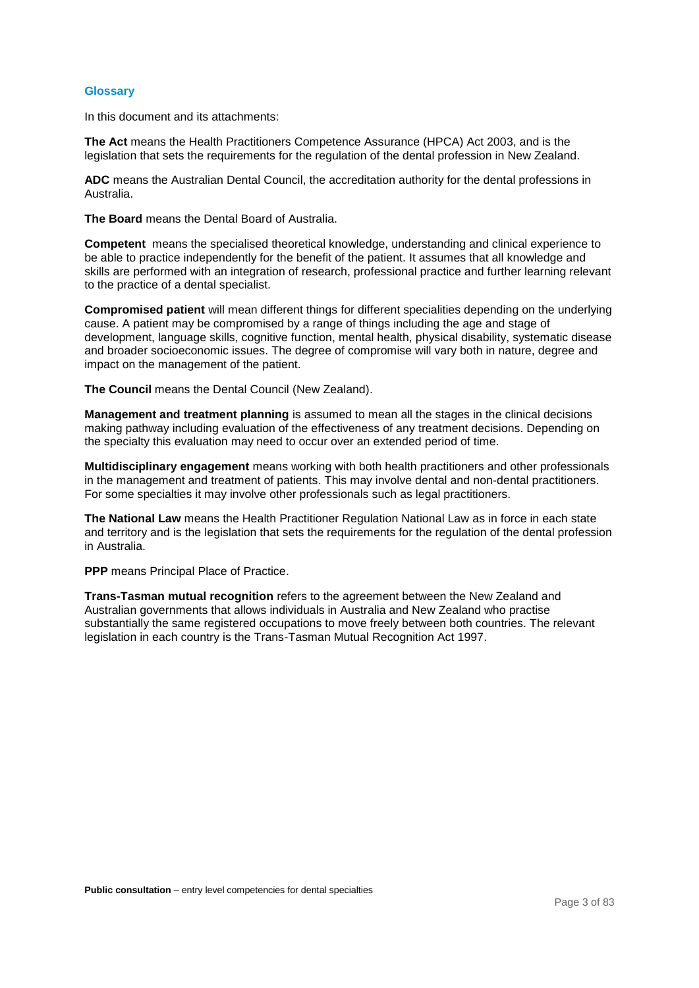#### **Glossary**

In this document and its attachments:

**The Act** means the Health Practitioners Competence Assurance (HPCA) Act 2003, and is the legislation that sets the requirements for the regulation of the dental profession in New Zealand.

**ADC** means the Australian Dental Council, the accreditation authority for the dental professions in Australia.

**The Board** means the Dental Board of Australia.

**Competent** means the specialised theoretical knowledge, understanding and clinical experience to be able to practice independently for the benefit of the patient. It assumes that all knowledge and skills are performed with an integration of research, professional practice and further learning relevant to the practice of a dental specialist.

**Compromised patient** will mean different things for different specialities depending on the underlying cause. A patient may be compromised by a range of things including the age and stage of development, language skills, cognitive function, mental health, physical disability, systematic disease and broader socioeconomic issues. The degree of compromise will vary both in nature, degree and impact on the management of the patient.

**The Council** means the Dental Council (New Zealand).

**Management and treatment planning** is assumed to mean all the stages in the clinical decisions making pathway including evaluation of the effectiveness of any treatment decisions. Depending on the specialty this evaluation may need to occur over an extended period of time.

**Multidisciplinary engagement** means working with both health practitioners and other professionals in the management and treatment of patients. This may involve dental and non-dental practitioners. For some specialties it may involve other professionals such as legal practitioners.

**The National Law** means the Health Practitioner Regulation National Law as in force in each state and territory and is the legislation that sets the requirements for the regulation of the dental profession in Australia.

**PPP** means Principal Place of Practice.

**Trans-Tasman mutual recognition** refers to the agreement between the New Zealand and Australian governments that allows individuals in Australia and New Zealand who practise substantially the same registered occupations to move freely between both countries. The relevant legislation in each country is the Trans-Tasman Mutual Recognition Act 1997.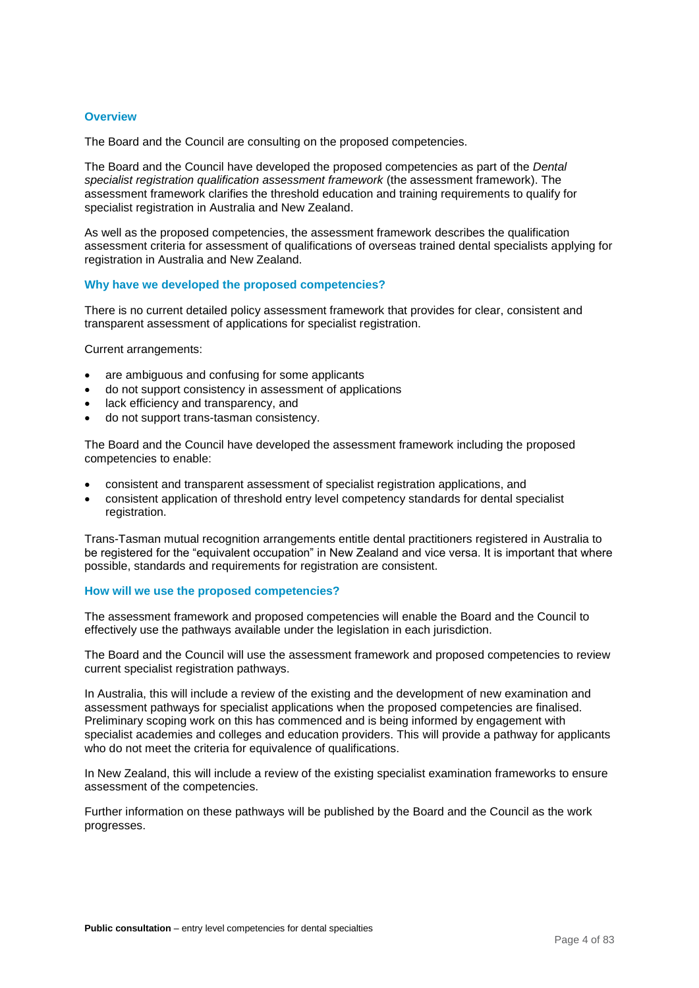## **Overview**

The Board and the Council are consulting on the proposed competencies.

The Board and the Council have developed the proposed competencies as part of the *Dental specialist registration qualification assessment framework* (the assessment framework). The assessment framework clarifies the threshold education and training requirements to qualify for specialist registration in Australia and New Zealand.

As well as the proposed competencies, the assessment framework describes the qualification assessment criteria for assessment of qualifications of overseas trained dental specialists applying for registration in Australia and New Zealand.

#### **Why have we developed the proposed competencies?**

There is no current detailed policy assessment framework that provides for clear, consistent and transparent assessment of applications for specialist registration.

Current arrangements:

- are ambiguous and confusing for some applicants
- do not support consistency in assessment of applications
- lack efficiency and transparency, and
- do not support trans-tasman consistency.

The Board and the Council have developed the assessment framework including the proposed competencies to enable:

- consistent and transparent assessment of specialist registration applications, and
- consistent application of threshold entry level competency standards for dental specialist registration.

Trans-Tasman mutual recognition arrangements entitle dental practitioners registered in Australia to be registered for the "equivalent occupation" in New Zealand and vice versa. It is important that where possible, standards and requirements for registration are consistent.

## **How will we use the proposed competencies?**

The assessment framework and proposed competencies will enable the Board and the Council to effectively use the pathways available under the legislation in each jurisdiction.

The Board and the Council will use the assessment framework and proposed competencies to review current specialist registration pathways.

In Australia, this will include a review of the existing and the development of new examination and assessment pathways for specialist applications when the proposed competencies are finalised. Preliminary scoping work on this has commenced and is being informed by engagement with specialist academies and colleges and education providers. This will provide a pathway for applicants who do not meet the criteria for equivalence of qualifications.

In New Zealand, this will include a review of the existing specialist examination frameworks to ensure assessment of the competencies.

Further information on these pathways will be published by the Board and the Council as the work progresses.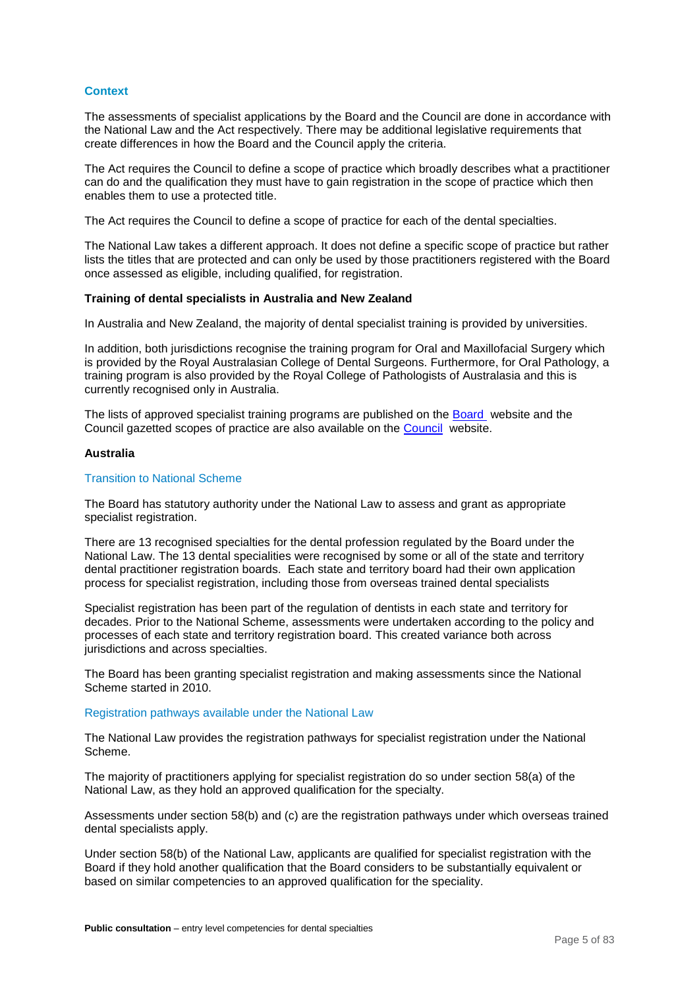## **Context**

The assessments of specialist applications by the Board and the Council are done in accordance with the National Law and the Act respectively. There may be additional legislative requirements that create differences in how the Board and the Council apply the criteria.

The Act requires the Council to define a scope of practice which broadly describes what a practitioner can do and the qualification they must have to gain registration in the scope of practice which then enables them to use a protected title.

The Act requires the Council to define a scope of practice for each of the dental specialties.

The National Law takes a different approach. It does not define a specific scope of practice but rather lists the titles that are protected and can only be used by those practitioners registered with the Board once assessed as eligible, including qualified, for registration.

#### **Training of dental specialists in Australia and New Zealand**

In Australia and New Zealand, the majority of dental specialist training is provided by universities.

In addition, both jurisdictions recognise the training program for Oral and Maxillofacial Surgery which is provided by the Royal Australasian College of Dental Surgeons. Furthermore, for Oral Pathology, a training program is also provided by the Royal College of Pathologists of Australasia and this is currently recognised only in Australia.

The lists of approved specialist training programs are published on the [Board](http://www.dentalboard.gov.au/Accreditation.aspx) website and the Council gazetted scopes of practice are also available on the [Council](http://www.dcnz.org.nz/) website.

#### **Australia**

#### Transition to National Scheme

The Board has statutory authority under the National Law to assess and grant as appropriate specialist registration.

There are 13 recognised specialties for the dental profession regulated by the Board under the National Law. The 13 dental specialities were recognised by some or all of the state and territory dental practitioner registration boards. Each state and territory board had their own application process for specialist registration, including those from overseas trained dental specialists

Specialist registration has been part of the regulation of dentists in each state and territory for decades. Prior to the National Scheme, assessments were undertaken according to the policy and processes of each state and territory registration board. This created variance both across jurisdictions and across specialties.

The Board has been granting specialist registration and making assessments since the National Scheme started in 2010.

#### Registration pathways available under the National Law

The National Law provides the registration pathways for specialist registration under the National Scheme.

The majority of practitioners applying for specialist registration do so under section 58(a) of the National Law, as they hold an approved qualification for the specialty.

Assessments under section 58(b) and (c) are the registration pathways under which overseas trained dental specialists apply.

Under section 58(b) of the National Law, applicants are qualified for specialist registration with the Board if they hold another qualification that the Board considers to be substantially equivalent or based on similar competencies to an approved qualification for the speciality.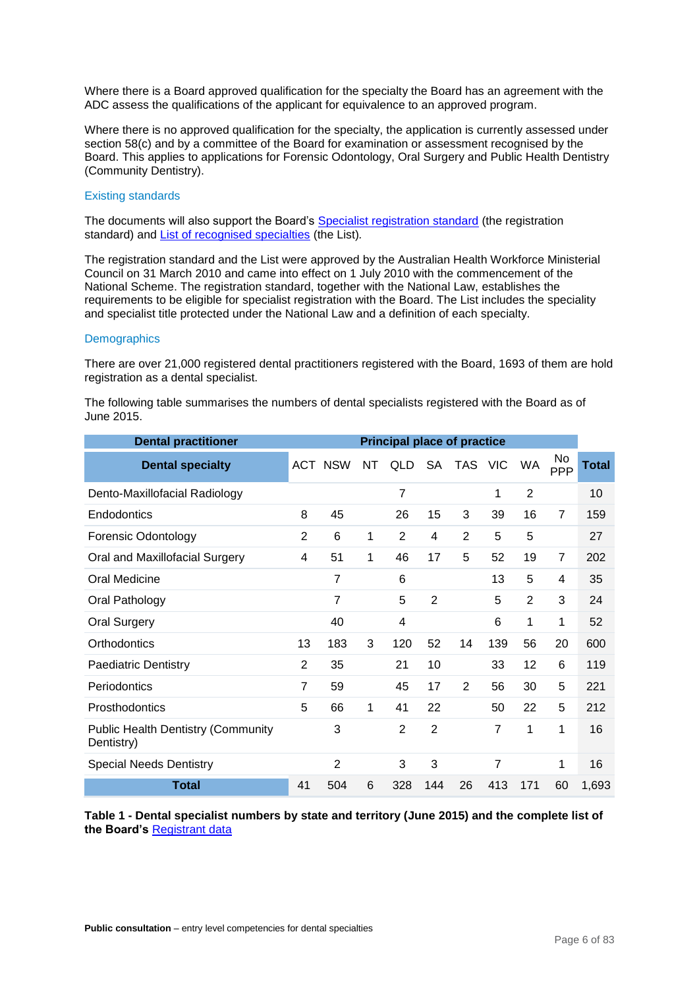Where there is a Board approved qualification for the specialty the Board has an agreement with the ADC assess the qualifications of the applicant for equivalence to an approved program.

Where there is no approved qualification for the specialty, the application is currently assessed under section 58(c) and by a committee of the Board for examination or assessment recognised by the Board. This applies to applications for Forensic Odontology, Oral Surgery and Public Health Dentistry (Community Dentistry).

#### Existing standards

The documents will also support the Board's [Specialist registration standard](http://www.dentalboard.gov.au/Registration-Standards.aspx) (the registration standard) and [List of recognised specialties](http://www.dentalboard.gov.au/Registration-Standards.aspx) (the List)*.*

The registration standard and the List were approved by the Australian Health Workforce Ministerial Council on 31 March 2010 and came into effect on 1 July 2010 with the commencement of the National Scheme. The registration standard, together with the National Law, establishes the requirements to be eligible for specialist registration with the Board. The List includes the speciality and specialist title protected under the National Law and a definition of each specialty.

#### **Demographics**

There are over 21,000 registered dental practitioners registered with the Board, 1693 of them are hold registration as a dental specialist.

| <b>Dental practitioner</b>                              |                |                |    | <b>Principal place of practice</b> |                |                |     |                |                |       |
|---------------------------------------------------------|----------------|----------------|----|------------------------------------|----------------|----------------|-----|----------------|----------------|-------|
| <b>Dental specialty</b>                                 |                | ACT NSW        | NT | <b>QLD</b>                         |                | SA TAS VIC     |     | <b>WA</b>      | No<br>PPP      | Total |
| Dento-Maxillofacial Radiology                           |                |                |    | $\overline{7}$                     |                |                | 1   | 2              |                | 10    |
| Endodontics                                             | 8              | 45             |    | 26                                 | 15             | 3              | 39  | 16             | $\overline{7}$ | 159   |
| <b>Forensic Odontology</b>                              | $\overline{2}$ | 6              | 1  | 2                                  | 4              | $\overline{2}$ | 5   | 5              |                | 27    |
| Oral and Maxillofacial Surgery                          | 4              | 51             | 1  | 46                                 | 17             | 5              | 52  | 19             | $\overline{7}$ | 202   |
| Oral Medicine                                           |                | $\overline{7}$ |    | 6                                  |                |                | 13  | 5              | 4              | 35    |
| Oral Pathology                                          |                | 7              |    | 5                                  | $\overline{2}$ |                | 5   | $\overline{2}$ | 3              | 24    |
| <b>Oral Surgery</b>                                     |                | 40             |    | 4                                  |                |                | 6   | 1              | 1              | 52    |
| Orthodontics                                            | 13             | 183            | 3  | 120                                | 52             | 14             | 139 | 56             | 20             | 600   |
| <b>Paediatric Dentistry</b>                             | 2              | 35             |    | 21                                 | 10             |                | 33  | 12             | 6              | 119   |
| Periodontics                                            | 7              | 59             |    | 45                                 | 17             | 2              | 56  | 30             | 5              | 221   |
| Prosthodontics                                          | 5              | 66             | 1  | 41                                 | 22             |                | 50  | 22             | 5              | 212   |
| <b>Public Health Dentistry (Community</b><br>Dentistry) |                | 3              |    | 2                                  | $\overline{2}$ |                | 7   | 1              | 1              | 16    |
| <b>Special Needs Dentistry</b>                          |                | $\overline{2}$ |    | 3                                  | 3              |                | 7   |                | 1              | 16    |
| <b>Total</b>                                            | 41             | 504            | 6  | 328                                | 144            | 26             | 413 | 171            | 60             | 1,693 |

The following table summarises the numbers of dental specialists registered with the Board as of June 2015.

**Table 1 - Dental specialist numbers by state and territory (June 2015) and the complete list of the Board's** [Registrant data](http://www.dentalboard.gov.au/About-the-Board/Statistics.aspx)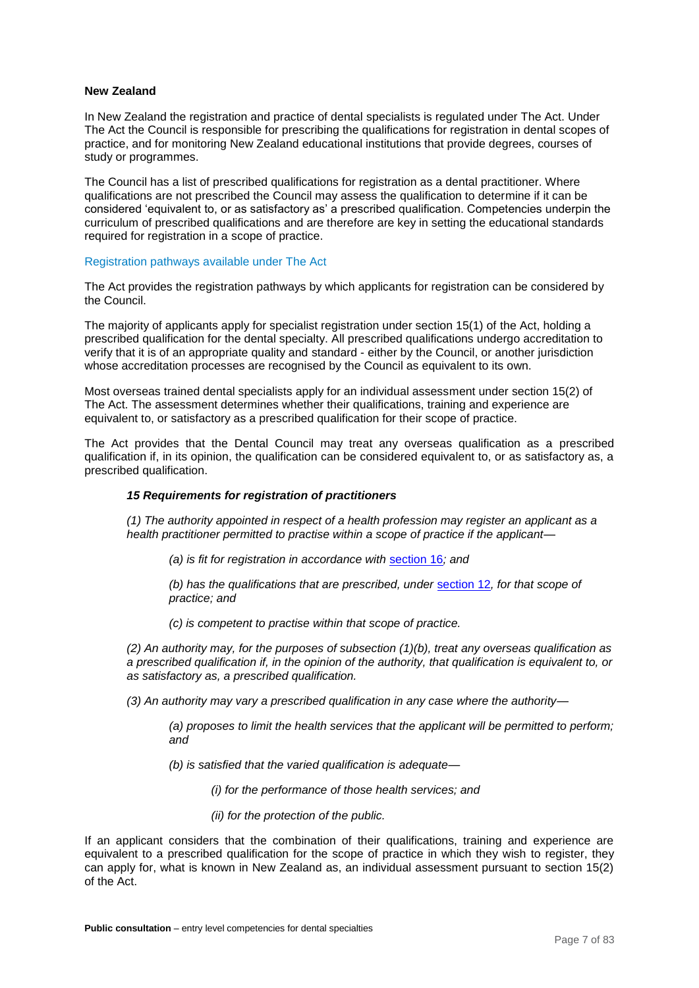## **New Zealand**

In New Zealand the registration and practice of dental specialists is regulated under The Act. Under The Act the Council is responsible for prescribing the qualifications for registration in dental scopes of practice, and for monitoring New Zealand educational institutions that provide degrees, courses of study or programmes.

The Council has a list of prescribed qualifications for registration as a dental practitioner. Where qualifications are not prescribed the Council may assess the qualification to determine if it can be considered 'equivalent to, or as satisfactory as' a prescribed qualification. Competencies underpin the curriculum of prescribed qualifications and are therefore are key in setting the educational standards required for registration in a scope of practice.

## Registration pathways available under The Act

The Act provides the registration pathways by which applicants for registration can be considered by the Council.

The majority of applicants apply for specialist registration under section 15(1) of the Act, holding a prescribed qualification for the dental specialty. All prescribed qualifications undergo accreditation to verify that it is of an appropriate quality and standard - either by the Council, or another jurisdiction whose accreditation processes are recognised by the Council as equivalent to its own.

Most overseas trained dental specialists apply for an individual assessment under section 15(2) of The Act. The assessment determines whether their qualifications, training and experience are equivalent to, or satisfactory as a prescribed qualification for their scope of practice.

The Act provides that the Dental Council may treat any overseas qualification as a prescribed qualification if, in its opinion, the qualification can be considered equivalent to, or as satisfactory as, a prescribed qualification.

## *15 Requirements for registration of practitioners*

*(1) The authority appointed in respect of a health profession may register an applicant as a health practitioner permitted to practise within a scope of practice if the applicant—*

*(a) is fit for registration in accordance with* [section 16](http://www.legislation.govt.nz/act/public/2003/0048/latest/link.aspx?search=sw_096be8ed8100092a_15_25_se&p=1&id=DLM203392#DLM203392)*; and*

*(b) has the qualifications that are prescribed, under* [section 12](http://www.legislation.govt.nz/act/public/2003/0048/latest/link.aspx?search=sw_096be8ed8100092a_15_25_se&p=1&id=DLM203387#DLM203387)*, for that scope of practice; and*

*(c) is competent to practise within that scope of practice.*

*(2) An authority may, for the purposes of subsection (1)(b), treat any overseas qualification as a prescribed qualification if, in the opinion of the authority, that qualification is equivalent to, or as satisfactory as, a prescribed qualification.*

*(3) An authority may vary a prescribed qualification in any case where the authority—*

*(a) proposes to limit the health services that the applicant will be permitted to perform; and*

*(b) is satisfied that the varied qualification is adequate—*

*(i) for the performance of those health services; and*

*(ii) for the protection of the public.*

If an applicant considers that the combination of their qualifications, training and experience are equivalent to a prescribed qualification for the scope of practice in which they wish to register, they can apply for, what is known in New Zealand as, an individual assessment pursuant to section 15(2) of the Act.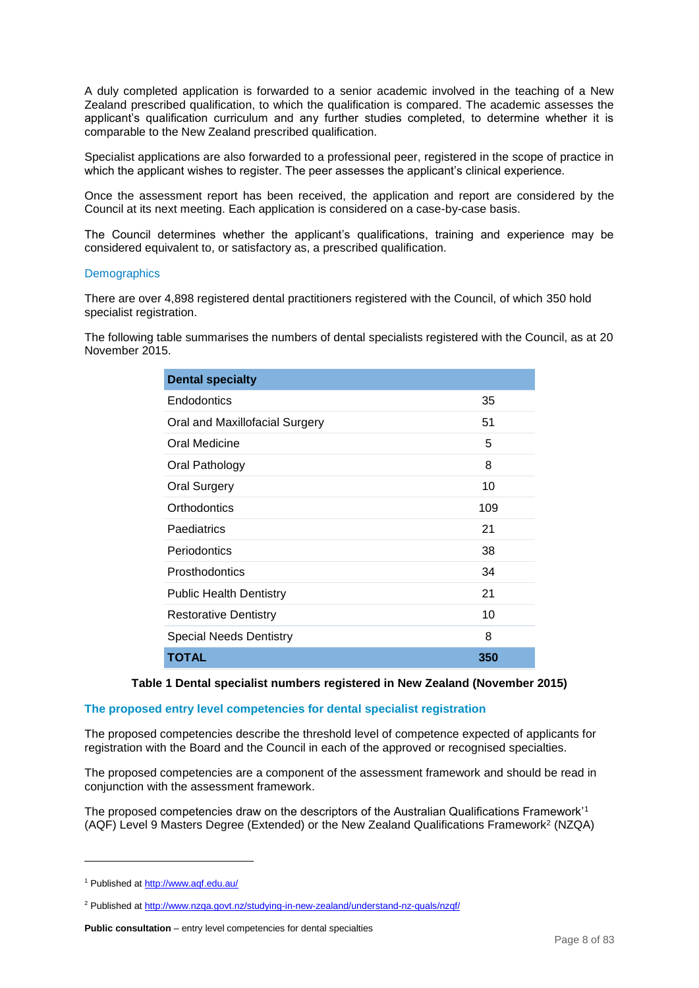A duly completed application is forwarded to a senior academic involved in the teaching of a New Zealand prescribed qualification, to which the qualification is compared. The academic assesses the applicant's qualification curriculum and any further studies completed, to determine whether it is comparable to the New Zealand prescribed qualification.

Specialist applications are also forwarded to a professional peer, registered in the scope of practice in which the applicant wishes to register. The peer assesses the applicant's clinical experience.

Once the assessment report has been received, the application and report are considered by the Council at its next meeting. Each application is considered on a case-by-case basis.

The Council determines whether the applicant's qualifications, training and experience may be considered equivalent to, or satisfactory as, a prescribed qualification.

#### **Demographics**

There are over 4,898 registered dental practitioners registered with the Council, of which 350 hold specialist registration.

The following table summarises the numbers of dental specialists registered with the Council, as at 20 November 2015.

| <b>Dental specialty</b>        |     |
|--------------------------------|-----|
| Endodontics                    | 35  |
| Oral and Maxillofacial Surgery | 51  |
| Oral Medicine                  | 5   |
| Oral Pathology                 | 8   |
| <b>Oral Surgery</b>            | 10  |
| Orthodontics                   | 109 |
| Paediatrics                    | 21  |
| Periodontics                   | 38  |
| Prosthodontics                 | 34  |
| <b>Public Health Dentistry</b> | 21  |
| <b>Restorative Dentistry</b>   | 10  |
| <b>Special Needs Dentistry</b> | 8   |
| <b>TOTAL</b>                   | 350 |

## **Table 1 Dental specialist numbers registered in New Zealand (November 2015)**

## **The proposed entry level competencies for dental specialist registration**

The proposed competencies describe the threshold level of competence expected of applicants for registration with the Board and the Council in each of the approved or recognised specialties.

The proposed competencies are a component of the assessment framework and should be read in conjunction with the assessment framework.

The proposed competencies draw on the descriptors of the Australian Qualifications Framework'<sup>1</sup> (AQF) Level 9 Masters Degree (Extended) or the New Zealand Qualifications Framework<sup>2</sup> (NZQA)

-

<sup>1</sup> Published a[t http://www.aqf.edu.au/](http://www.aqf.edu.au/)

<sup>&</sup>lt;sup>2</sup> Published a[t http://www.nzqa.govt.nz/studying-in-new-zealand/understand-nz-quals/nzqf/](http://www.nzqa.govt.nz/studying-in-new-zealand/understand-nz-quals/nzqf/)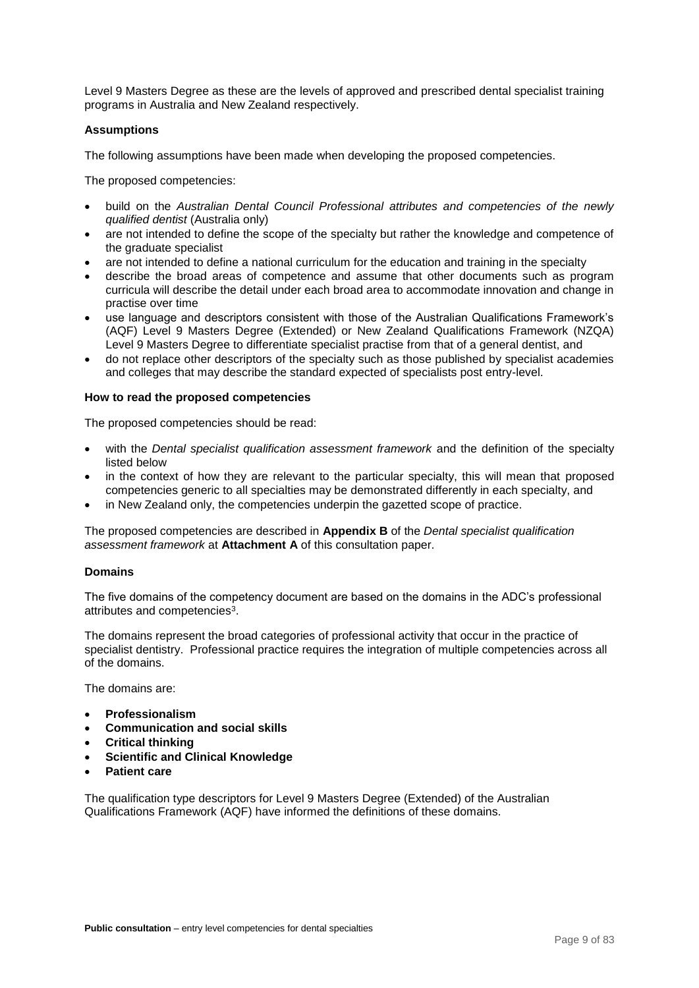Level 9 Masters Degree as these are the levels of approved and prescribed dental specialist training programs in Australia and New Zealand respectively.

## **Assumptions**

The following assumptions have been made when developing the proposed competencies.

The proposed competencies:

- build on the *Australian Dental Council Professional attributes and competencies of the newly qualified dentist* (Australia only)
- are not intended to define the scope of the specialty but rather the knowledge and competence of the graduate specialist
- are not intended to define a national curriculum for the education and training in the specialty
- describe the broad areas of competence and assume that other documents such as program curricula will describe the detail under each broad area to accommodate innovation and change in practise over time
- use language and descriptors consistent with those of the Australian Qualifications Framework's (AQF) Level 9 Masters Degree (Extended) or New Zealand Qualifications Framework (NZQA) Level 9 Masters Degree to differentiate specialist practise from that of a general dentist, and
- do not replace other descriptors of the specialty such as those published by specialist academies and colleges that may describe the standard expected of specialists post entry-level.

## **How to read the proposed competencies**

The proposed competencies should be read:

- with the *Dental specialist qualification assessment framework* and the definition of the specialty listed below
- in the context of how they are relevant to the particular specialty, this will mean that proposed competencies generic to all specialties may be demonstrated differently in each specialty, and
- in New Zealand only, the competencies underpin the gazetted scope of practice.

The proposed competencies are described in **Appendix B** of the *Dental specialist qualification assessment framework* at **Attachment A** of this consultation paper.

## **Domains**

The five domains of the competency document are based on the domains in the ADC's professional attributes and competencies<sup>3</sup>.

The domains represent the broad categories of professional activity that occur in the practice of specialist dentistry. Professional practice requires the integration of multiple competencies across all of the domains.

The domains are:

- **Professionalism**
- **Communication and social skills**
- **Critical thinking**
- **Scientific and Clinical Knowledge**
- **Patient care**

The qualification type descriptors for Level 9 Masters Degree (Extended) of the Australian Qualifications Framework (AQF) have informed the definitions of these domains.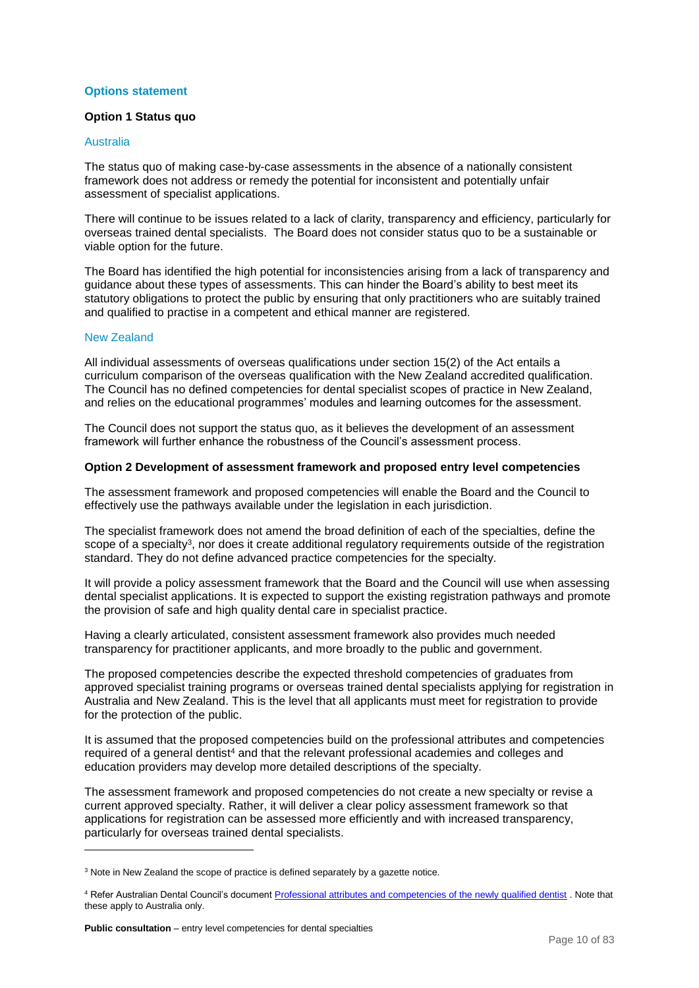## **Options statement**

## **Option 1 Status quo**

## Australia

The status quo of making case-by-case assessments in the absence of a nationally consistent framework does not address or remedy the potential for inconsistent and potentially unfair assessment of specialist applications.

There will continue to be issues related to a lack of clarity, transparency and efficiency, particularly for overseas trained dental specialists. The Board does not consider status quo to be a sustainable or viable option for the future.

The Board has identified the high potential for inconsistencies arising from a lack of transparency and guidance about these types of assessments. This can hinder the Board's ability to best meet its statutory obligations to protect the public by ensuring that only practitioners who are suitably trained and qualified to practise in a competent and ethical manner are registered.

## New Zealand

-

All individual assessments of overseas qualifications under section 15(2) of the Act entails a curriculum comparison of the overseas qualification with the New Zealand accredited qualification. The Council has no defined competencies for dental specialist scopes of practice in New Zealand, and relies on the educational programmes' modules and learning outcomes for the assessment.

The Council does not support the status quo, as it believes the development of an assessment framework will further enhance the robustness of the Council's assessment process.

## **Option 2 Development of assessment framework and proposed entry level competencies**

The assessment framework and proposed competencies will enable the Board and the Council to effectively use the pathways available under the legislation in each jurisdiction.

The specialist framework does not amend the broad definition of each of the specialties, define the scope of a specialty<sup>3</sup>, nor does it create additional regulatory requirements outside of the registration standard. They do not define advanced practice competencies for the specialty.

It will provide a policy assessment framework that the Board and the Council will use when assessing dental specialist applications. It is expected to support the existing registration pathways and promote the provision of safe and high quality dental care in specialist practice.

Having a clearly articulated, consistent assessment framework also provides much needed transparency for practitioner applicants, and more broadly to the public and government.

The proposed competencies describe the expected threshold competencies of graduates from approved specialist training programs or overseas trained dental specialists applying for registration in Australia and New Zealand. This is the level that all applicants must meet for registration to provide for the protection of the public.

It is assumed that the proposed competencies build on the professional attributes and competencies required of a general dentist<sup>4</sup> and that the relevant professional academies and colleges and education providers may develop more detailed descriptions of the specialty.

The assessment framework and proposed competencies do not create a new specialty or revise a current approved specialty. Rather, it will deliver a clear policy assessment framework so that applications for registration can be assessed more efficiently and with increased transparency, particularly for overseas trained dental specialists.

<sup>&</sup>lt;sup>3</sup> Note in New Zealand the scope of practice is defined separately by a gazette notice.

<sup>4</sup> Refer Australian Dental Council's document [Professional attributes and competencies of the newly qualified dentist](http://www.adc.org.au/documents/Attributes&Competencies_Dentist%20v1.0%20Final%2010-06-11%20Updated%20July%202013.pdf) . Note that these apply to Australia only.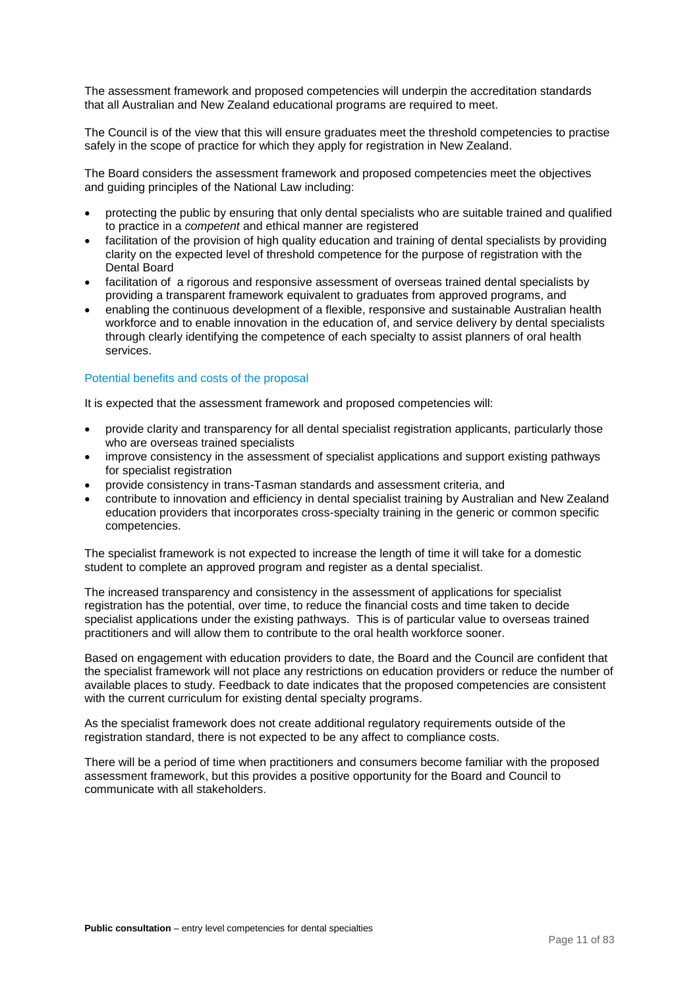The assessment framework and proposed competencies will underpin the accreditation standards that all Australian and New Zealand educational programs are required to meet.

The Council is of the view that this will ensure graduates meet the threshold competencies to practise safely in the scope of practice for which they apply for registration in New Zealand.

The Board considers the assessment framework and proposed competencies meet the objectives and guiding principles of the National Law including:

- protecting the public by ensuring that only dental specialists who are suitable trained and qualified to practice in a *competent* and ethical manner are registered
- facilitation of the provision of high quality education and training of dental specialists by providing clarity on the expected level of threshold competence for the purpose of registration with the Dental Board
- facilitation of a rigorous and responsive assessment of overseas trained dental specialists by providing a transparent framework equivalent to graduates from approved programs, and
- enabling the continuous development of a flexible, responsive and sustainable Australian health workforce and to enable innovation in the education of, and service delivery by dental specialists through clearly identifying the competence of each specialty to assist planners of oral health services.

## Potential benefits and costs of the proposal

It is expected that the assessment framework and proposed competencies will:

- provide clarity and transparency for all dental specialist registration applicants, particularly those who are overseas trained specialists
- improve consistency in the assessment of specialist applications and support existing pathways for specialist registration
- provide consistency in trans-Tasman standards and assessment criteria, and
- contribute to innovation and efficiency in dental specialist training by Australian and New Zealand education providers that incorporates cross-specialty training in the generic or common specific competencies.

The specialist framework is not expected to increase the length of time it will take for a domestic student to complete an approved program and register as a dental specialist.

The increased transparency and consistency in the assessment of applications for specialist registration has the potential, over time, to reduce the financial costs and time taken to decide specialist applications under the existing pathways. This is of particular value to overseas trained practitioners and will allow them to contribute to the oral health workforce sooner.

Based on engagement with education providers to date, the Board and the Council are confident that the specialist framework will not place any restrictions on education providers or reduce the number of available places to study. Feedback to date indicates that the proposed competencies are consistent with the current curriculum for existing dental specialty programs.

As the specialist framework does not create additional regulatory requirements outside of the registration standard, there is not expected to be any affect to compliance costs.

There will be a period of time when practitioners and consumers become familiar with the proposed assessment framework, but this provides a positive opportunity for the Board and Council to communicate with all stakeholders.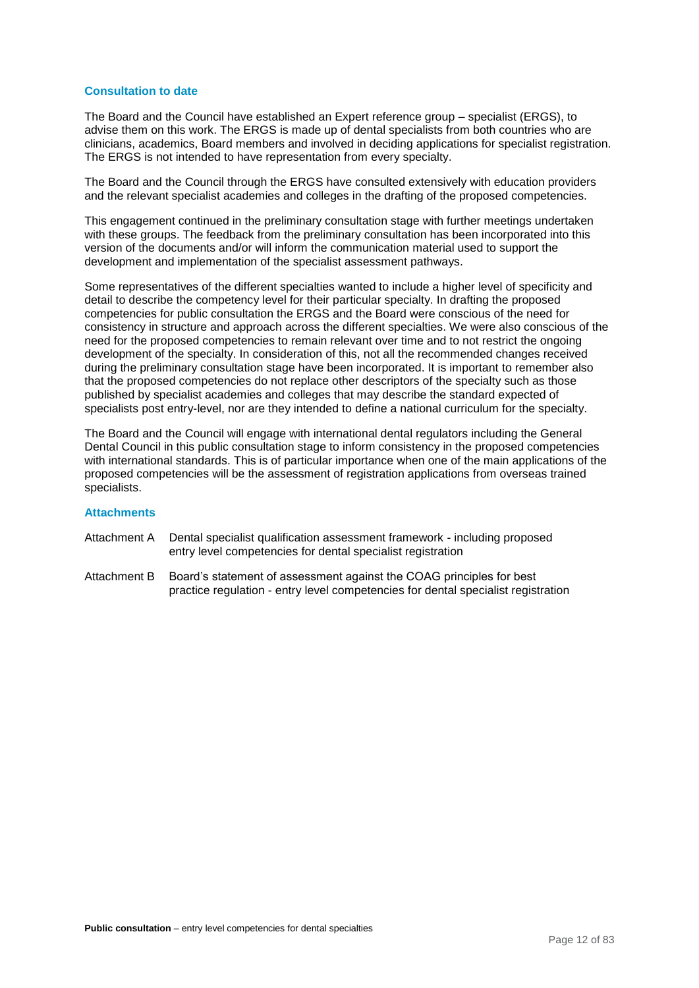## **Consultation to date**

The Board and the Council have established an Expert reference group – specialist (ERGS), to advise them on this work. The ERGS is made up of dental specialists from both countries who are clinicians, academics, Board members and involved in deciding applications for specialist registration. The ERGS is not intended to have representation from every specialty.

The Board and the Council through the ERGS have consulted extensively with education providers and the relevant specialist academies and colleges in the drafting of the proposed competencies.

This engagement continued in the preliminary consultation stage with further meetings undertaken with these groups. The feedback from the preliminary consultation has been incorporated into this version of the documents and/or will inform the communication material used to support the development and implementation of the specialist assessment pathways.

Some representatives of the different specialties wanted to include a higher level of specificity and detail to describe the competency level for their particular specialty. In drafting the proposed competencies for public consultation the ERGS and the Board were conscious of the need for consistency in structure and approach across the different specialties. We were also conscious of the need for the proposed competencies to remain relevant over time and to not restrict the ongoing development of the specialty. In consideration of this, not all the recommended changes received during the preliminary consultation stage have been incorporated. It is important to remember also that the proposed competencies do not replace other descriptors of the specialty such as those published by specialist academies and colleges that may describe the standard expected of specialists post entry-level, nor are they intended to define a national curriculum for the specialty.

The Board and the Council will engage with international dental regulators including the General Dental Council in this public consultation stage to inform consistency in the proposed competencies with international standards. This is of particular importance when one of the main applications of the proposed competencies will be the assessment of registration applications from overseas trained specialists.

## **Attachments**

- Attachment A Dental specialist qualification assessment framework including proposed entry level competencies for dental specialist registration
- Attachment B Board's statement of assessment against the COAG principles for best practice regulation - entry level competencies for dental specialist registration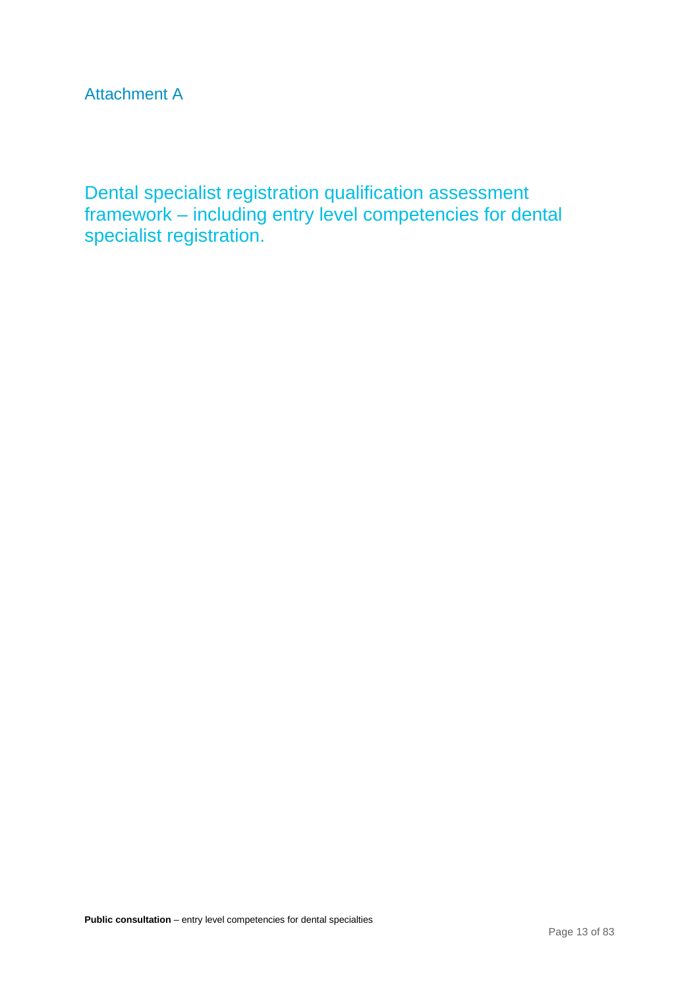Attachment A

Dental specialist registration qualification assessment framework – including entry level competencies for dental specialist registration.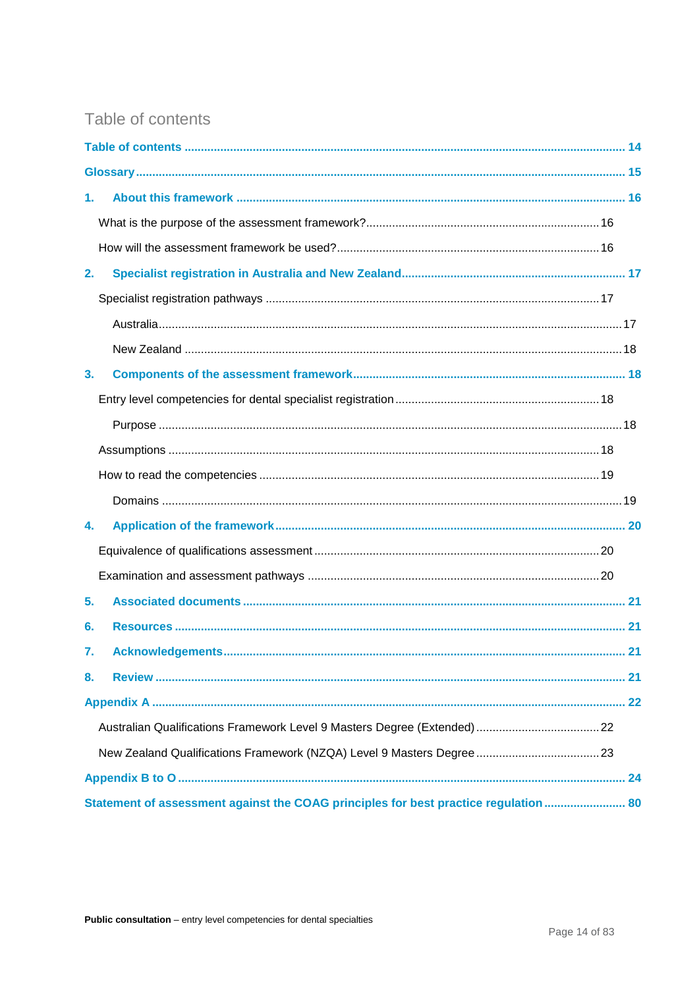# <span id="page-13-0"></span>Table of contents

| 1.                                                                                   |  |
|--------------------------------------------------------------------------------------|--|
|                                                                                      |  |
|                                                                                      |  |
| 2.                                                                                   |  |
|                                                                                      |  |
|                                                                                      |  |
|                                                                                      |  |
| 3 <sub>1</sub>                                                                       |  |
|                                                                                      |  |
|                                                                                      |  |
|                                                                                      |  |
|                                                                                      |  |
|                                                                                      |  |
| 4.                                                                                   |  |
|                                                                                      |  |
|                                                                                      |  |
| 5.                                                                                   |  |
| 6.                                                                                   |  |
| 7.                                                                                   |  |
| 8.                                                                                   |  |
|                                                                                      |  |
|                                                                                      |  |
|                                                                                      |  |
|                                                                                      |  |
| Statement of assessment against the COAG principles for best practice regulation  80 |  |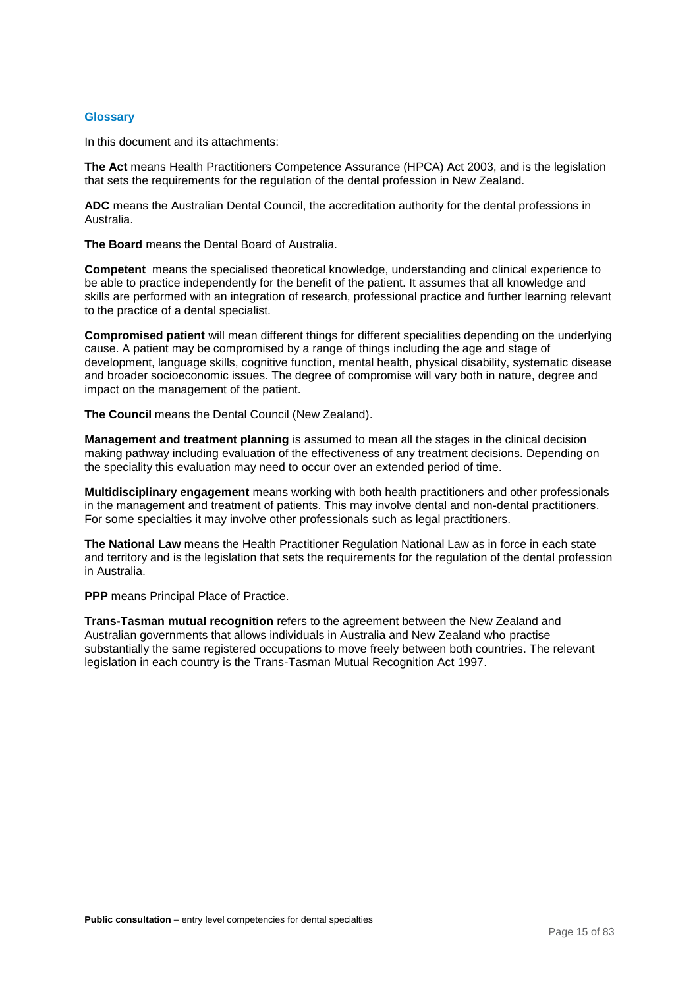## <span id="page-14-0"></span>**Glossary**

In this document and its attachments:

**The Act** means Health Practitioners Competence Assurance (HPCA) Act 2003, and is the legislation that sets the requirements for the regulation of the dental profession in New Zealand.

**ADC** means the Australian Dental Council, the accreditation authority for the dental professions in Australia.

**The Board** means the Dental Board of Australia.

**Competent** means the specialised theoretical knowledge, understanding and clinical experience to be able to practice independently for the benefit of the patient. It assumes that all knowledge and skills are performed with an integration of research, professional practice and further learning relevant to the practice of a dental specialist.

**Compromised patient** will mean different things for different specialities depending on the underlying cause. A patient may be compromised by a range of things including the age and stage of development, language skills, cognitive function, mental health, physical disability, systematic disease and broader socioeconomic issues. The degree of compromise will vary both in nature, degree and impact on the management of the patient.

**The Council** means the Dental Council (New Zealand).

**Management and treatment planning** is assumed to mean all the stages in the clinical decision making pathway including evaluation of the effectiveness of any treatment decisions. Depending on the speciality this evaluation may need to occur over an extended period of time.

**Multidisciplinary engagement** means working with both health practitioners and other professionals in the management and treatment of patients. This may involve dental and non-dental practitioners. For some specialties it may involve other professionals such as legal practitioners.

**The National Law** means the Health Practitioner Regulation National Law as in force in each state and territory and is the legislation that sets the requirements for the regulation of the dental profession in Australia.

**PPP** means Principal Place of Practice.

**Trans-Tasman mutual recognition** refers to the agreement between the New Zealand and Australian governments that allows individuals in Australia and New Zealand who practise substantially the same registered occupations to move freely between both countries. The relevant legislation in each country is the Trans-Tasman Mutual Recognition Act 1997.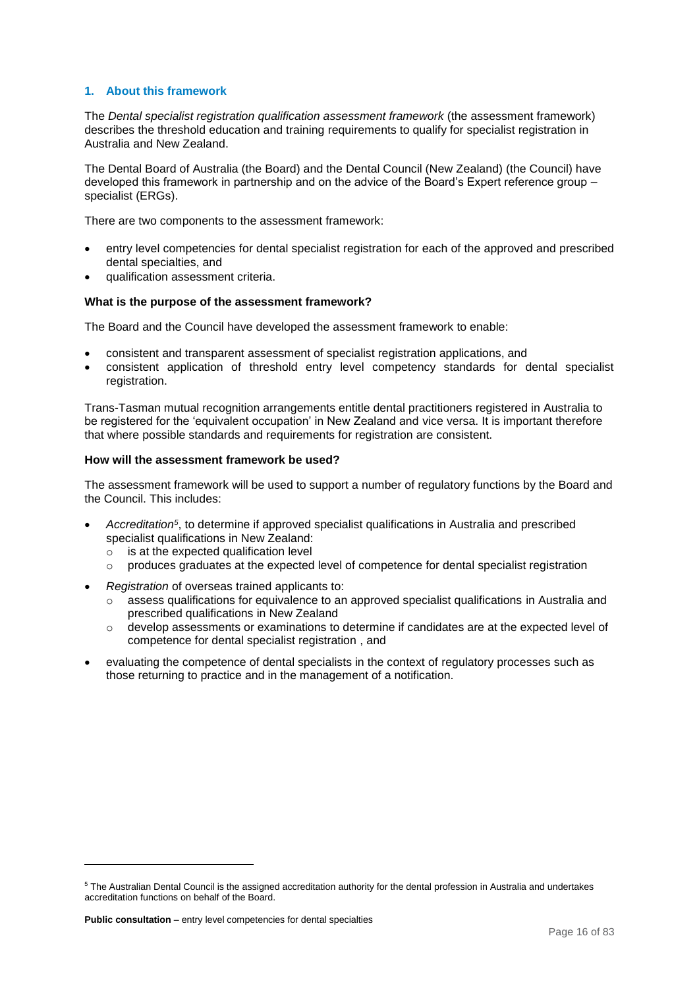## <span id="page-15-0"></span>**1. About this framework**

The *Dental specialist registration qualification assessment framework* (the assessment framework) describes the threshold education and training requirements to qualify for specialist registration in Australia and New Zealand.

The Dental Board of Australia (the Board) and the Dental Council (New Zealand) (the Council) have developed this framework in partnership and on the advice of the Board's Expert reference group – specialist (ERGs).

There are two components to the assessment framework:

- entry level competencies for dental specialist registration for each of the approved and prescribed dental specialties, and
- qualification assessment criteria.

## <span id="page-15-1"></span>**What is the purpose of the assessment framework?**

The Board and the Council have developed the assessment framework to enable:

- consistent and transparent assessment of specialist registration applications, and
- consistent application of threshold entry level competency standards for dental specialist registration.

Trans-Tasman mutual recognition arrangements entitle dental practitioners registered in Australia to be registered for the 'equivalent occupation' in New Zealand and vice versa. It is important therefore that where possible standards and requirements for registration are consistent.

## <span id="page-15-2"></span>**How will the assessment framework be used?**

The assessment framework will be used to support a number of regulatory functions by the Board and the Council. This includes:

- Accreditation<sup>5</sup>, to determine if approved specialist qualifications in Australia and prescribed specialist qualifications in New Zealand:
	- $\circ$  is at the expected qualification level
	- o produces graduates at the expected level of competence for dental specialist registration
- *Registration* of overseas trained applicants to:
	- o assess qualifications for equivalence to an approved specialist qualifications in Australia and prescribed qualifications in New Zealand
	- o develop assessments or examinations to determine if candidates are at the expected level of competence for dental specialist registration , and
- evaluating the competence of dental specialists in the context of regulatory processes such as those returning to practice and in the management of a notification.

1

<sup>5</sup> The Australian Dental Council is the assigned accreditation authority for the dental profession in Australia and undertakes accreditation functions on behalf of the Board.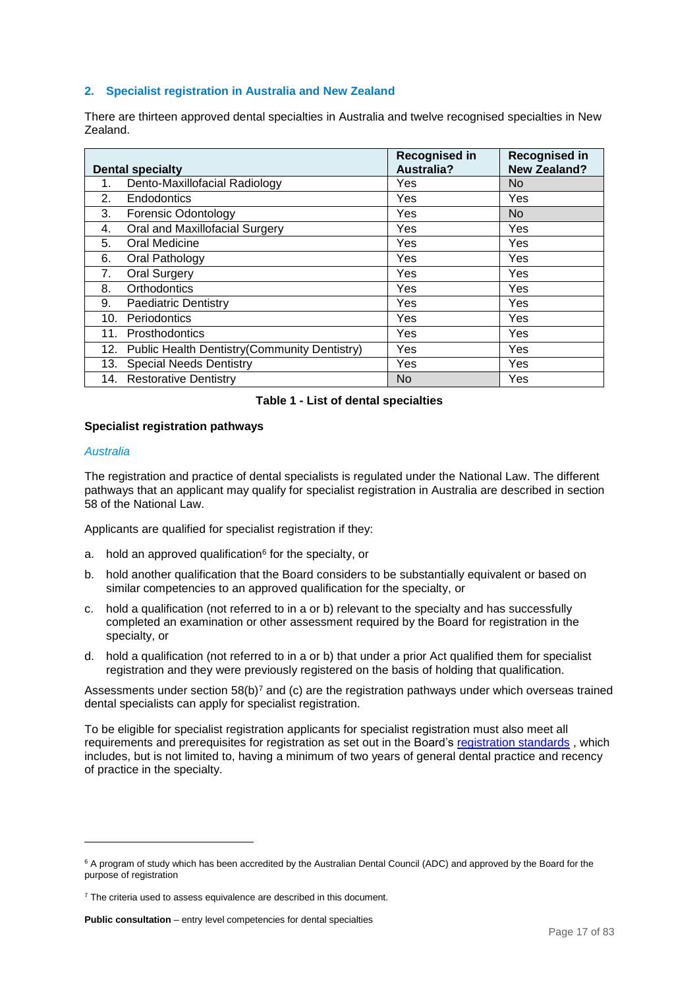## <span id="page-16-0"></span>**2. Specialist registration in Australia and New Zealand**

There are thirteen approved dental specialties in Australia and twelve recognised specialties in New Zealand.

|     | <b>Dental specialty</b>                          | <b>Recognised in</b><br><b>Australia?</b> | <b>Recognised in</b><br><b>New Zealand?</b> |
|-----|--------------------------------------------------|-------------------------------------------|---------------------------------------------|
|     |                                                  |                                           |                                             |
| 1.  | Dento-Maxillofacial Radiology                    | Yes                                       | No                                          |
| 2.  | Endodontics                                      | Yes                                       | Yes                                         |
| 3.  | <b>Forensic Odontology</b>                       | Yes                                       | No.                                         |
| 4.  | Oral and Maxillofacial Surgery                   | Yes                                       | Yes                                         |
| 5.  | Oral Medicine                                    | Yes                                       | Yes                                         |
| 6.  | Oral Pathology                                   | Yes                                       | Yes                                         |
| 7.  | <b>Oral Surgery</b>                              | Yes                                       | <b>Yes</b>                                  |
| 8.  | Orthodontics                                     | Yes                                       | Yes                                         |
| 9.  | <b>Paediatric Dentistry</b>                      | Yes                                       | Yes                                         |
| 10. | Periodontics                                     | Yes                                       | Yes                                         |
| 11. | <b>Prosthodontics</b>                            | Yes                                       | Yes                                         |
|     | 12. Public Health Dentistry(Community Dentistry) | Yes                                       | Yes                                         |
|     | 13. Special Needs Dentistry                      | Yes                                       | Yes                                         |
|     | 14. Restorative Dentistry                        | No                                        | Yes                                         |

## **Table 1 - List of dental specialties**

#### <span id="page-16-1"></span>**Specialist registration pathways**

#### <span id="page-16-2"></span>*Australia*

1

The registration and practice of dental specialists is regulated under the National Law. The different pathways that an applicant may qualify for specialist registration in Australia are described in section 58 of the National Law.

Applicants are qualified for specialist registration if they:

- a. hold an approved qualification<sup>6</sup> for the specialty, or
- b. hold another qualification that the Board considers to be substantially equivalent or based on similar competencies to an approved qualification for the specialty, or
- c. hold a qualification (not referred to in a or b) relevant to the specialty and has successfully completed an examination or other assessment required by the Board for registration in the specialty, or
- d. hold a qualification (not referred to in a or b) that under a prior Act qualified them for specialist registration and they were previously registered on the basis of holding that qualification.

Assessments under section  $58(b)^7$  and (c) are the registration pathways under which overseas trained dental specialists can apply for specialist registration.

To be eligible for specialist registration applicants for specialist registration must also meet all requirements and prerequisites for registration as set out in the Board's [registration standards](http://www.dentalboard.gov.au/Registration-Standards.aspx) , which includes, but is not limited to, having a minimum of two years of general dental practice and recency of practice in the specialty.

<sup>&</sup>lt;sup>6</sup> A program of study which has been accredited by the Australian Dental Council (ADC) and approved by the Board for the purpose of registration

<sup>&</sup>lt;sup>7</sup> The criteria used to assess equivalence are described in this document.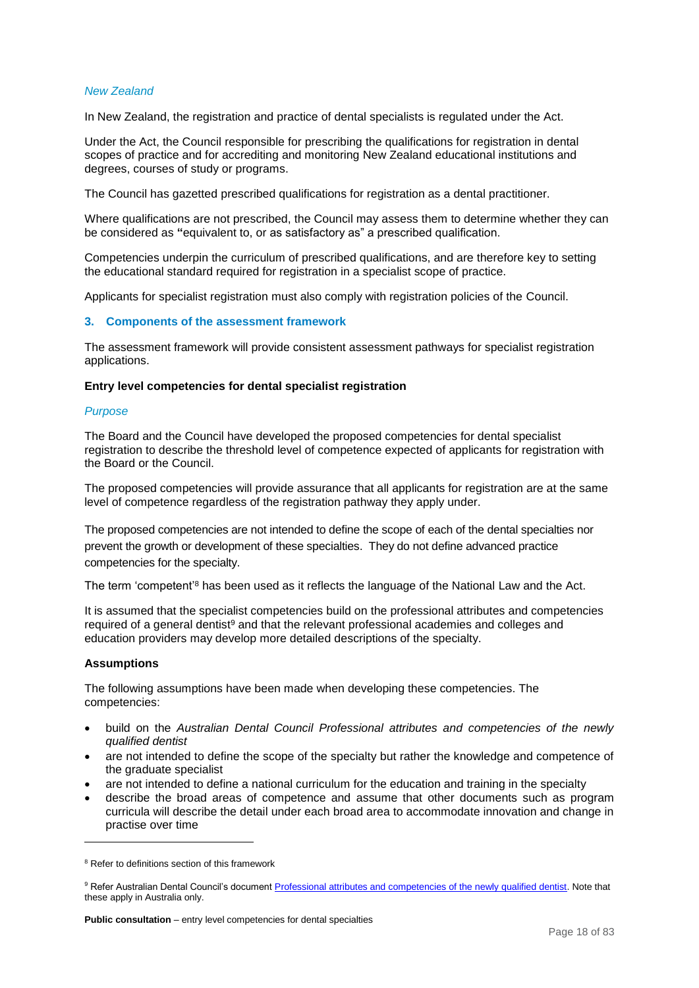## <span id="page-17-0"></span>*New Zealand*

In New Zealand, the registration and practice of dental specialists is regulated under the Act.

Under the Act, the Council responsible for prescribing the qualifications for registration in dental scopes of practice and for accrediting and monitoring New Zealand educational institutions and degrees, courses of study or programs.

The Council has gazetted prescribed qualifications for registration as a dental practitioner.

Where qualifications are not prescribed, the Council may assess them to determine whether they can be considered as **"**equivalent to, or as satisfactory as" a prescribed qualification.

Competencies underpin the curriculum of prescribed qualifications, and are therefore key to setting the educational standard required for registration in a specialist scope of practice.

Applicants for specialist registration must also comply with registration policies of the Council.

#### <span id="page-17-1"></span>**3. Components of the assessment framework**

The assessment framework will provide consistent assessment pathways for specialist registration applications.

#### <span id="page-17-2"></span>**Entry level competencies for dental specialist registration**

#### <span id="page-17-3"></span>*Purpose*

The Board and the Council have developed the proposed competencies for dental specialist registration to describe the threshold level of competence expected of applicants for registration with the Board or the Council.

The proposed competencies will provide assurance that all applicants for registration are at the same level of competence regardless of the registration pathway they apply under.

The proposed competencies are not intended to define the scope of each of the dental specialties nor prevent the growth or development of these specialties. They do not define advanced practice competencies for the specialty.

The term 'competent'<sup>8</sup> has been used as it reflects the language of the National Law and the Act.

It is assumed that the specialist competencies build on the professional attributes and competencies required of a general dentist $9$  and that the relevant professional academies and colleges and education providers may develop more detailed descriptions of the specialty.

## <span id="page-17-4"></span>**Assumptions**

1

The following assumptions have been made when developing these competencies. The competencies:

- build on the *Australian Dental Council Professional attributes and competencies of the newly qualified dentist*
- are not intended to define the scope of the specialty but rather the knowledge and competence of the graduate specialist
- are not intended to define a national curriculum for the education and training in the specialty
- describe the broad areas of competence and assume that other documents such as program curricula will describe the detail under each broad area to accommodate innovation and change in practise over time

<sup>&</sup>lt;sup>8</sup> Refer to definitions section of this framework

<sup>9</sup> Refer Australian Dental Council's document [Professional attributes and competencies of the newly qualified dentist.](http://www.adc.org.au/documents/Attributes&Competencies_Dentist%20v1.0%20Final%2010-06-11%20Updated%20July%202013.pdf) Note that these apply in Australia only.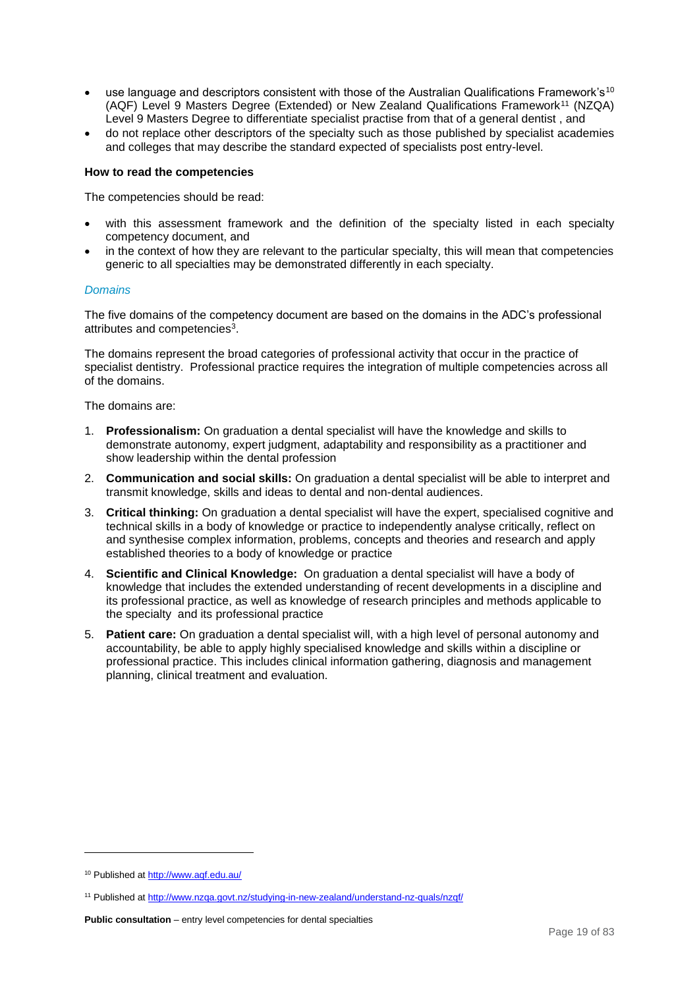- $\bullet$  use language and descriptors consistent with those of the Australian Qualifications Framework's<sup>10</sup> (AQF) Level 9 Masters Degree (Extended) or New Zealand Qualifications Framework<sup>11</sup> (NZQA) Level 9 Masters Degree to differentiate specialist practise from that of a general dentist , and
- do not replace other descriptors of the specialty such as those published by specialist academies and colleges that may describe the standard expected of specialists post entry-level.

#### <span id="page-18-0"></span>**How to read the competencies**

The competencies should be read:

- with this assessment framework and the definition of the specialty listed in each specialty competency document, and
- in the context of how they are relevant to the particular specialty, this will mean that competencies generic to all specialties may be demonstrated differently in each specialty.

#### <span id="page-18-1"></span>*Domains*

The five domains of the competency document are based on the domains in the ADC's professional attributes and competencies<sup>3</sup>.

The domains represent the broad categories of professional activity that occur in the practice of specialist dentistry. Professional practice requires the integration of multiple competencies across all of the domains.

The domains are:

- 1. **Professionalism:** On graduation a dental specialist will have the knowledge and skills to demonstrate autonomy, expert judgment, adaptability and responsibility as a practitioner and show leadership within the dental profession
- 2. **Communication and social skills:** On graduation a dental specialist will be able to interpret and transmit knowledge, skills and ideas to dental and non-dental audiences.
- 3. **Critical thinking:** On graduation a dental specialist will have the expert, specialised cognitive and technical skills in a body of knowledge or practice to independently analyse critically, reflect on and synthesise complex information, problems, concepts and theories and research and apply established theories to a body of knowledge or practice
- 4. **Scientific and Clinical Knowledge:** On graduation a dental specialist will have a body of knowledge that includes the extended understanding of recent developments in a discipline and its professional practice, as well as knowledge of research principles and methods applicable to the specialty and its professional practice
- 5. **Patient care:** On graduation a dental specialist will, with a high level of personal autonomy and accountability, be able to apply highly specialised knowledge and skills within a discipline or professional practice. This includes clinical information gathering, diagnosis and management planning, clinical treatment and evaluation.

-

<sup>10</sup> Published at<http://www.aqf.edu.au/>

<sup>11</sup> Published at<http://www.nzqa.govt.nz/studying-in-new-zealand/understand-nz-quals/nzqf/>

**Public consultation** – entry level competencies for dental specialties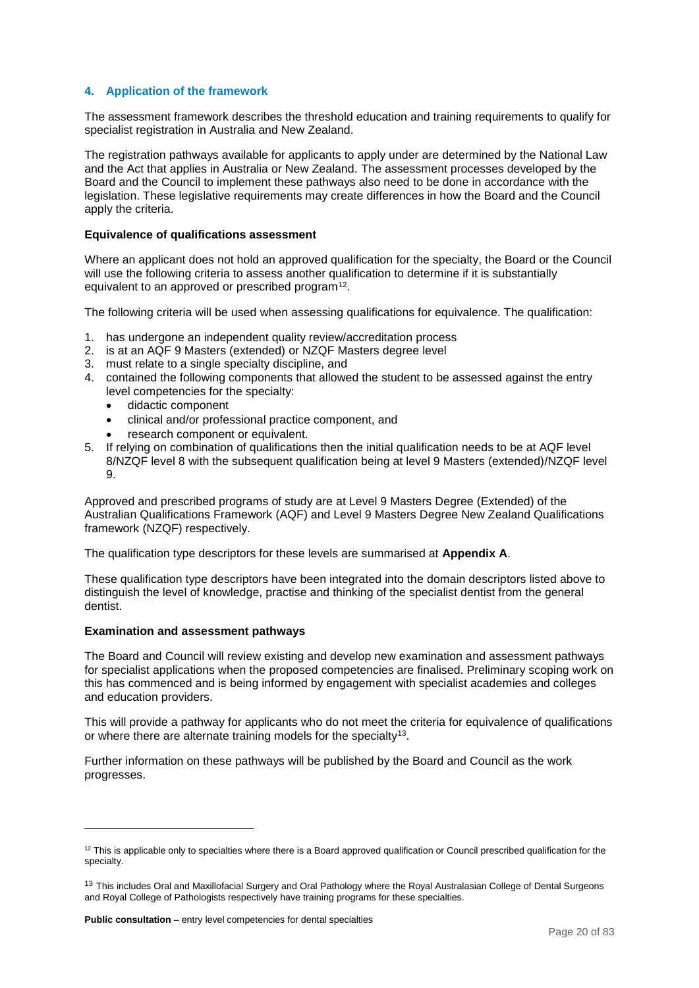## <span id="page-19-0"></span>**4. Application of the framework**

The assessment framework describes the threshold education and training requirements to qualify for specialist registration in Australia and New Zealand.

The registration pathways available for applicants to apply under are determined by the National Law and the Act that applies in Australia or New Zealand. The assessment processes developed by the Board and the Council to implement these pathways also need to be done in accordance with the legislation. These legislative requirements may create differences in how the Board and the Council apply the criteria.

#### <span id="page-19-1"></span>**Equivalence of qualifications assessment**

Where an applicant does not hold an approved qualification for the specialty, the Board or the Council will use the following criteria to assess another qualification to determine if it is substantially equivalent to an approved or prescribed program<sup>12</sup>.

The following criteria will be used when assessing qualifications for equivalence. The qualification:

- 1. has undergone an independent quality review/accreditation process
- 2. is at an AQF 9 Masters (extended) or NZQF Masters degree level
- 3. must relate to a single specialty discipline, and
- 4. contained the following components that allowed the student to be assessed against the entry level competencies for the specialty:
	- didactic component
	- clinical and/or professional practice component, and
	- research component or equivalent.
- 5. If relying on combination of qualifications then the initial qualification needs to be at AQF level 8/NZQF level 8 with the subsequent qualification being at level 9 Masters (extended)/NZQF level  $\mathbf{Q}$

Approved and prescribed programs of study are at Level 9 Masters Degree (Extended) of the Australian Qualifications Framework (AQF) and Level 9 Masters Degree New Zealand Qualifications framework (NZQF) respectively.

The qualification type descriptors for these levels are summarised at **Appendix A**.

These qualification type descriptors have been integrated into the domain descriptors listed above to distinguish the level of knowledge, practise and thinking of the specialist dentist from the general dentist.

#### <span id="page-19-2"></span>**Examination and assessment pathways**

1

The Board and Council will review existing and develop new examination and assessment pathways for specialist applications when the proposed competencies are finalised. Preliminary scoping work on this has commenced and is being informed by engagement with specialist academies and colleges and education providers.

This will provide a pathway for applicants who do not meet the criteria for equivalence of qualifications or where there are alternate training models for the specialty<sup>13</sup>.

Further information on these pathways will be published by the Board and Council as the work progresses.

 $12$  This is applicable only to specialties where there is a Board approved qualification or Council prescribed qualification for the specialty.

<sup>&</sup>lt;sup>13</sup> This includes Oral and Maxillofacial Surgery and Oral Pathology where the Royal Australasian College of Dental Surgeons and Royal College of Pathologists respectively have training programs for these specialties.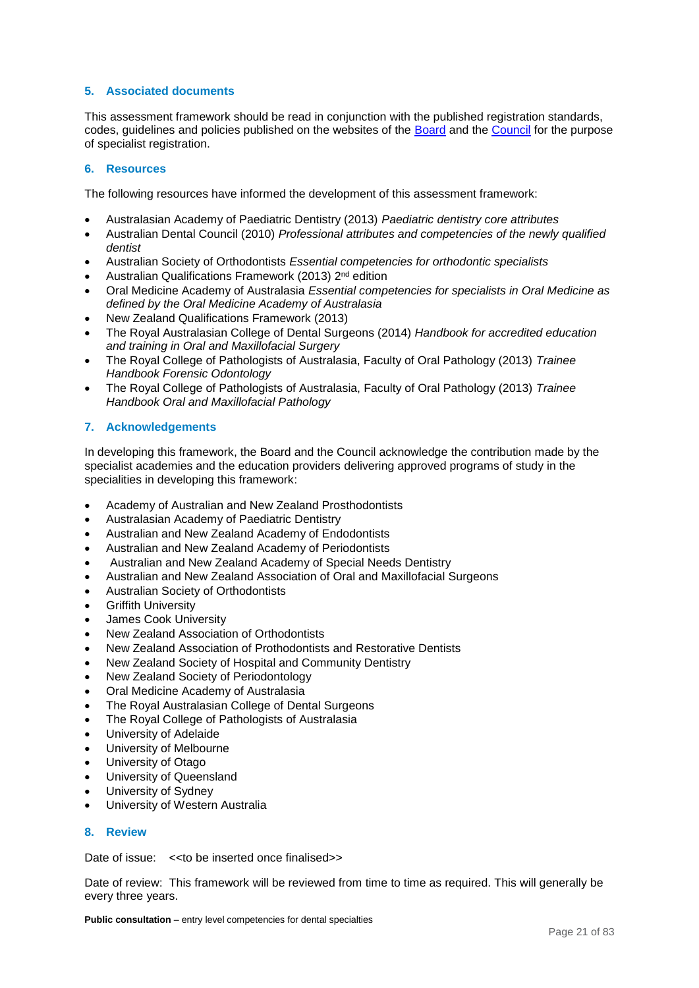## <span id="page-20-0"></span>**5. Associated documents**

This assessment framework should be read in conjunction with the published registration standards, codes, guidelines and policies published on the websites of the [Board](http://www.dentalboard.gov.au/) and the [Council](http://www.dcnz.org.nz/) for the purpose of specialist registration.

## <span id="page-20-1"></span>**6. Resources**

The following resources have informed the development of this assessment framework:

- Australasian Academy of Paediatric Dentistry (2013) *Paediatric dentistry core attributes*
- Australian Dental Council (2010) *Professional attributes and competencies of the newly qualified dentist*
- Australian Society of Orthodontists *Essential competencies for orthodontic specialists*
- Australian Qualifications Framework (2013) 2nd edition
- Oral Medicine Academy of Australasia *Essential competencies for specialists in Oral Medicine as defined by the Oral Medicine Academy of Australasia*
- New Zealand Qualifications Framework (2013)
- The Royal Australasian College of Dental Surgeons (2014) *Handbook for accredited education and training in Oral and Maxillofacial Surgery*
- The Royal College of Pathologists of Australasia, Faculty of Oral Pathology (2013) *Trainee Handbook Forensic Odontology*
- The Royal College of Pathologists of Australasia, Faculty of Oral Pathology (2013) *Trainee Handbook Oral and Maxillofacial Pathology*

## <span id="page-20-2"></span>**7. Acknowledgements**

In developing this framework, the Board and the Council acknowledge the contribution made by the specialist academies and the education providers delivering approved programs of study in the specialities in developing this framework:

- Academy of Australian and New Zealand Prosthodontists
- Australasian Academy of Paediatric Dentistry
- Australian and New Zealand Academy of Endodontists
- Australian and New Zealand Academy of Periodontists
- Australian and New Zealand Academy of Special Needs Dentistry
- Australian and New Zealand Association of Oral and Maxillofacial Surgeons
- Australian Society of Orthodontists
- Griffith University
- James Cook University
- New Zealand Association of Orthodontists
- New Zealand Association of Prothodontists and Restorative Dentists
- New Zealand Society of Hospital and Community Dentistry
- New Zealand Society of Periodontology
- Oral Medicine Academy of Australasia
- The Royal Australasian College of Dental Surgeons
- The Royal College of Pathologists of Australasia
- University of Adelaide
- University of Melbourne
- University of Otago
- University of Queensland
- University of Sydney
- University of Western Australia

## <span id="page-20-3"></span>**8. Review**

Date of issue: << to be inserted once finalised>>

Date of review: This framework will be reviewed from time to time as required. This will generally be every three years.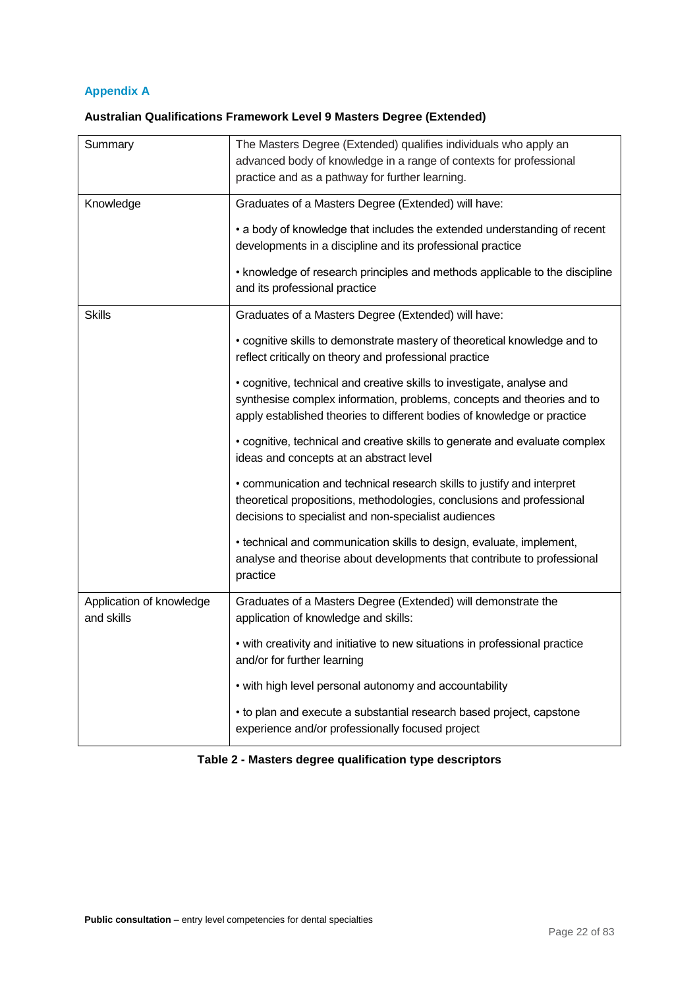## <span id="page-21-0"></span>**Appendix A**

## <span id="page-21-1"></span>**Australian Qualifications Framework Level 9 Masters Degree (Extended)**

| Summary                                | The Masters Degree (Extended) qualifies individuals who apply an<br>advanced body of knowledge in a range of contexts for professional<br>practice and as a pathway for further learning.                                   |
|----------------------------------------|-----------------------------------------------------------------------------------------------------------------------------------------------------------------------------------------------------------------------------|
| Knowledge                              | Graduates of a Masters Degree (Extended) will have:<br>• a body of knowledge that includes the extended understanding of recent<br>developments in a discipline and its professional practice                               |
|                                        | • knowledge of research principles and methods applicable to the discipline<br>and its professional practice                                                                                                                |
| <b>Skills</b>                          | Graduates of a Masters Degree (Extended) will have:                                                                                                                                                                         |
|                                        | • cognitive skills to demonstrate mastery of theoretical knowledge and to<br>reflect critically on theory and professional practice                                                                                         |
|                                        | • cognitive, technical and creative skills to investigate, analyse and<br>synthesise complex information, problems, concepts and theories and to<br>apply established theories to different bodies of knowledge or practice |
|                                        | • cognitive, technical and creative skills to generate and evaluate complex<br>ideas and concepts at an abstract level                                                                                                      |
|                                        | • communication and technical research skills to justify and interpret<br>theoretical propositions, methodologies, conclusions and professional<br>decisions to specialist and non-specialist audiences                     |
|                                        | • technical and communication skills to design, evaluate, implement,<br>analyse and theorise about developments that contribute to professional<br>practice                                                                 |
| Application of knowledge<br>and skills | Graduates of a Masters Degree (Extended) will demonstrate the<br>application of knowledge and skills:                                                                                                                       |
|                                        | • with creativity and initiative to new situations in professional practice<br>and/or for further learning                                                                                                                  |
|                                        | • with high level personal autonomy and accountability                                                                                                                                                                      |
|                                        | • to plan and execute a substantial research based project, capstone<br>experience and/or professionally focused project                                                                                                    |

## **Table 2 - Masters degree qualification type descriptors**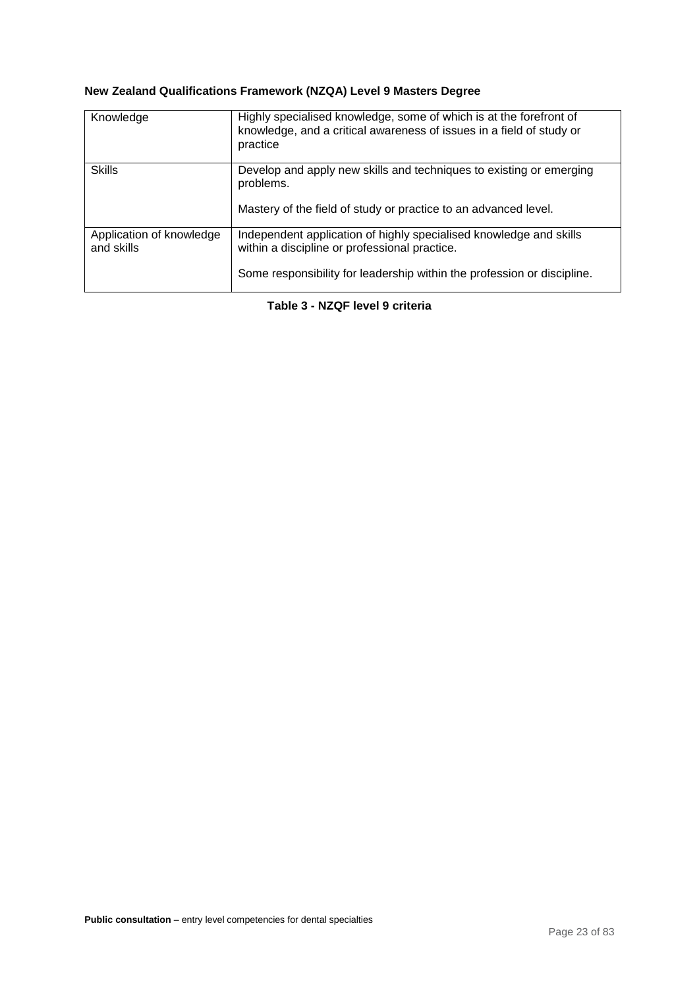## <span id="page-22-0"></span>**New Zealand Qualifications Framework (NZQA) Level 9 Masters Degree**

| Knowledge                              | Highly specialised knowledge, some of which is at the forefront of<br>knowledge, and a critical awareness of issues in a field of study or<br>practice                                         |
|----------------------------------------|------------------------------------------------------------------------------------------------------------------------------------------------------------------------------------------------|
| <b>Skills</b>                          | Develop and apply new skills and techniques to existing or emerging<br>problems.<br>Mastery of the field of study or practice to an advanced level.                                            |
| Application of knowledge<br>and skills | Independent application of highly specialised knowledge and skills<br>within a discipline or professional practice.<br>Some responsibility for leadership within the profession or discipline. |

**Table 3 - NZQF level 9 criteria**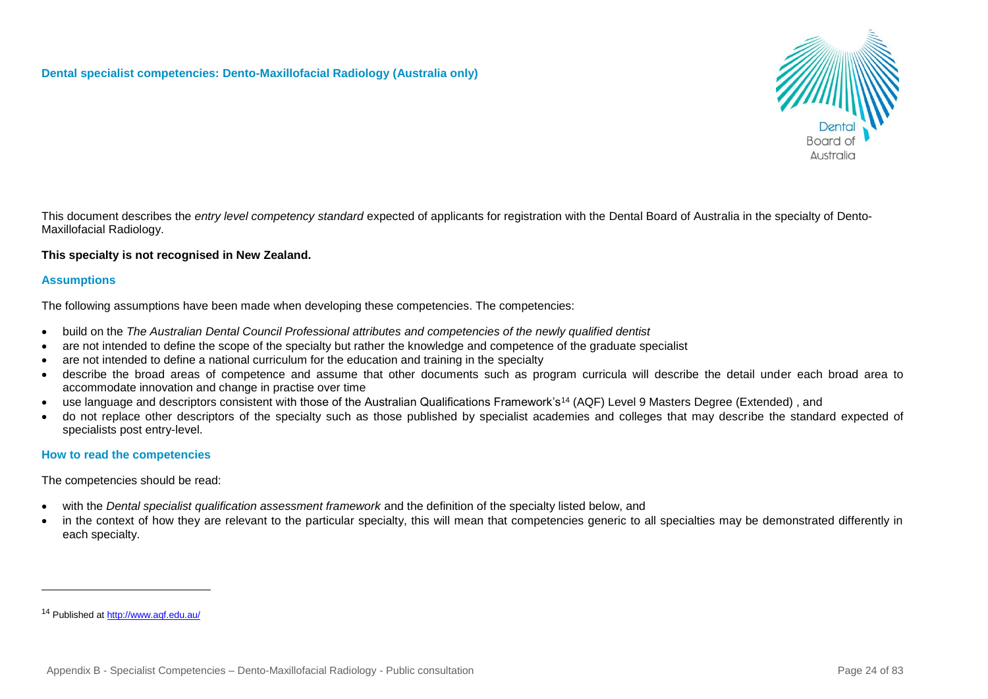## **Dental specialist competencies: Dento-Maxillofacial Radiology (Australia only)**



This document describes the *entry level competency standard* expected of applicants for registration with the Dental Board of Australia in the specialty of Dento-Maxillofacial Radiology.

## **This specialty is not recognised in New Zealand.**

## **Assumptions**

The following assumptions have been made when developing these competencies. The competencies:

- build on the *The Australian Dental Council Professional attributes and competencies of the newly qualified dentist*
- are not intended to define the scope of the specialty but rather the knowledge and competence of the graduate specialist
- are not intended to define a national curriculum for the education and training in the specialty
- describe the broad areas of competence and assume that other documents such as program curricula will describe the detail under each broad area to accommodate innovation and change in practise over time
- use language and descriptors consistent with those of the Australian Qualifications Framework's<sup>14</sup> (AQF) Level 9 Masters Degree (Extended) , and
- do not replace other descriptors of the specialty such as those published by specialist academies and colleges that may describe the standard expected of specialists post entry-level.

## **How to read the competencies**

The competencies should be read:

- with the *Dental specialist qualification assessment framework* and the definition of the specialty listed below, and
- in the context of how they are relevant to the particular specialty, this will mean that competencies generic to all specialties may be demonstrated differently in each specialty.

l

<sup>14</sup> Published at<http://www.aqf.edu.au/>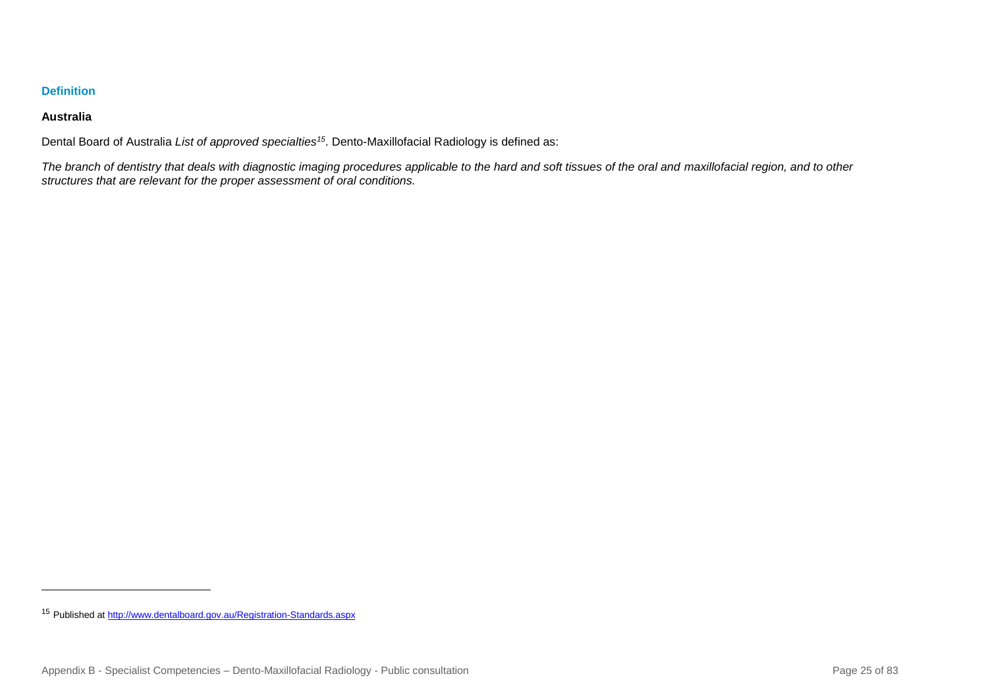## **Definition**

## **Australia**

l

Dental Board of Australia *List of approved specialties<sup>15</sup>*. Dento-Maxillofacial Radiology is defined as:

*The branch of dentistry that deals with diagnostic imaging procedures applicable to the hard and soft tissues of the oral and maxillofacial region, and to other structures that are relevant for the proper assessment of oral conditions.*

<sup>15</sup> Published a[t http://www.dentalboard.gov.au/Registration-Standards.aspx](http://www.dentalboard.gov.au/Registration-Standards.aspx)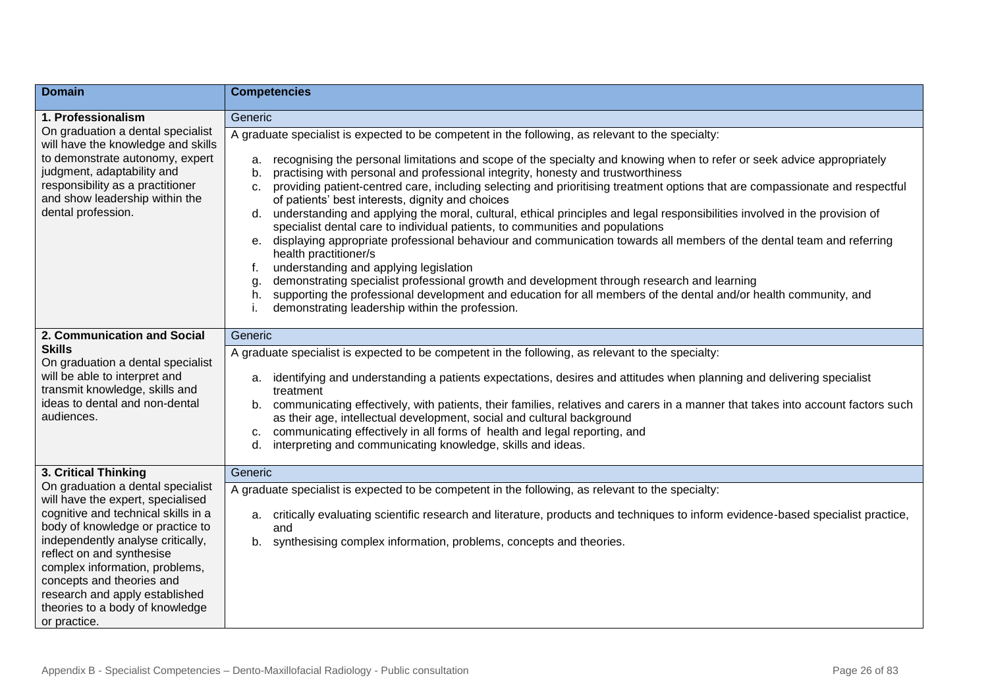| <b>Domain</b>                                                                                                                                                                                                                                                                                                                                                           | <b>Competencies</b>                                                                                                                                                                                                                                                                                                                                                                                                                                                                                                                                                                                                                                                                                                                                                                                                                                                                                                                                                                                                                                                                                                                                                                                                                |
|-------------------------------------------------------------------------------------------------------------------------------------------------------------------------------------------------------------------------------------------------------------------------------------------------------------------------------------------------------------------------|------------------------------------------------------------------------------------------------------------------------------------------------------------------------------------------------------------------------------------------------------------------------------------------------------------------------------------------------------------------------------------------------------------------------------------------------------------------------------------------------------------------------------------------------------------------------------------------------------------------------------------------------------------------------------------------------------------------------------------------------------------------------------------------------------------------------------------------------------------------------------------------------------------------------------------------------------------------------------------------------------------------------------------------------------------------------------------------------------------------------------------------------------------------------------------------------------------------------------------|
| 1. Professionalism                                                                                                                                                                                                                                                                                                                                                      | Generic                                                                                                                                                                                                                                                                                                                                                                                                                                                                                                                                                                                                                                                                                                                                                                                                                                                                                                                                                                                                                                                                                                                                                                                                                            |
| On graduation a dental specialist<br>will have the knowledge and skills<br>to demonstrate autonomy, expert<br>judgment, adaptability and<br>responsibility as a practitioner<br>and show leadership within the<br>dental profession.                                                                                                                                    | A graduate specialist is expected to be competent in the following, as relevant to the specialty:<br>recognising the personal limitations and scope of the specialty and knowing when to refer or seek advice appropriately<br>a.<br>practising with personal and professional integrity, honesty and trustworthiness<br>b.<br>providing patient-centred care, including selecting and prioritising treatment options that are compassionate and respectful<br>c.<br>of patients' best interests, dignity and choices<br>understanding and applying the moral, cultural, ethical principles and legal responsibilities involved in the provision of<br>d.<br>specialist dental care to individual patients, to communities and populations<br>displaying appropriate professional behaviour and communication towards all members of the dental team and referring<br>e.<br>health practitioner/s<br>understanding and applying legislation<br>f.<br>demonstrating specialist professional growth and development through research and learning<br>g.<br>supporting the professional development and education for all members of the dental and/or health community, and<br>h.<br>demonstrating leadership within the profession. |
| 2. Communication and Social                                                                                                                                                                                                                                                                                                                                             | Generic                                                                                                                                                                                                                                                                                                                                                                                                                                                                                                                                                                                                                                                                                                                                                                                                                                                                                                                                                                                                                                                                                                                                                                                                                            |
| <b>Skills</b><br>On graduation a dental specialist<br>will be able to interpret and<br>transmit knowledge, skills and<br>ideas to dental and non-dental<br>audiences.                                                                                                                                                                                                   | A graduate specialist is expected to be competent in the following, as relevant to the specialty:<br>identifying and understanding a patients expectations, desires and attitudes when planning and delivering specialist<br>а.<br>treatment<br>communicating effectively, with patients, their families, relatives and carers in a manner that takes into account factors such<br>b.<br>as their age, intellectual development, social and cultural background<br>communicating effectively in all forms of health and legal reporting, and<br>c.<br>interpreting and communicating knowledge, skills and ideas.<br>d.                                                                                                                                                                                                                                                                                                                                                                                                                                                                                                                                                                                                            |
| 3. Critical Thinking                                                                                                                                                                                                                                                                                                                                                    | Generic                                                                                                                                                                                                                                                                                                                                                                                                                                                                                                                                                                                                                                                                                                                                                                                                                                                                                                                                                                                                                                                                                                                                                                                                                            |
| On graduation a dental specialist<br>will have the expert, specialised<br>cognitive and technical skills in a<br>body of knowledge or practice to<br>independently analyse critically,<br>reflect on and synthesise<br>complex information, problems,<br>concepts and theories and<br>research and apply established<br>theories to a body of knowledge<br>or practice. | A graduate specialist is expected to be competent in the following, as relevant to the specialty:<br>a. critically evaluating scientific research and literature, products and techniques to inform evidence-based specialist practice,<br>and<br>b. synthesising complex information, problems, concepts and theories.                                                                                                                                                                                                                                                                                                                                                                                                                                                                                                                                                                                                                                                                                                                                                                                                                                                                                                            |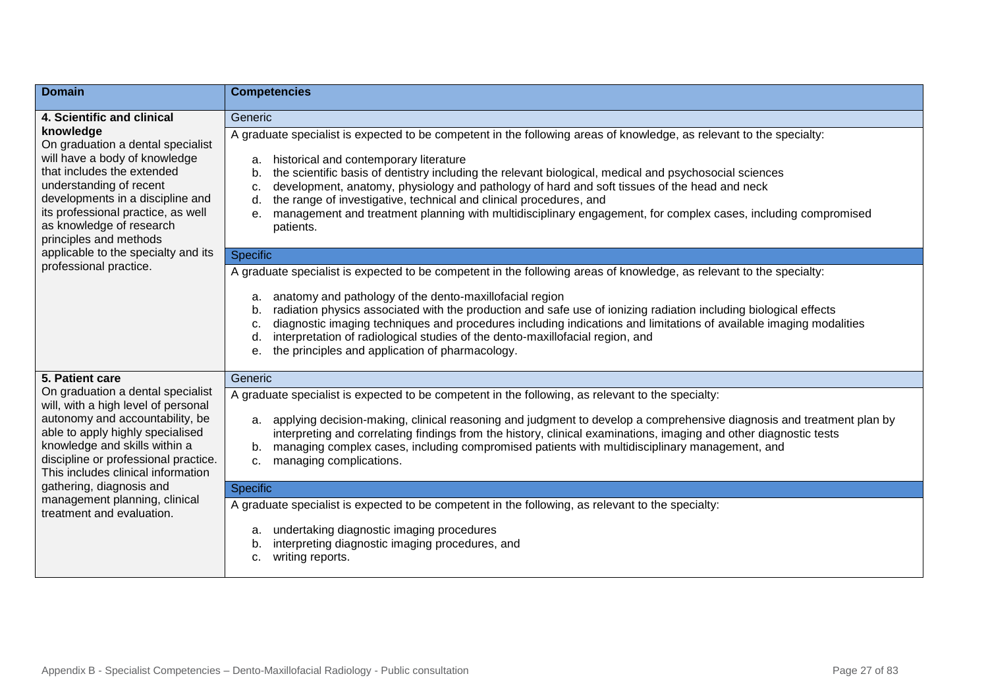| <b>Domain</b>                                                                                                                                                                                                                                                            | <b>Competencies</b>                                                                                                                                                                                                                                                                                                                                                                                                                                                                                                                                                                                        |
|--------------------------------------------------------------------------------------------------------------------------------------------------------------------------------------------------------------------------------------------------------------------------|------------------------------------------------------------------------------------------------------------------------------------------------------------------------------------------------------------------------------------------------------------------------------------------------------------------------------------------------------------------------------------------------------------------------------------------------------------------------------------------------------------------------------------------------------------------------------------------------------------|
| 4. Scientific and clinical                                                                                                                                                                                                                                               | Generic                                                                                                                                                                                                                                                                                                                                                                                                                                                                                                                                                                                                    |
| knowledge<br>On graduation a dental specialist<br>will have a body of knowledge<br>that includes the extended<br>understanding of recent<br>developments in a discipline and<br>its professional practice, as well<br>as knowledge of research<br>principles and methods | A graduate specialist is expected to be competent in the following areas of knowledge, as relevant to the specialty:<br>historical and contemporary literature<br>a.<br>the scientific basis of dentistry including the relevant biological, medical and psychosocial sciences<br>b.<br>development, anatomy, physiology and pathology of hard and soft tissues of the head and neck<br>c.<br>the range of investigative, technical and clinical procedures, and<br>d.<br>management and treatment planning with multidisciplinary engagement, for complex cases, including compromised<br>е.<br>patients. |
| applicable to the specialty and its<br>professional practice.                                                                                                                                                                                                            | <b>Specific</b>                                                                                                                                                                                                                                                                                                                                                                                                                                                                                                                                                                                            |
|                                                                                                                                                                                                                                                                          | A graduate specialist is expected to be competent in the following areas of knowledge, as relevant to the specialty:<br>anatomy and pathology of the dento-maxillofacial region<br>a.<br>radiation physics associated with the production and safe use of ionizing radiation including biological effects<br>b<br>diagnostic imaging techniques and procedures including indications and limitations of available imaging modalities<br>c.<br>interpretation of radiological studies of the dento-maxillofacial region, and<br>d.<br>the principles and application of pharmacology.<br>e                  |
| 5. Patient care                                                                                                                                                                                                                                                          | Generic                                                                                                                                                                                                                                                                                                                                                                                                                                                                                                                                                                                                    |
| On graduation a dental specialist<br>will, with a high level of personal<br>autonomy and accountability, be<br>able to apply highly specialised<br>knowledge and skills within a<br>discipline or professional practice.<br>This includes clinical information           | A graduate specialist is expected to be competent in the following, as relevant to the specialty:<br>a. applying decision-making, clinical reasoning and judgment to develop a comprehensive diagnosis and treatment plan by<br>interpreting and correlating findings from the history, clinical examinations, imaging and other diagnostic tests<br>managing complex cases, including compromised patients with multidisciplinary management, and<br>b.<br>managing complications.<br>c.                                                                                                                  |
| gathering, diagnosis and                                                                                                                                                                                                                                                 | Specific                                                                                                                                                                                                                                                                                                                                                                                                                                                                                                                                                                                                   |
| management planning, clinical<br>treatment and evaluation.                                                                                                                                                                                                               | A graduate specialist is expected to be competent in the following, as relevant to the specialty:<br>undertaking diagnostic imaging procedures<br>a.<br>interpreting diagnostic imaging procedures, and<br>b.<br>writing reports.<br>c.                                                                                                                                                                                                                                                                                                                                                                    |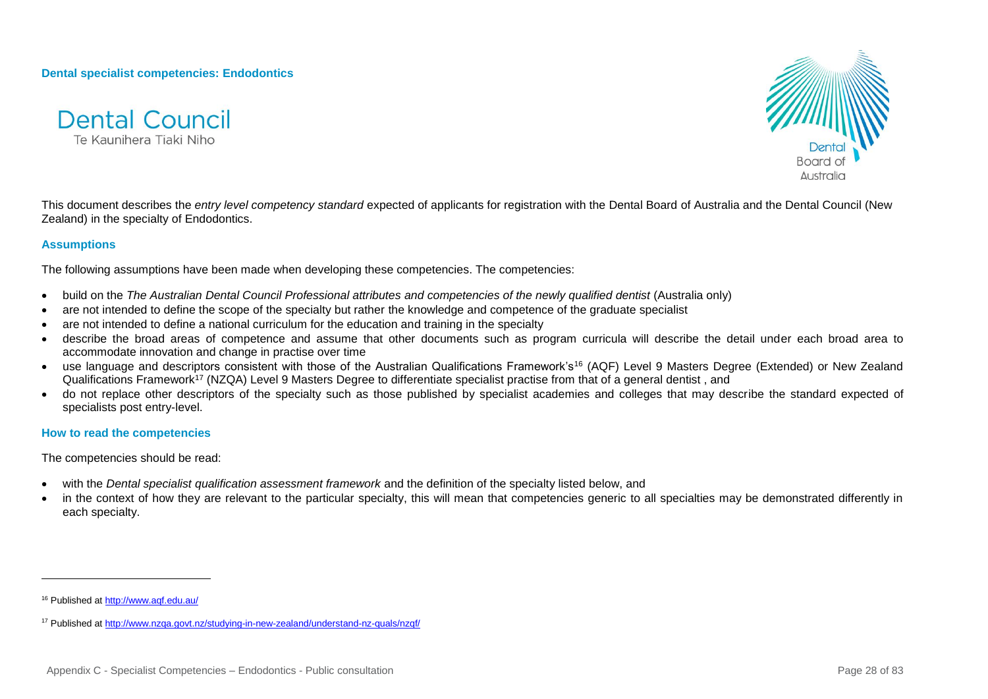**Dental specialist competencies: Endodontics**





This document describes the *entry level competency standard* expected of applicants for registration with the Dental Board of Australia and the Dental Council (New Zealand) in the specialty of Endodontics.

#### **Assumptions**

The following assumptions have been made when developing these competencies. The competencies:

- build on the *The Australian Dental Council Professional attributes and competencies of the newly qualified dentist* (Australia only)
- are not intended to define the scope of the specialty but rather the knowledge and competence of the graduate specialist
- are not intended to define a national curriculum for the education and training in the specialty
- describe the broad areas of competence and assume that other documents such as program curricula will describe the detail under each broad area to accommodate innovation and change in practise over time
- use language and descriptors consistent with those of the Australian Qualifications Framework's<sup>16</sup> (AQF) Level 9 Masters Degree (Extended) or New Zealand Qualifications Framework<sup>17</sup> (NZQA) Level 9 Masters Degree to differentiate specialist practise from that of a general dentist, and
- do not replace other descriptors of the specialty such as those published by specialist academies and colleges that may describe the standard expected of specialists post entry-level.

#### **How to read the competencies**

The competencies should be read:

- with the *Dental specialist qualification assessment framework* and the definition of the specialty listed below, and
- in the context of how they are relevant to the particular specialty, this will mean that competencies generic to all specialties may be demonstrated differently in each specialty.

l

<sup>16</sup> Published a[t http://www.aqf.edu.au/](http://www.aqf.edu.au/)

<sup>17</sup> Published a[t http://www.nzqa.govt.nz/studying-in-new-zealand/understand-nz-quals/nzqf/](http://www.nzqa.govt.nz/studying-in-new-zealand/understand-nz-quals/nzqf/)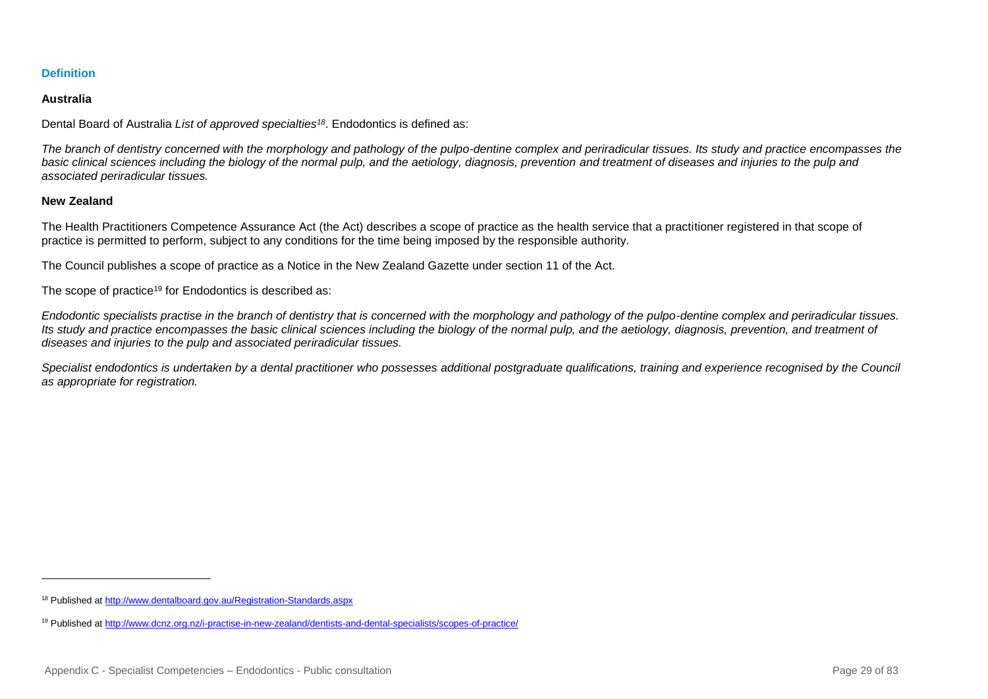## **Definition**

## **Australia**

Dental Board of Australia *List of approved specialties<sup>18</sup>*. Endodontics is defined as:

*The branch of dentistry concerned with the morphology and pathology of the pulpo-dentine complex and periradicular tissues. Its study and practice encompasses the*  basic clinical sciences including the biology of the normal pulp, and the aetiology, diagnosis, prevention and treatment of diseases and injuries to the pulp and *associated periradicular tissues.*

## **New Zealand**

l

The Health Practitioners Competence Assurance Act (the Act) describes a scope of practice as the health service that a practitioner registered in that scope of practice is permitted to perform, subject to any conditions for the time being imposed by the responsible authority.

The Council publishes a scope of practice as a Notice in the New Zealand Gazette under section 11 of the Act.

The scope of practice<sup>19</sup> for Endodontics is described as:

*Endodontic specialists practise in the branch of dentistry that is concerned with the morphology and pathology of the pulpo-dentine complex and periradicular tissues. Its study and practice encompasses the basic clinical sciences including the biology of the normal pulp, and the aetiology, diagnosis, prevention, and treatment of diseases and injuries to the pulp and associated periradicular tissues.*

<span id="page-28-0"></span>*Specialist endodontics is undertaken by a dental practitioner who possesses additional postgraduate qualifications, training and experience recognised by the Council as appropriate for registration.*

<sup>18</sup> Published a[t http://www.dentalboard.gov.au/Registration-Standards.aspx](http://www.dentalboard.gov.au/Registration-Standards.aspx)

<sup>19</sup> Published a[t http://www.dcnz.org.nz/i-practise-in-new-zealand/dentists-and-dental-specialists/scopes-of-practice/](http://www.dcnz.org.nz/i-practise-in-new-zealand/dentists-and-dental-specialists/scopes-of-practice/)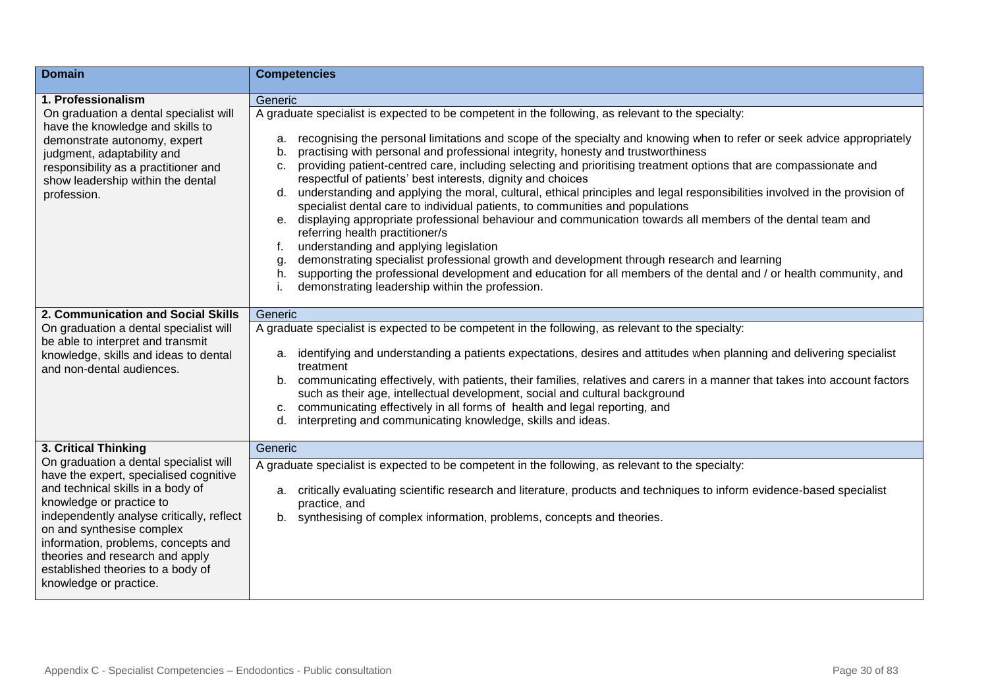| <b>Domain</b>                                                                                                                                                                                                                                                                                                                                                        | <b>Competencies</b>                                                                                                                                                                                                                                                                                                                                                                                                                                                                                                                                                                                                                                                                                                                                                                                                                                                                                                                                                                                                                                                                                                                                                                                                              |
|----------------------------------------------------------------------------------------------------------------------------------------------------------------------------------------------------------------------------------------------------------------------------------------------------------------------------------------------------------------------|----------------------------------------------------------------------------------------------------------------------------------------------------------------------------------------------------------------------------------------------------------------------------------------------------------------------------------------------------------------------------------------------------------------------------------------------------------------------------------------------------------------------------------------------------------------------------------------------------------------------------------------------------------------------------------------------------------------------------------------------------------------------------------------------------------------------------------------------------------------------------------------------------------------------------------------------------------------------------------------------------------------------------------------------------------------------------------------------------------------------------------------------------------------------------------------------------------------------------------|
| 1. Professionalism                                                                                                                                                                                                                                                                                                                                                   | Generic                                                                                                                                                                                                                                                                                                                                                                                                                                                                                                                                                                                                                                                                                                                                                                                                                                                                                                                                                                                                                                                                                                                                                                                                                          |
| On graduation a dental specialist will<br>have the knowledge and skills to<br>demonstrate autonomy, expert<br>judgment, adaptability and<br>responsibility as a practitioner and<br>show leadership within the dental<br>profession.                                                                                                                                 | A graduate specialist is expected to be competent in the following, as relevant to the specialty:<br>recognising the personal limitations and scope of the specialty and knowing when to refer or seek advice appropriately<br>a.<br>practising with personal and professional integrity, honesty and trustworthiness<br>b.<br>providing patient-centred care, including selecting and prioritising treatment options that are compassionate and<br>c.<br>respectful of patients' best interests, dignity and choices<br>understanding and applying the moral, cultural, ethical principles and legal responsibilities involved in the provision of<br>d.<br>specialist dental care to individual patients, to communities and populations<br>e. displaying appropriate professional behaviour and communication towards all members of the dental team and<br>referring health practitioner/s<br>understanding and applying legislation<br>f.<br>demonstrating specialist professional growth and development through research and learning<br>g<br>supporting the professional development and education for all members of the dental and / or health community, and<br>h.<br>demonstrating leadership within the profession. |
|                                                                                                                                                                                                                                                                                                                                                                      |                                                                                                                                                                                                                                                                                                                                                                                                                                                                                                                                                                                                                                                                                                                                                                                                                                                                                                                                                                                                                                                                                                                                                                                                                                  |
| 2. Communication and Social Skills                                                                                                                                                                                                                                                                                                                                   | Generic                                                                                                                                                                                                                                                                                                                                                                                                                                                                                                                                                                                                                                                                                                                                                                                                                                                                                                                                                                                                                                                                                                                                                                                                                          |
| On graduation a dental specialist will<br>be able to interpret and transmit<br>knowledge, skills and ideas to dental<br>and non-dental audiences.                                                                                                                                                                                                                    | A graduate specialist is expected to be competent in the following, as relevant to the specialty:<br>a. identifying and understanding a patients expectations, desires and attitudes when planning and delivering specialist<br>treatment<br>b. communicating effectively, with patients, their families, relatives and carers in a manner that takes into account factors<br>such as their age, intellectual development, social and cultural background<br>communicating effectively in all forms of health and legal reporting, and<br>C.<br>interpreting and communicating knowledge, skills and ideas.<br>d.                                                                                                                                                                                                                                                                                                                                                                                                                                                                                                                                                                                                                |
| 3. Critical Thinking                                                                                                                                                                                                                                                                                                                                                 | Generic                                                                                                                                                                                                                                                                                                                                                                                                                                                                                                                                                                                                                                                                                                                                                                                                                                                                                                                                                                                                                                                                                                                                                                                                                          |
| On graduation a dental specialist will<br>have the expert, specialised cognitive<br>and technical skills in a body of<br>knowledge or practice to<br>independently analyse critically, reflect<br>on and synthesise complex<br>information, problems, concepts and<br>theories and research and apply<br>established theories to a body of<br>knowledge or practice. | A graduate specialist is expected to be competent in the following, as relevant to the specialty:<br>a. critically evaluating scientific research and literature, products and techniques to inform evidence-based specialist<br>practice, and<br>synthesising of complex information, problems, concepts and theories.<br>b.                                                                                                                                                                                                                                                                                                                                                                                                                                                                                                                                                                                                                                                                                                                                                                                                                                                                                                    |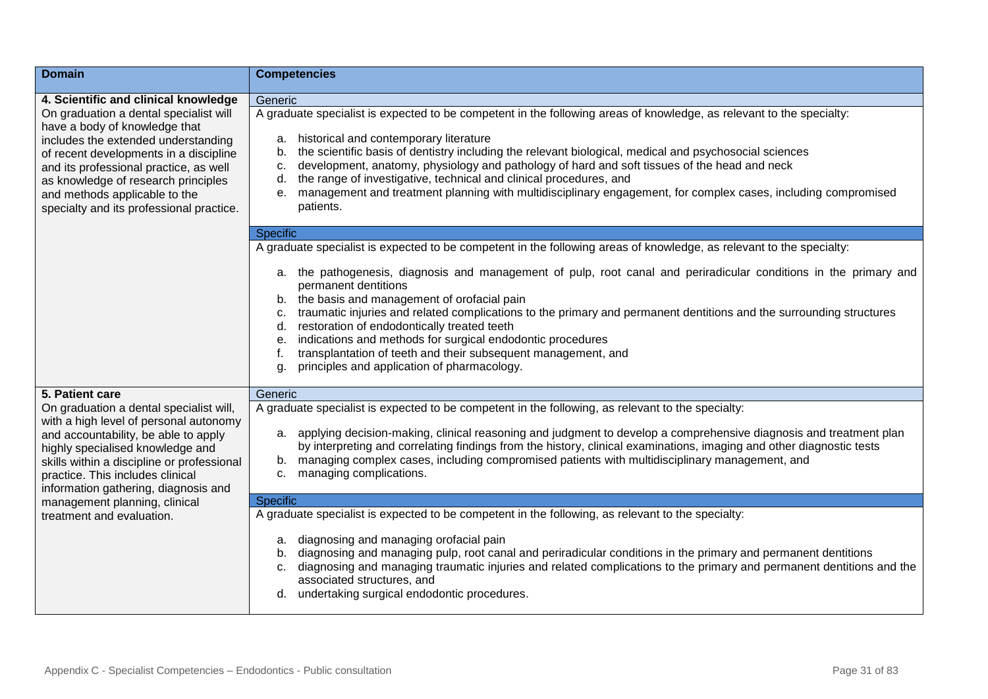| <b>Domain</b>                                                                                                                                            | <b>Competencies</b>                                                                                                                                                                                                                                                                  |
|----------------------------------------------------------------------------------------------------------------------------------------------------------|--------------------------------------------------------------------------------------------------------------------------------------------------------------------------------------------------------------------------------------------------------------------------------------|
| 4. Scientific and clinical knowledge                                                                                                                     | Generic                                                                                                                                                                                                                                                                              |
| On graduation a dental specialist will<br>have a body of knowledge that<br>includes the extended understanding<br>of recent developments in a discipline | A graduate specialist is expected to be competent in the following areas of knowledge, as relevant to the specialty:<br>historical and contemporary literature<br>a.<br>the scientific basis of dentistry including the relevant biological, medical and psychosocial sciences<br>b. |
| and its professional practice, as well                                                                                                                   | development, anatomy, physiology and pathology of hard and soft tissues of the head and neck<br>c.<br>the range of investigative, technical and clinical procedures, and<br>d.                                                                                                       |
| as knowledge of research principles<br>and methods applicable to the<br>specialty and its professional practice.                                         | management and treatment planning with multidisciplinary engagement, for complex cases, including compromised<br>е.<br>patients.                                                                                                                                                     |
|                                                                                                                                                          | Specific                                                                                                                                                                                                                                                                             |
|                                                                                                                                                          | A graduate specialist is expected to be competent in the following areas of knowledge, as relevant to the specialty:                                                                                                                                                                 |
|                                                                                                                                                          | a. the pathogenesis, diagnosis and management of pulp, root canal and periradicular conditions in the primary and<br>permanent dentitions<br>b. the basis and management of orofacial pain                                                                                           |
|                                                                                                                                                          | traumatic injuries and related complications to the primary and permanent dentitions and the surrounding structures<br>c.                                                                                                                                                            |
|                                                                                                                                                          | restoration of endodontically treated teeth<br>d.                                                                                                                                                                                                                                    |
|                                                                                                                                                          | indications and methods for surgical endodontic procedures<br>е.<br>transplantation of teeth and their subsequent management, and                                                                                                                                                    |
|                                                                                                                                                          | principles and application of pharmacology.<br>g.                                                                                                                                                                                                                                    |
| 5. Patient care                                                                                                                                          | Generic                                                                                                                                                                                                                                                                              |
| On graduation a dental specialist will,<br>with a high level of personal autonomy                                                                        | A graduate specialist is expected to be competent in the following, as relevant to the specialty:                                                                                                                                                                                    |
| and accountability, be able to apply<br>highly specialised knowledge and                                                                                 | a. applying decision-making, clinical reasoning and judgment to develop a comprehensive diagnosis and treatment plan<br>by interpreting and correlating findings from the history, clinical examinations, imaging and other diagnostic tests                                         |
| skills within a discipline or professional<br>practice. This includes clinical                                                                           | b. managing complex cases, including compromised patients with multidisciplinary management, and<br>managing complications.<br>C.                                                                                                                                                    |
| information gathering, diagnosis and                                                                                                                     |                                                                                                                                                                                                                                                                                      |
| management planning, clinical                                                                                                                            | <b>Specific</b>                                                                                                                                                                                                                                                                      |
| treatment and evaluation.                                                                                                                                | A graduate specialist is expected to be competent in the following, as relevant to the specialty:                                                                                                                                                                                    |
|                                                                                                                                                          | diagnosing and managing orofacial pain<br>а.<br>diagnosing and managing pulp, root canal and periradicular conditions in the primary and permanent dentitions                                                                                                                        |
|                                                                                                                                                          | b.<br>diagnosing and managing traumatic injuries and related complications to the primary and permanent dentitions and the<br>c.<br>associated structures, and                                                                                                                       |
|                                                                                                                                                          | undertaking surgical endodontic procedures.                                                                                                                                                                                                                                          |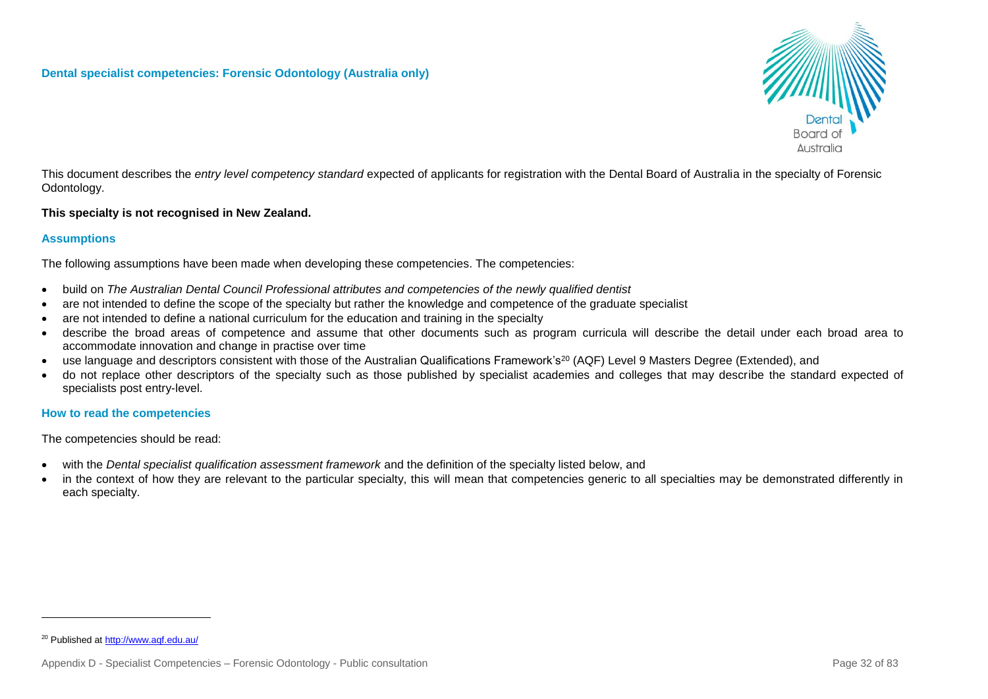

This document describes the *entry level competency standard* expected of applicants for registration with the Dental Board of Australia in the specialty of Forensic Odontology.

## **This specialty is not recognised in New Zealand.**

## **Assumptions**

The following assumptions have been made when developing these competencies. The competencies:

- build on *The Australian Dental Council Professional attributes and competencies of the newly qualified dentist*
- are not intended to define the scope of the specialty but rather the knowledge and competence of the graduate specialist
- are not intended to define a national curriculum for the education and training in the specialty
- describe the broad areas of competence and assume that other documents such as program curricula will describe the detail under each broad area to accommodate innovation and change in practise over time
- use language and descriptors consistent with those of the Australian Qualifications Framework's<sup>20</sup> (AQF) Level 9 Masters Degree (Extended), and
- do not replace other descriptors of the specialty such as those published by specialist academies and colleges that may describe the standard expected of specialists post entry-level.

## **How to read the competencies**

The competencies should be read:

- with the *Dental specialist qualification assessment framework* and the definition of the specialty listed below, and
- in the context of how they are relevant to the particular specialty, this will mean that competencies generic to all specialties may be demonstrated differently in each specialty.

l

<sup>20</sup> Published a[t http://www.aqf.edu.au/](http://www.aqf.edu.au/)

Appendix D - Specialist Competencies – Forensic Odontology - Public consultation Page 32 of 83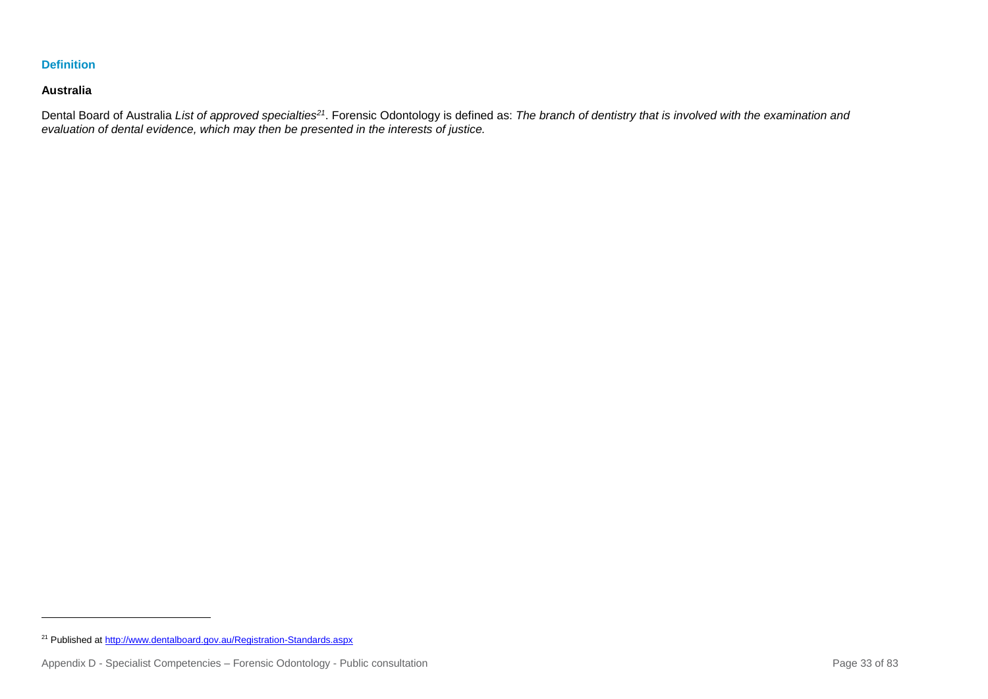## **Definition**

## **Australia**

l

Dental Board of Australia *List of approved specialties<sup>21</sup>*. Forensic Odontology is defined as: *The branch of dentistry that is involved with the examination and evaluation of dental evidence, which may then be presented in the interests of justice.*

<sup>&</sup>lt;sup>21</sup> Published a[t http://www.dentalboard.gov.au/Registration-Standards.aspx](http://www.dentalboard.gov.au/Registration-Standards.aspx)

Appendix D - Specialist Competencies – Forensic Odontology - Public consultation Page 33 of 83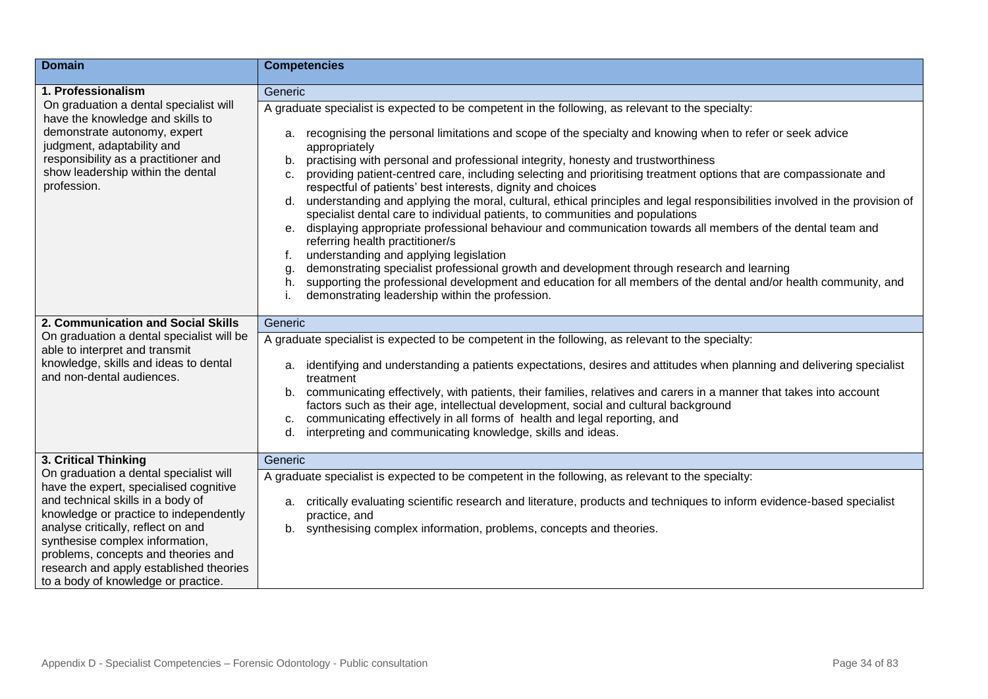| <b>Domain</b>                                                                            | <b>Competencies</b>                                                                                                                                                                                                                                                              |
|------------------------------------------------------------------------------------------|----------------------------------------------------------------------------------------------------------------------------------------------------------------------------------------------------------------------------------------------------------------------------------|
| 1. Professionalism                                                                       | Generic                                                                                                                                                                                                                                                                          |
| On graduation a dental specialist will<br>have the knowledge and skills to               | A graduate specialist is expected to be competent in the following, as relevant to the specialty:                                                                                                                                                                                |
| demonstrate autonomy, expert<br>judgment, adaptability and                               | a. recognising the personal limitations and scope of the specialty and knowing when to refer or seek advice<br>appropriately                                                                                                                                                     |
| responsibility as a practitioner and<br>show leadership within the dental<br>profession. | practising with personal and professional integrity, honesty and trustworthiness<br>b.<br>providing patient-centred care, including selecting and prioritising treatment options that are compassionate and<br>C.<br>respectful of patients' best interests, dignity and choices |
|                                                                                          | d. understanding and applying the moral, cultural, ethical principles and legal responsibilities involved in the provision of<br>specialist dental care to individual patients, to communities and populations                                                                   |
|                                                                                          | e. displaying appropriate professional behaviour and communication towards all members of the dental team and<br>referring health practitioner/s                                                                                                                                 |
|                                                                                          | understanding and applying legislation                                                                                                                                                                                                                                           |
|                                                                                          | demonstrating specialist professional growth and development through research and learning<br>g.<br>supporting the professional development and education for all members of the dental and/or health community, and<br>h.                                                       |
|                                                                                          | demonstrating leadership within the profession.                                                                                                                                                                                                                                  |
| 2. Communication and Social Skills                                                       | Generic                                                                                                                                                                                                                                                                          |
| On graduation a dental specialist will be<br>able to interpret and transmit              | A graduate specialist is expected to be competent in the following, as relevant to the specialty:                                                                                                                                                                                |
| knowledge, skills and ideas to dental<br>and non-dental audiences.                       | identifying and understanding a patients expectations, desires and attitudes when planning and delivering specialist<br>a.<br>treatment                                                                                                                                          |
|                                                                                          | communicating effectively, with patients, their families, relatives and carers in a manner that takes into account<br>b.<br>factors such as their age, intellectual development, social and cultural background                                                                  |
|                                                                                          | communicating effectively in all forms of health and legal reporting, and<br>c.<br>interpreting and communicating knowledge, skills and ideas.<br>d.                                                                                                                             |
|                                                                                          |                                                                                                                                                                                                                                                                                  |
| 3. Critical Thinking                                                                     | Generic                                                                                                                                                                                                                                                                          |
| On graduation a dental specialist will<br>have the expert, specialised cognitive         | A graduate specialist is expected to be competent in the following, as relevant to the specialty:                                                                                                                                                                                |
| and technical skills in a body of<br>knowledge or practice to independently              | critically evaluating scientific research and literature, products and techniques to inform evidence-based specialist<br>a.<br>practice, and                                                                                                                                     |
| analyse critically, reflect on and<br>synthesise complex information,                    | synthesising complex information, problems, concepts and theories.<br>b.                                                                                                                                                                                                         |
| problems, concepts and theories and<br>research and apply established theories           |                                                                                                                                                                                                                                                                                  |
| to a body of knowledge or practice.                                                      |                                                                                                                                                                                                                                                                                  |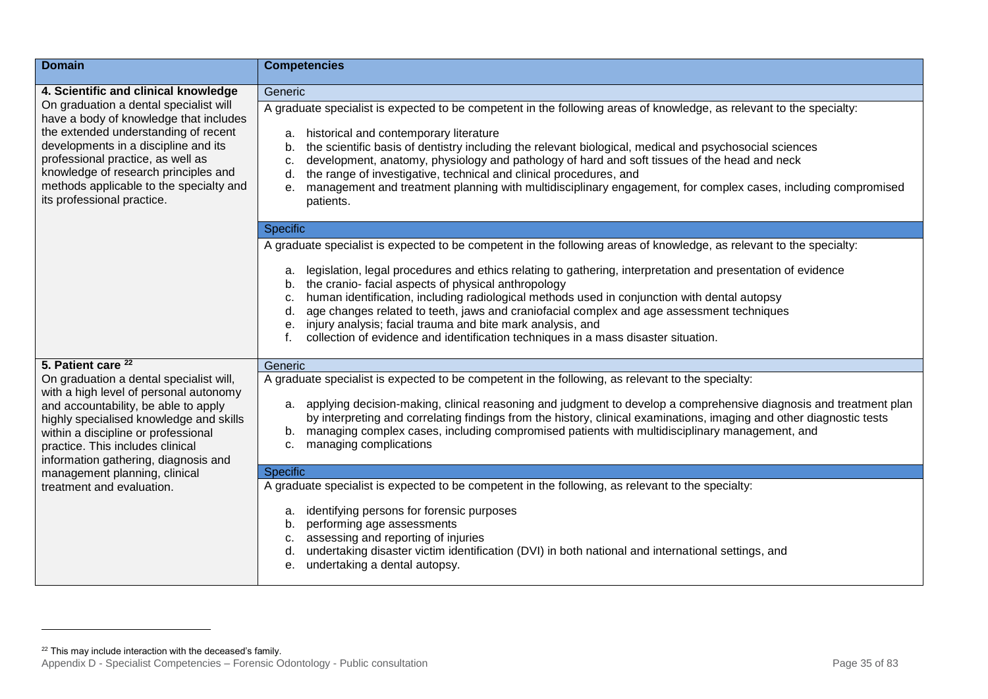| <b>Domain</b>                                                                                                                                                                                                                                                                                                          | <b>Competencies</b>                                                                                                                                                                                                                                                                                                                                                                                                                                                                                                                                                                                        |
|------------------------------------------------------------------------------------------------------------------------------------------------------------------------------------------------------------------------------------------------------------------------------------------------------------------------|------------------------------------------------------------------------------------------------------------------------------------------------------------------------------------------------------------------------------------------------------------------------------------------------------------------------------------------------------------------------------------------------------------------------------------------------------------------------------------------------------------------------------------------------------------------------------------------------------------|
| 4. Scientific and clinical knowledge                                                                                                                                                                                                                                                                                   | Generic                                                                                                                                                                                                                                                                                                                                                                                                                                                                                                                                                                                                    |
| On graduation a dental specialist will<br>have a body of knowledge that includes<br>the extended understanding of recent<br>developments in a discipline and its<br>professional practice, as well as<br>knowledge of research principles and<br>methods applicable to the specialty and<br>its professional practice. | A graduate specialist is expected to be competent in the following areas of knowledge, as relevant to the specialty:<br>historical and contemporary literature<br>a.<br>the scientific basis of dentistry including the relevant biological, medical and psychosocial sciences<br>b.<br>development, anatomy, physiology and pathology of hard and soft tissues of the head and neck<br>c.<br>the range of investigative, technical and clinical procedures, and<br>d.<br>management and treatment planning with multidisciplinary engagement, for complex cases, including compromised<br>e.<br>patients. |
|                                                                                                                                                                                                                                                                                                                        | <b>Specific</b>                                                                                                                                                                                                                                                                                                                                                                                                                                                                                                                                                                                            |
|                                                                                                                                                                                                                                                                                                                        | A graduate specialist is expected to be competent in the following areas of knowledge, as relevant to the specialty:                                                                                                                                                                                                                                                                                                                                                                                                                                                                                       |
|                                                                                                                                                                                                                                                                                                                        | legislation, legal procedures and ethics relating to gathering, interpretation and presentation of evidence<br>а.<br>b. the cranio- facial aspects of physical anthropology<br>human identification, including radiological methods used in conjunction with dental autopsy<br>с.<br>age changes related to teeth, jaws and craniofacial complex and age assessment techniques<br>d.<br>injury analysis; facial trauma and bite mark analysis, and<br>е.<br>collection of evidence and identification techniques in a mass disaster situation.<br>f.                                                       |
| 5. Patient care <sup>22</sup>                                                                                                                                                                                                                                                                                          | Generic                                                                                                                                                                                                                                                                                                                                                                                                                                                                                                                                                                                                    |
| On graduation a dental specialist will,<br>with a high level of personal autonomy<br>and accountability, be able to apply<br>highly specialised knowledge and skills<br>within a discipline or professional<br>practice. This includes clinical<br>information gathering, diagnosis and                                | A graduate specialist is expected to be competent in the following, as relevant to the specialty:<br>a. applying decision-making, clinical reasoning and judgment to develop a comprehensive diagnosis and treatment plan<br>by interpreting and correlating findings from the history, clinical examinations, imaging and other diagnostic tests<br>b. managing complex cases, including compromised patients with multidisciplinary management, and<br>c. managing complications                                                                                                                         |
| management planning, clinical                                                                                                                                                                                                                                                                                          | Specific                                                                                                                                                                                                                                                                                                                                                                                                                                                                                                                                                                                                   |
| treatment and evaluation.                                                                                                                                                                                                                                                                                              | A graduate specialist is expected to be competent in the following, as relevant to the specialty:<br>identifying persons for forensic purposes<br>а.<br>performing age assessments<br>b.<br>assessing and reporting of injuries<br>c.<br>undertaking disaster victim identification (DVI) in both national and international settings, and<br>d.<br>undertaking a dental autopsy.<br>е.                                                                                                                                                                                                                    |

l

 $22$  This may include interaction with the deceased's family.

Appendix D - Specialist Competencies – Forensic Odontology - Public consultation **Page 35 of 83** of 83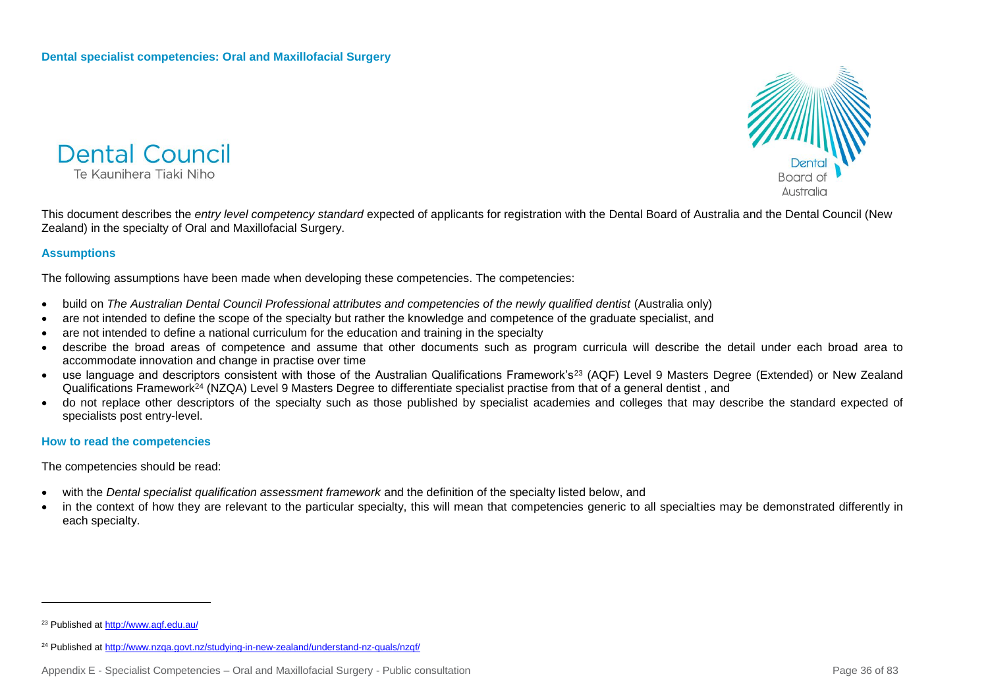



This document describes the *entry level competency standard* expected of applicants for registration with the Dental Board of Australia and the Dental Council (New Zealand) in the specialty of Oral and Maxillofacial Surgery.

## **Assumptions**

The following assumptions have been made when developing these competencies. The competencies:

- build on *The Australian Dental Council Professional attributes and competencies of the newly qualified dentist (Australia only)*
- are not intended to define the scope of the specialty but rather the knowledge and competence of the graduate specialist, and
- are not intended to define a national curriculum for the education and training in the specialty
- describe the broad areas of competence and assume that other documents such as program curricula will describe the detail under each broad area to accommodate innovation and change in practise over time
- use language and descriptors consistent with those of the Australian Qualifications Framework's<sup>23</sup> (AQF) Level 9 Masters Degree (Extended) or New Zealand Qualifications Framework<sup>24</sup> (NZQA) Level 9 Masters Degree to differentiate specialist practise from that of a general dentist, and
- do not replace other descriptors of the specialty such as those published by specialist academies and colleges that may describe the standard expected of specialists post entry-level.

## **How to read the competencies**

The competencies should be read:

- with the *Dental specialist qualification assessment framework* and the definition of the specialty listed below, and
- in the context of how they are relevant to the particular specialty, this will mean that competencies generic to all specialties may be demonstrated differently in each specialty.

l

<sup>23</sup> Published a[t http://www.aqf.edu.au/](http://www.aqf.edu.au/)

<sup>24</sup> Published a[t http://www.nzqa.govt.nz/studying-in-new-zealand/understand-nz-quals/nzqf/](http://www.nzqa.govt.nz/studying-in-new-zealand/understand-nz-quals/nzqf/)

Appendix E - Specialist Competencies – Oral and Maxillofacial Surgery - Public consultation Page 36 of 83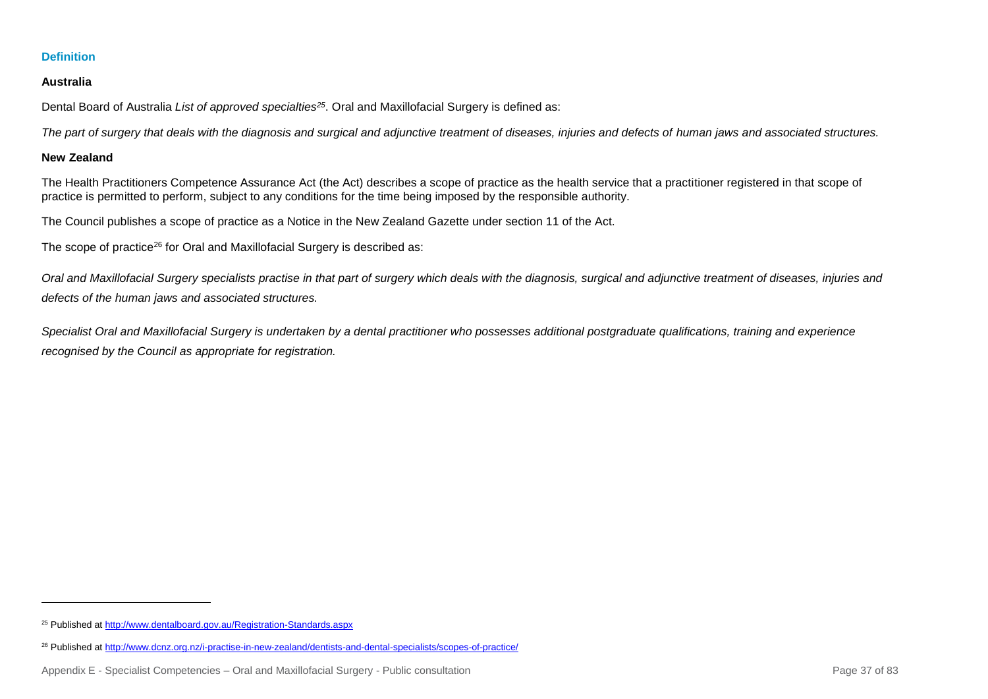### **Australia**

Dental Board of Australia *List of approved specialties<sup>25</sup>*. Oral and Maxillofacial Surgery is defined as:

*The part of surgery that deals with the diagnosis and surgical and adjunctive treatment of diseases, injuries and defects of human jaws and associated structures.*

### **New Zealand**

l

The Health Practitioners Competence Assurance Act (the Act) describes a scope of practice as the health service that a practitioner registered in that scope of practice is permitted to perform, subject to any conditions for the time being imposed by the responsible authority.

The Council publishes a scope of practice as a Notice in the New Zealand Gazette under section 11 of the Act.

The scope of practice<sup>26</sup> for Oral and Maxillofacial Surgery is described as:

*Oral and Maxillofacial Surgery specialists practise in that part of surgery which deals with the diagnosis, surgical and adjunctive treatment of diseases, injuries and defects of the human jaws and associated structures.*

*Specialist Oral and Maxillofacial Surgery is undertaken by a dental practitioner who possesses additional postgraduate qualifications, training and experience recognised by the Council as appropriate for registration.*

<sup>25</sup> Published a[t http://www.dentalboard.gov.au/Registration-Standards.aspx](http://www.dentalboard.gov.au/Registration-Standards.aspx)

<sup>26</sup> Published a[t http://www.dcnz.org.nz/i-practise-in-new-zealand/dentists-and-dental-specialists/scopes-of-practice/](http://www.dcnz.org.nz/i-practise-in-new-zealand/dentists-and-dental-specialists/scopes-of-practice/)

Appendix E - Specialist Competencies – Oral and Maxillofacial Surgery - Public consultation Page 37 of 83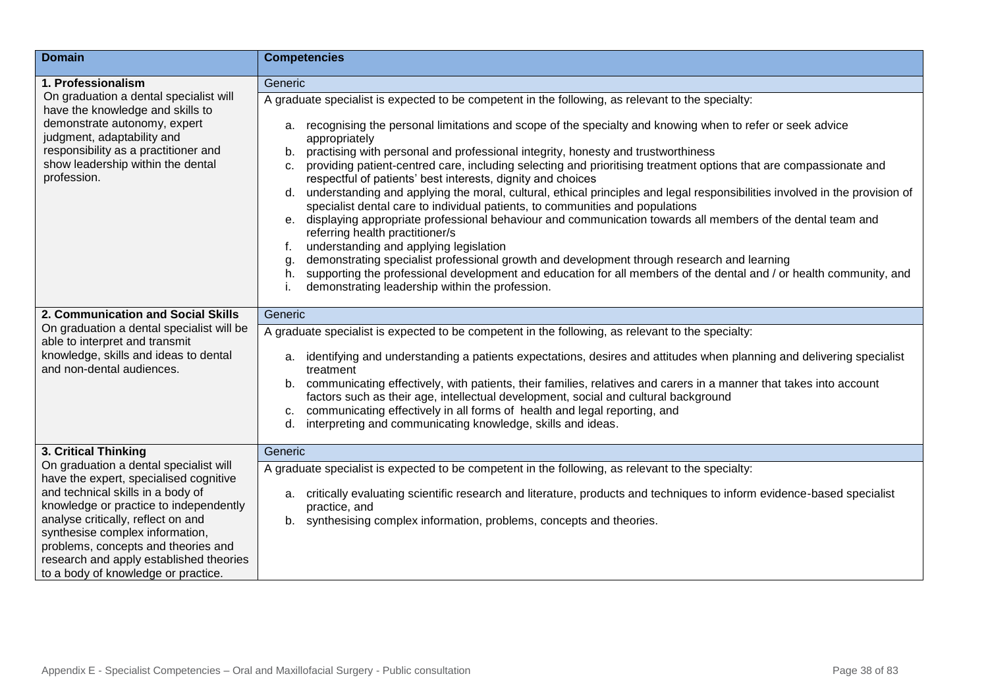| <b>Domain</b>                                                                    | <b>Competencies</b>                                                                                                                                                                                                                                                           |
|----------------------------------------------------------------------------------|-------------------------------------------------------------------------------------------------------------------------------------------------------------------------------------------------------------------------------------------------------------------------------|
| 1. Professionalism                                                               | Generic                                                                                                                                                                                                                                                                       |
| On graduation a dental specialist will<br>have the knowledge and skills to       | A graduate specialist is expected to be competent in the following, as relevant to the specialty:                                                                                                                                                                             |
| demonstrate autonomy, expert<br>judgment, adaptability and                       | a. recognising the personal limitations and scope of the specialty and knowing when to refer or seek advice<br>appropriately                                                                                                                                                  |
| responsibility as a practitioner and<br>show leadership within the dental        | practising with personal and professional integrity, honesty and trustworthiness<br>b.<br>providing patient-centred care, including selecting and prioritising treatment options that are compassionate and<br>c.                                                             |
| profession.                                                                      | respectful of patients' best interests, dignity and choices<br>d. understanding and applying the moral, cultural, ethical principles and legal responsibilities involved in the provision of<br>specialist dental care to individual patients, to communities and populations |
|                                                                                  | e. displaying appropriate professional behaviour and communication towards all members of the dental team and<br>referring health practitioner/s                                                                                                                              |
|                                                                                  | understanding and applying legislation                                                                                                                                                                                                                                        |
|                                                                                  | demonstrating specialist professional growth and development through research and learning<br>g.                                                                                                                                                                              |
|                                                                                  | supporting the professional development and education for all members of the dental and / or health community, and<br>h.<br>demonstrating leadership within the profession.                                                                                                   |
| 2. Communication and Social Skills                                               | Generic                                                                                                                                                                                                                                                                       |
| On graduation a dental specialist will be<br>able to interpret and transmit      | A graduate specialist is expected to be competent in the following, as relevant to the specialty:                                                                                                                                                                             |
| knowledge, skills and ideas to dental<br>and non-dental audiences.               | identifying and understanding a patients expectations, desires and attitudes when planning and delivering specialist<br>а.<br>treatment                                                                                                                                       |
|                                                                                  | communicating effectively, with patients, their families, relatives and carers in a manner that takes into account<br>b.<br>factors such as their age, intellectual development, social and cultural background                                                               |
|                                                                                  | communicating effectively in all forms of health and legal reporting, and<br>c.                                                                                                                                                                                               |
|                                                                                  | interpreting and communicating knowledge, skills and ideas.<br>d.                                                                                                                                                                                                             |
| 3. Critical Thinking                                                             | Generic                                                                                                                                                                                                                                                                       |
| On graduation a dental specialist will<br>have the expert, specialised cognitive | A graduate specialist is expected to be competent in the following, as relevant to the specialty:                                                                                                                                                                             |
| and technical skills in a body of<br>knowledge or practice to independently      | a. critically evaluating scientific research and literature, products and techniques to inform evidence-based specialist<br>practice, and                                                                                                                                     |
| analyse critically, reflect on and                                               | synthesising complex information, problems, concepts and theories.<br>b.                                                                                                                                                                                                      |
| synthesise complex information,<br>problems, concepts and theories and           |                                                                                                                                                                                                                                                                               |
| research and apply established theories                                          |                                                                                                                                                                                                                                                                               |
| to a body of knowledge or practice.                                              |                                                                                                                                                                                                                                                                               |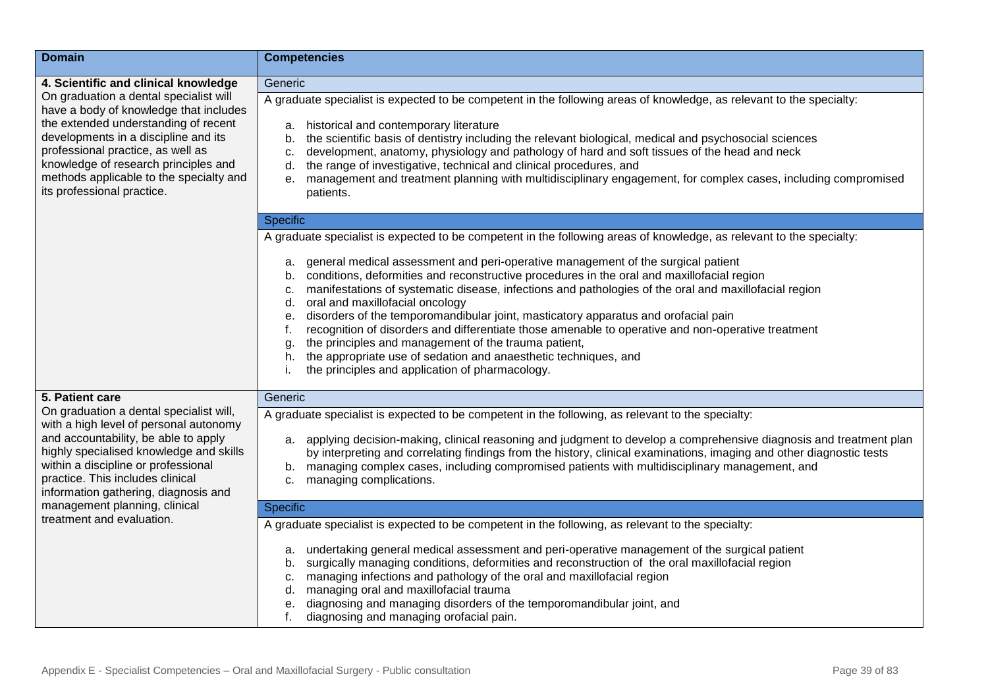| <b>Domain</b>                                                                                                                                                                                                                                                                                                          | <b>Competencies</b>                                                                                                                                                                                                                                                                                                                                                                                                                                                                                                                                                                                                                                                                                                                                        |
|------------------------------------------------------------------------------------------------------------------------------------------------------------------------------------------------------------------------------------------------------------------------------------------------------------------------|------------------------------------------------------------------------------------------------------------------------------------------------------------------------------------------------------------------------------------------------------------------------------------------------------------------------------------------------------------------------------------------------------------------------------------------------------------------------------------------------------------------------------------------------------------------------------------------------------------------------------------------------------------------------------------------------------------------------------------------------------------|
| 4. Scientific and clinical knowledge                                                                                                                                                                                                                                                                                   | Generic                                                                                                                                                                                                                                                                                                                                                                                                                                                                                                                                                                                                                                                                                                                                                    |
| On graduation a dental specialist will<br>have a body of knowledge that includes<br>the extended understanding of recent<br>developments in a discipline and its<br>professional practice, as well as<br>knowledge of research principles and<br>methods applicable to the specialty and<br>its professional practice. | A graduate specialist is expected to be competent in the following areas of knowledge, as relevant to the specialty:<br>historical and contemporary literature<br>а.<br>the scientific basis of dentistry including the relevant biological, medical and psychosocial sciences<br>b.<br>development, anatomy, physiology and pathology of hard and soft tissues of the head and neck<br>c.<br>the range of investigative, technical and clinical procedures, and<br>d.<br>e. management and treatment planning with multidisciplinary engagement, for complex cases, including compromised<br>patients.                                                                                                                                                    |
|                                                                                                                                                                                                                                                                                                                        | Specific                                                                                                                                                                                                                                                                                                                                                                                                                                                                                                                                                                                                                                                                                                                                                   |
|                                                                                                                                                                                                                                                                                                                        | A graduate specialist is expected to be competent in the following areas of knowledge, as relevant to the specialty:                                                                                                                                                                                                                                                                                                                                                                                                                                                                                                                                                                                                                                       |
|                                                                                                                                                                                                                                                                                                                        | general medical assessment and peri-operative management of the surgical patient<br>а.<br>conditions, deformities and reconstructive procedures in the oral and maxillofacial region<br>b.<br>manifestations of systematic disease, infections and pathologies of the oral and maxillofacial region<br>c.<br>oral and maxillofacial oncology<br>d.<br>disorders of the temporomandibular joint, masticatory apparatus and orofacial pain<br>е.<br>recognition of disorders and differentiate those amenable to operative and non-operative treatment<br>f.<br>the principles and management of the trauma patient,<br>g.<br>the appropriate use of sedation and anaesthetic techniques, and<br>h.<br>the principles and application of pharmacology.<br>i. |
| 5. Patient care                                                                                                                                                                                                                                                                                                        | Generic                                                                                                                                                                                                                                                                                                                                                                                                                                                                                                                                                                                                                                                                                                                                                    |
| On graduation a dental specialist will,                                                                                                                                                                                                                                                                                | A graduate specialist is expected to be competent in the following, as relevant to the specialty:                                                                                                                                                                                                                                                                                                                                                                                                                                                                                                                                                                                                                                                          |
| with a high level of personal autonomy<br>and accountability, be able to apply<br>highly specialised knowledge and skills<br>within a discipline or professional<br>practice. This includes clinical<br>information gathering, diagnosis and                                                                           | a. applying decision-making, clinical reasoning and judgment to develop a comprehensive diagnosis and treatment plan<br>by interpreting and correlating findings from the history, clinical examinations, imaging and other diagnostic tests<br>b. managing complex cases, including compromised patients with multidisciplinary management, and<br>managing complications.<br>c.                                                                                                                                                                                                                                                                                                                                                                          |
| management planning, clinical<br>treatment and evaluation.                                                                                                                                                                                                                                                             | <b>Specific</b>                                                                                                                                                                                                                                                                                                                                                                                                                                                                                                                                                                                                                                                                                                                                            |
|                                                                                                                                                                                                                                                                                                                        | A graduate specialist is expected to be competent in the following, as relevant to the specialty:<br>a. undertaking general medical assessment and peri-operative management of the surgical patient<br>surgically managing conditions, deformities and reconstruction of the oral maxillofacial region<br>b.<br>managing infections and pathology of the oral and maxillofacial region<br>c.<br>managing oral and maxillofacial trauma<br>d.<br>diagnosing and managing disorders of the temporomandibular joint, and<br>е.<br>diagnosing and managing orofacial pain.<br>f.                                                                                                                                                                              |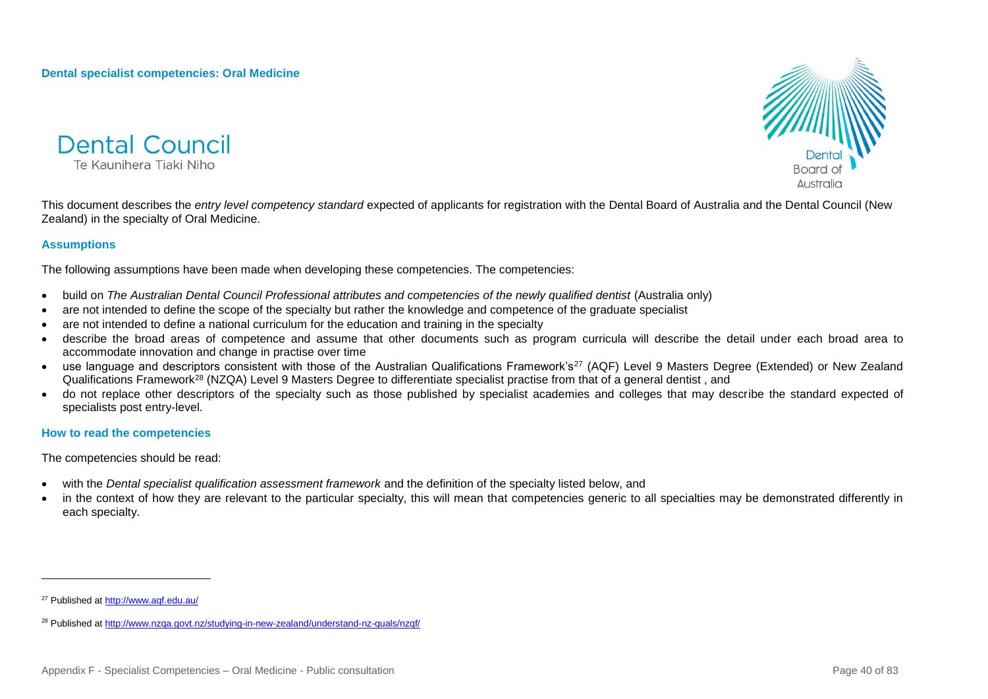



This document describes the *entry level competency standard* expected of applicants for registration with the Dental Board of Australia and the Dental Council (New Zealand) in the specialty of Oral Medicine.

### **Assumptions**

The following assumptions have been made when developing these competencies. The competencies:

- build on *The Australian Dental Council Professional attributes and competencies of the newly qualified dentist (Australia only)*
- are not intended to define the scope of the specialty but rather the knowledge and competence of the graduate specialist
- are not intended to define a national curriculum for the education and training in the specialty
- describe the broad areas of competence and assume that other documents such as program curricula will describe the detail under each broad area to accommodate innovation and change in practise over time
- use language and descriptors consistent with those of the Australian Qualifications Framework's<sup>27</sup> (AQF) Level 9 Masters Degree (Extended) or New Zealand Qualifications Framework<sup>28</sup> (NZQA) Level 9 Masters Degree to differentiate specialist practise from that of a general dentist, and
- do not replace other descriptors of the specialty such as those published by specialist academies and colleges that may describe the standard expected of specialists post entry-level.

### **How to read the competencies**

The competencies should be read:

- with the *Dental specialist qualification assessment framework* and the definition of the specialty listed below, and
- in the context of how they are relevant to the particular specialty, this will mean that competencies generic to all specialties may be demonstrated differently in each specialty.

<sup>27</sup> Published a[t http://www.aqf.edu.au/](http://www.aqf.edu.au/)

<sup>28</sup> Published a[t http://www.nzqa.govt.nz/studying-in-new-zealand/understand-nz-quals/nzqf/](http://www.nzqa.govt.nz/studying-in-new-zealand/understand-nz-quals/nzqf/)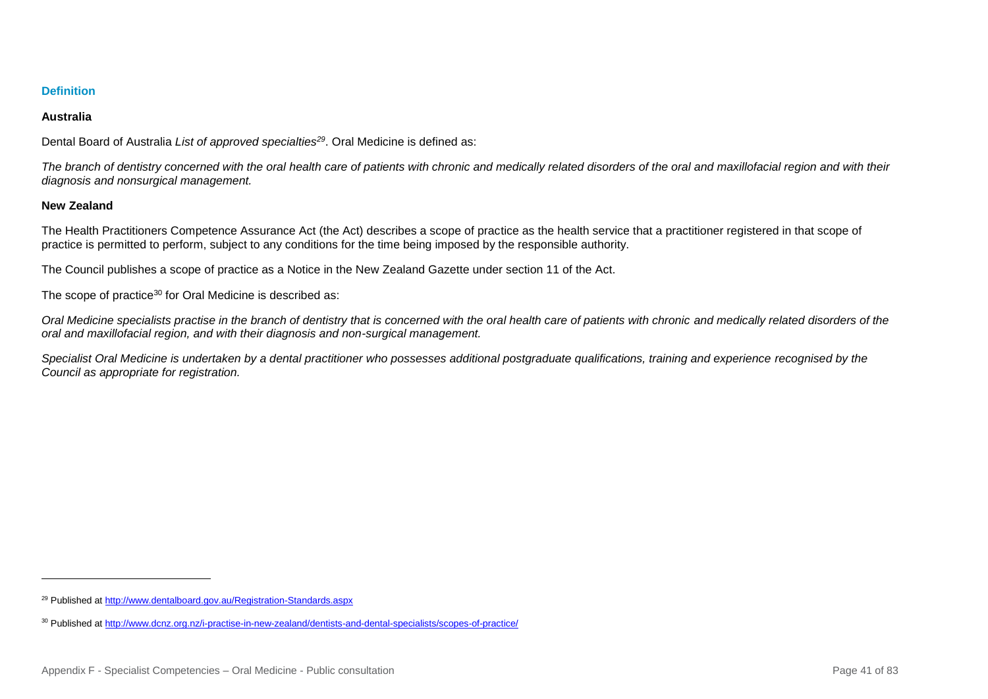## **Australia**

Dental Board of Australia *List of approved specialties<sup>29</sup>*. Oral Medicine is defined as:

*The branch of dentistry concerned with the oral health care of patients with chronic and medically related disorders of the oral and maxillofacial region and with their diagnosis and nonsurgical management.*

# **New Zealand**

l

The Health Practitioners Competence Assurance Act (the Act) describes a scope of practice as the health service that a practitioner registered in that scope of practice is permitted to perform, subject to any conditions for the time being imposed by the responsible authority.

The Council publishes a scope of practice as a Notice in the New Zealand Gazette under section 11 of the Act.

The scope of practice<sup>30</sup> for Oral Medicine is described as:

*Oral Medicine specialists practise in the branch of dentistry that is concerned with the oral health care of patients with chronic and medically related disorders of the oral and maxillofacial region, and with their diagnosis and non-surgical management.*

*Specialist Oral Medicine is undertaken by a dental practitioner who possesses additional postgraduate qualifications, training and experience recognised by the Council as appropriate for registration.*

<sup>29</sup> Published a[t http://www.dentalboard.gov.au/Registration-Standards.aspx](http://www.dentalboard.gov.au/Registration-Standards.aspx)

<sup>30</sup> Published a[t http://www.dcnz.org.nz/i-practise-in-new-zealand/dentists-and-dental-specialists/scopes-of-practice/](http://www.dcnz.org.nz/i-practise-in-new-zealand/dentists-and-dental-specialists/scopes-of-practice/)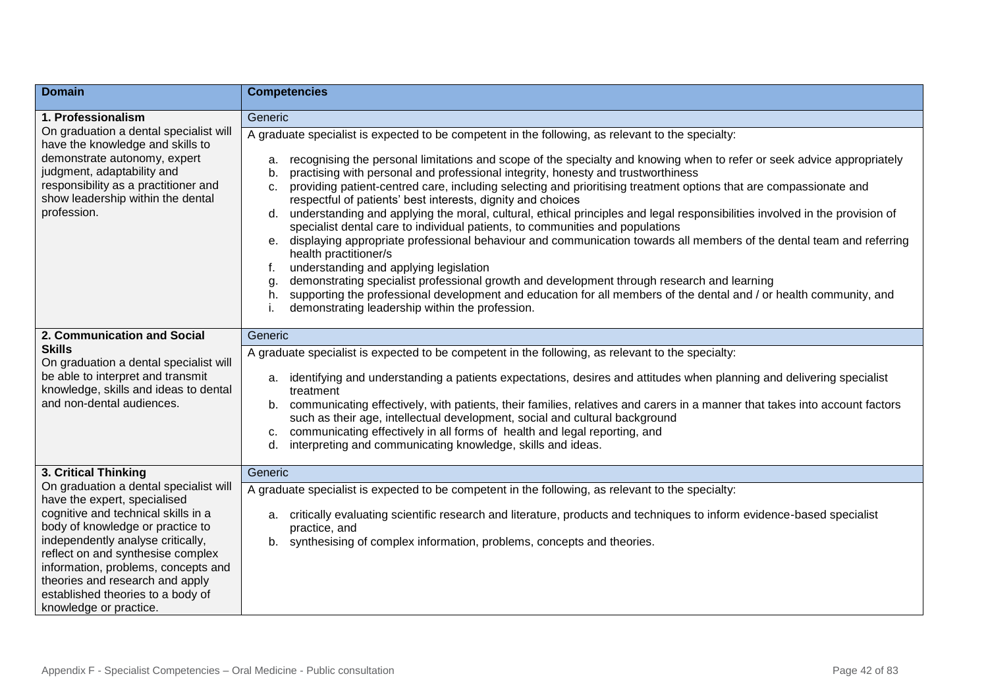| <b>Domain</b>                                                                                                                                                                                                                                                                                                                                                        | <b>Competencies</b>                                                                                                                                                                                                                                                                                                                                                                                                                                                                                                                                                                                                                                                                                                                                                                                                                                                                                                                                                                                                                                                                                                                                                                                                                  |
|----------------------------------------------------------------------------------------------------------------------------------------------------------------------------------------------------------------------------------------------------------------------------------------------------------------------------------------------------------------------|--------------------------------------------------------------------------------------------------------------------------------------------------------------------------------------------------------------------------------------------------------------------------------------------------------------------------------------------------------------------------------------------------------------------------------------------------------------------------------------------------------------------------------------------------------------------------------------------------------------------------------------------------------------------------------------------------------------------------------------------------------------------------------------------------------------------------------------------------------------------------------------------------------------------------------------------------------------------------------------------------------------------------------------------------------------------------------------------------------------------------------------------------------------------------------------------------------------------------------------|
| 1. Professionalism                                                                                                                                                                                                                                                                                                                                                   | Generic                                                                                                                                                                                                                                                                                                                                                                                                                                                                                                                                                                                                                                                                                                                                                                                                                                                                                                                                                                                                                                                                                                                                                                                                                              |
| On graduation a dental specialist will<br>have the knowledge and skills to<br>demonstrate autonomy, expert<br>judgment, adaptability and<br>responsibility as a practitioner and<br>show leadership within the dental<br>profession.                                                                                                                                 | A graduate specialist is expected to be competent in the following, as relevant to the specialty:<br>recognising the personal limitations and scope of the specialty and knowing when to refer or seek advice appropriately<br>a.<br>practising with personal and professional integrity, honesty and trustworthiness<br>b.<br>providing patient-centred care, including selecting and prioritising treatment options that are compassionate and<br>C.<br>respectful of patients' best interests, dignity and choices<br>understanding and applying the moral, cultural, ethical principles and legal responsibilities involved in the provision of<br>d.<br>specialist dental care to individual patients, to communities and populations<br>displaying appropriate professional behaviour and communication towards all members of the dental team and referring<br>e.<br>health practitioner/s<br>understanding and applying legislation<br>f.<br>demonstrating specialist professional growth and development through research and learning<br>g.<br>supporting the professional development and education for all members of the dental and / or health community, and<br>h.<br>demonstrating leadership within the profession. |
| 2. Communication and Social<br><b>Skills</b><br>On graduation a dental specialist will<br>be able to interpret and transmit<br>knowledge, skills and ideas to dental<br>and non-dental audiences.                                                                                                                                                                    | Generic<br>A graduate specialist is expected to be competent in the following, as relevant to the specialty:<br>identifying and understanding a patients expectations, desires and attitudes when planning and delivering specialist<br>a.<br>treatment<br>communicating effectively, with patients, their families, relatives and carers in a manner that takes into account factors<br>b.<br>such as their age, intellectual development, social and cultural background<br>communicating effectively in all forms of health and legal reporting, and<br>C.<br>interpreting and communicating knowledge, skills and ideas.<br>$d_{\cdot}$                                                                                                                                                                                                                                                                                                                                                                                                                                                                                                                                                                                          |
| 3. Critical Thinking                                                                                                                                                                                                                                                                                                                                                 | Generic                                                                                                                                                                                                                                                                                                                                                                                                                                                                                                                                                                                                                                                                                                                                                                                                                                                                                                                                                                                                                                                                                                                                                                                                                              |
| On graduation a dental specialist will<br>have the expert, specialised<br>cognitive and technical skills in a<br>body of knowledge or practice to<br>independently analyse critically,<br>reflect on and synthesise complex<br>information, problems, concepts and<br>theories and research and apply<br>established theories to a body of<br>knowledge or practice. | A graduate specialist is expected to be competent in the following, as relevant to the specialty:<br>critically evaluating scientific research and literature, products and techniques to inform evidence-based specialist<br>а.<br>practice, and<br>synthesising of complex information, problems, concepts and theories.<br>b.                                                                                                                                                                                                                                                                                                                                                                                                                                                                                                                                                                                                                                                                                                                                                                                                                                                                                                     |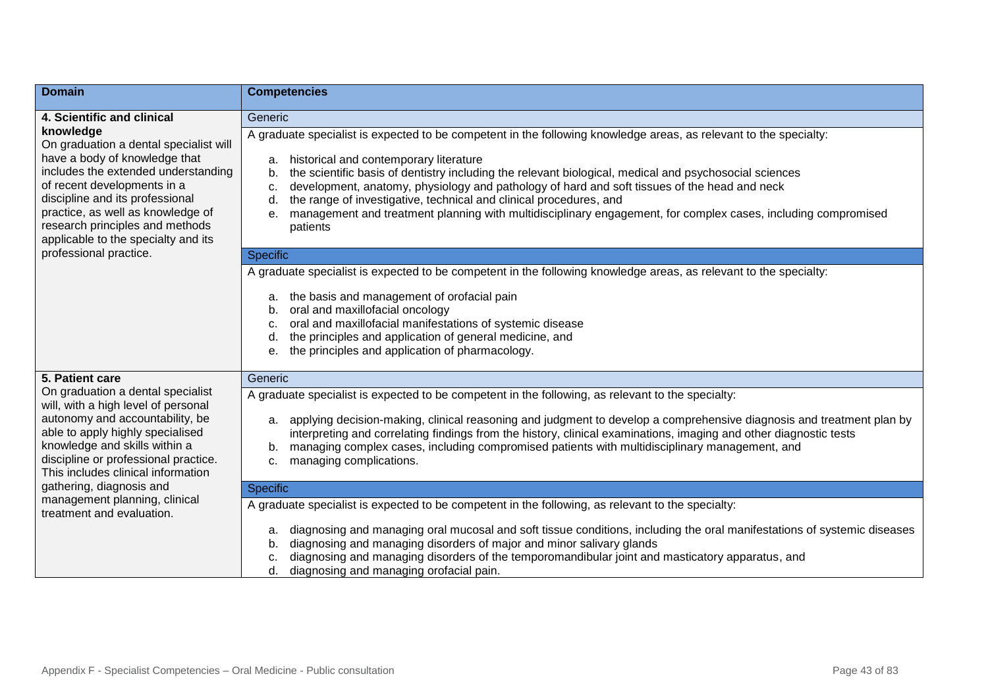| <b>Domain</b>                                                                                                                                                                                                                                                                                                | <b>Competencies</b>                                                                                                                                                                                                                                                                                                                                                                                                                                                                                                                                                                                    |
|--------------------------------------------------------------------------------------------------------------------------------------------------------------------------------------------------------------------------------------------------------------------------------------------------------------|--------------------------------------------------------------------------------------------------------------------------------------------------------------------------------------------------------------------------------------------------------------------------------------------------------------------------------------------------------------------------------------------------------------------------------------------------------------------------------------------------------------------------------------------------------------------------------------------------------|
| 4. Scientific and clinical                                                                                                                                                                                                                                                                                   | Generic                                                                                                                                                                                                                                                                                                                                                                                                                                                                                                                                                                                                |
| knowledge<br>On graduation a dental specialist will<br>have a body of knowledge that<br>includes the extended understanding<br>of recent developments in a<br>discipline and its professional<br>practice, as well as knowledge of<br>research principles and methods<br>applicable to the specialty and its | A graduate specialist is expected to be competent in the following knowledge areas, as relevant to the specialty:<br>historical and contemporary literature<br>a.<br>the scientific basis of dentistry including the relevant biological, medical and psychosocial sciences<br>b.<br>development, anatomy, physiology and pathology of hard and soft tissues of the head and neck<br>c.<br>the range of investigative, technical and clinical procedures, and<br>d.<br>management and treatment planning with multidisciplinary engagement, for complex cases, including compromised<br>е.<br>patients |
| professional practice.                                                                                                                                                                                                                                                                                       | <b>Specific</b>                                                                                                                                                                                                                                                                                                                                                                                                                                                                                                                                                                                        |
|                                                                                                                                                                                                                                                                                                              | A graduate specialist is expected to be competent in the following knowledge areas, as relevant to the specialty:<br>the basis and management of orofacial pain<br>а.<br>oral and maxillofacial oncology<br>b.<br>oral and maxillofacial manifestations of systemic disease<br>c.<br>the principles and application of general medicine, and<br>d.<br>the principles and application of pharmacology.<br>е.                                                                                                                                                                                            |
| 5. Patient care                                                                                                                                                                                                                                                                                              | Generic                                                                                                                                                                                                                                                                                                                                                                                                                                                                                                                                                                                                |
| On graduation a dental specialist<br>will, with a high level of personal<br>autonomy and accountability, be<br>able to apply highly specialised<br>knowledge and skills within a<br>discipline or professional practice.<br>This includes clinical information                                               | A graduate specialist is expected to be competent in the following, as relevant to the specialty:<br>applying decision-making, clinical reasoning and judgment to develop a comprehensive diagnosis and treatment plan by<br>а.<br>interpreting and correlating findings from the history, clinical examinations, imaging and other diagnostic tests<br>managing complex cases, including compromised patients with multidisciplinary management, and<br>b.<br>managing complications.<br>c.                                                                                                           |
| gathering, diagnosis and<br>management planning, clinical                                                                                                                                                                                                                                                    | <b>Specific</b>                                                                                                                                                                                                                                                                                                                                                                                                                                                                                                                                                                                        |
| treatment and evaluation.                                                                                                                                                                                                                                                                                    | A graduate specialist is expected to be competent in the following, as relevant to the specialty:<br>diagnosing and managing oral mucosal and soft tissue conditions, including the oral manifestations of systemic diseases<br>a.<br>diagnosing and managing disorders of major and minor salivary glands<br>b.<br>diagnosing and managing disorders of the temporomandibular joint and masticatory apparatus, and<br>c.<br>diagnosing and managing orofacial pain.<br>d.                                                                                                                             |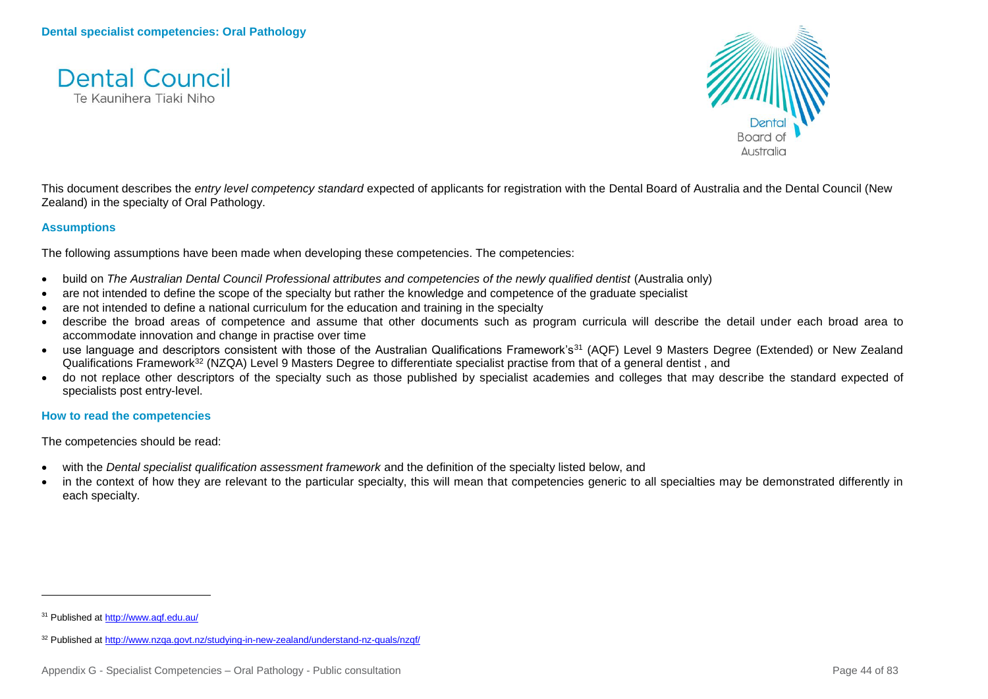



This document describes the *entry level competency standard* expected of applicants for registration with the Dental Board of Australia and the Dental Council (New Zealand) in the specialty of Oral Pathology.

## **Assumptions**

The following assumptions have been made when developing these competencies. The competencies:

- build on *The Australian Dental Council Professional attributes and competencies of the newly qualified dentist (Australia only)*
- are not intended to define the scope of the specialty but rather the knowledge and competence of the graduate specialist
- are not intended to define a national curriculum for the education and training in the specialty
- describe the broad areas of competence and assume that other documents such as program curricula will describe the detail under each broad area to accommodate innovation and change in practise over time
- use language and descriptors consistent with those of the Australian Qualifications Framework's<sup>31</sup> (AQF) Level 9 Masters Degree (Extended) or New Zealand Qualifications Framework<sup>32</sup> (NZQA) Level 9 Masters Degree to differentiate specialist practise from that of a general dentist, and
- do not replace other descriptors of the specialty such as those published by specialist academies and colleges that may describe the standard expected of specialists post entry-level.

#### **How to read the competencies**

The competencies should be read:

- with the *Dental specialist qualification assessment framework* and the definition of the specialty listed below, and
- in the context of how they are relevant to the particular specialty, this will mean that competencies generic to all specialties may be demonstrated differently in each specialty.

<sup>31</sup> Published a[t http://www.aqf.edu.au/](http://www.aqf.edu.au/)

<sup>32</sup> Published a[t http://www.nzqa.govt.nz/studying-in-new-zealand/understand-nz-quals/nzqf/](http://www.nzqa.govt.nz/studying-in-new-zealand/understand-nz-quals/nzqf/)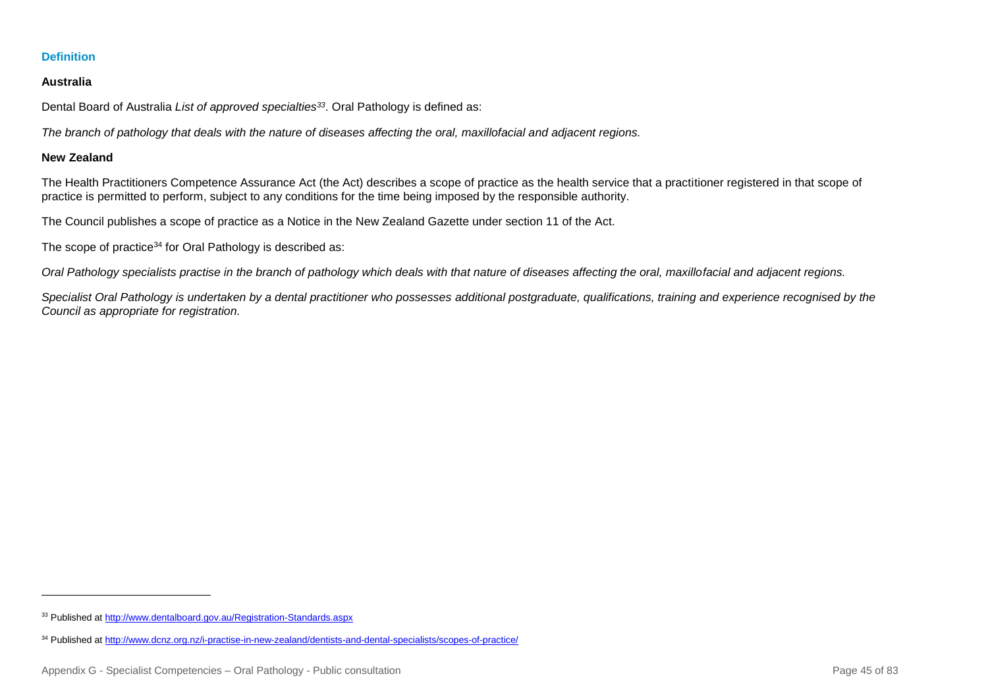#### **Australia**

Dental Board of Australia *List of approved specialties<sup>33</sup>*. Oral Pathology is defined as:

*The branch of pathology that deals with the nature of diseases affecting the oral, maxillofacial and adjacent regions.*

#### **New Zealand**

l

The Health Practitioners Competence Assurance Act (the Act) describes a scope of practice as the health service that a practitioner registered in that scope of practice is permitted to perform, subject to any conditions for the time being imposed by the responsible authority.

The Council publishes a scope of practice as a Notice in the New Zealand Gazette under section 11 of the Act.

The scope of practice<sup>34</sup> for Oral Pathology is described as:

*Oral Pathology specialists practise in the branch of pathology which deals with that nature of diseases affecting the oral, maxillofacial and adjacent regions.*

*Specialist Oral Pathology is undertaken by a dental practitioner who possesses additional postgraduate, qualifications, training and experience recognised by the Council as appropriate for registration.*

<sup>33</sup> Published a[t http://www.dentalboard.gov.au/Registration-Standards.aspx](http://www.dentalboard.gov.au/Registration-Standards.aspx)

<sup>34</sup> Published a[t http://www.dcnz.org.nz/i-practise-in-new-zealand/dentists-and-dental-specialists/scopes-of-practice/](http://www.dcnz.org.nz/i-practise-in-new-zealand/dentists-and-dental-specialists/scopes-of-practice/)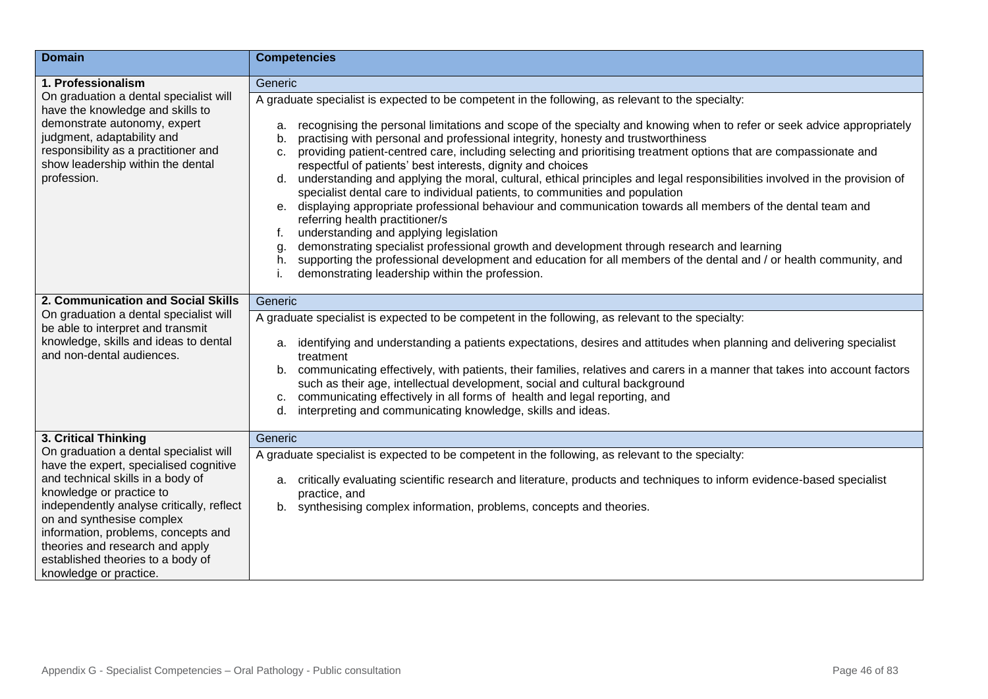| <b>Domain</b>                                                                                                                                                                                                                                                                                                              | <b>Competencies</b>                                                                                                                                                                                                                                                                                                                                                                                                                                                                                                                                                                                                                                                                                                                                                                                                                                                                                                                                                                                                                                                                                                                                                                                                          |
|----------------------------------------------------------------------------------------------------------------------------------------------------------------------------------------------------------------------------------------------------------------------------------------------------------------------------|------------------------------------------------------------------------------------------------------------------------------------------------------------------------------------------------------------------------------------------------------------------------------------------------------------------------------------------------------------------------------------------------------------------------------------------------------------------------------------------------------------------------------------------------------------------------------------------------------------------------------------------------------------------------------------------------------------------------------------------------------------------------------------------------------------------------------------------------------------------------------------------------------------------------------------------------------------------------------------------------------------------------------------------------------------------------------------------------------------------------------------------------------------------------------------------------------------------------------|
| 1. Professionalism                                                                                                                                                                                                                                                                                                         | Generic                                                                                                                                                                                                                                                                                                                                                                                                                                                                                                                                                                                                                                                                                                                                                                                                                                                                                                                                                                                                                                                                                                                                                                                                                      |
| On graduation a dental specialist will<br>have the knowledge and skills to<br>demonstrate autonomy, expert<br>judgment, adaptability and<br>responsibility as a practitioner and<br>show leadership within the dental<br>profession.                                                                                       | A graduate specialist is expected to be competent in the following, as relevant to the specialty:<br>recognising the personal limitations and scope of the specialty and knowing when to refer or seek advice appropriately<br>a.<br>practising with personal and professional integrity, honesty and trustworthiness<br>b.<br>providing patient-centred care, including selecting and prioritising treatment options that are compassionate and<br>C.<br>respectful of patients' best interests, dignity and choices<br>d. understanding and applying the moral, cultural, ethical principles and legal responsibilities involved in the provision of<br>specialist dental care to individual patients, to communities and population<br>e. displaying appropriate professional behaviour and communication towards all members of the dental team and<br>referring health practitioner/s<br>understanding and applying legislation<br>f.<br>demonstrating specialist professional growth and development through research and learning<br>g<br>supporting the professional development and education for all members of the dental and / or health community, and<br>h.<br>demonstrating leadership within the profession. |
| 2. Communication and Social Skills                                                                                                                                                                                                                                                                                         | Generic                                                                                                                                                                                                                                                                                                                                                                                                                                                                                                                                                                                                                                                                                                                                                                                                                                                                                                                                                                                                                                                                                                                                                                                                                      |
| On graduation a dental specialist will                                                                                                                                                                                                                                                                                     | A graduate specialist is expected to be competent in the following, as relevant to the specialty:                                                                                                                                                                                                                                                                                                                                                                                                                                                                                                                                                                                                                                                                                                                                                                                                                                                                                                                                                                                                                                                                                                                            |
| be able to interpret and transmit<br>knowledge, skills and ideas to dental<br>and non-dental audiences.                                                                                                                                                                                                                    | identifying and understanding a patients expectations, desires and attitudes when planning and delivering specialist<br>a.<br>treatment<br>b. communicating effectively, with patients, their families, relatives and carers in a manner that takes into account factors<br>such as their age, intellectual development, social and cultural background<br>communicating effectively in all forms of health and legal reporting, and<br>c.<br>interpreting and communicating knowledge, skills and ideas.<br>d.                                                                                                                                                                                                                                                                                                                                                                                                                                                                                                                                                                                                                                                                                                              |
| 3. Critical Thinking<br>On graduation a dental specialist will                                                                                                                                                                                                                                                             | Generic                                                                                                                                                                                                                                                                                                                                                                                                                                                                                                                                                                                                                                                                                                                                                                                                                                                                                                                                                                                                                                                                                                                                                                                                                      |
| have the expert, specialised cognitive<br>and technical skills in a body of<br>knowledge or practice to<br>independently analyse critically, reflect<br>on and synthesise complex<br>information, problems, concepts and<br>theories and research and apply<br>established theories to a body of<br>knowledge or practice. | A graduate specialist is expected to be competent in the following, as relevant to the specialty:<br>a. critically evaluating scientific research and literature, products and techniques to inform evidence-based specialist<br>practice, and<br>synthesising complex information, problems, concepts and theories.<br>b.                                                                                                                                                                                                                                                                                                                                                                                                                                                                                                                                                                                                                                                                                                                                                                                                                                                                                                   |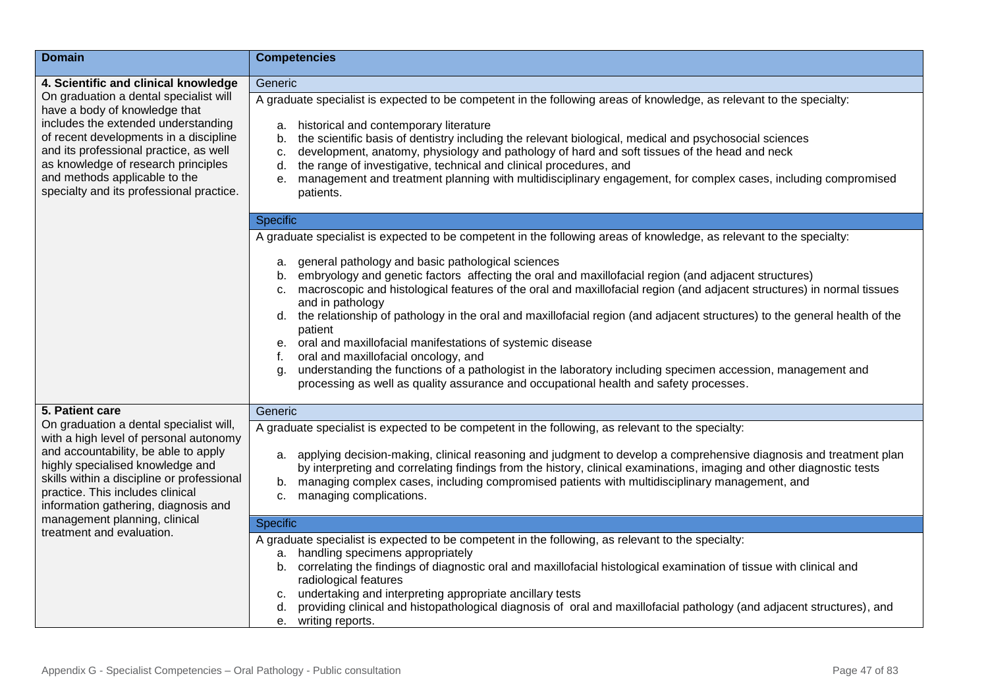| <b>Domain</b>                                                                                                                                                                                                                                                                                                          | <b>Competencies</b>                                                                                                                                                                                                                                                                                                                                                                                                                                                                                                                                                                                                                                                                                                                                                                                 |
|------------------------------------------------------------------------------------------------------------------------------------------------------------------------------------------------------------------------------------------------------------------------------------------------------------------------|-----------------------------------------------------------------------------------------------------------------------------------------------------------------------------------------------------------------------------------------------------------------------------------------------------------------------------------------------------------------------------------------------------------------------------------------------------------------------------------------------------------------------------------------------------------------------------------------------------------------------------------------------------------------------------------------------------------------------------------------------------------------------------------------------------|
| 4. Scientific and clinical knowledge                                                                                                                                                                                                                                                                                   | Generic                                                                                                                                                                                                                                                                                                                                                                                                                                                                                                                                                                                                                                                                                                                                                                                             |
| On graduation a dental specialist will<br>have a body of knowledge that<br>includes the extended understanding<br>of recent developments in a discipline<br>and its professional practice, as well<br>as knowledge of research principles<br>and methods applicable to the<br>specialty and its professional practice. | A graduate specialist is expected to be competent in the following areas of knowledge, as relevant to the specialty:<br>historical and contemporary literature<br>a.<br>the scientific basis of dentistry including the relevant biological, medical and psychosocial sciences<br>b.<br>development, anatomy, physiology and pathology of hard and soft tissues of the head and neck<br>C.<br>the range of investigative, technical and clinical procedures, and<br>d.<br>management and treatment planning with multidisciplinary engagement, for complex cases, including compromised<br>е.<br>patients.                                                                                                                                                                                          |
|                                                                                                                                                                                                                                                                                                                        | <b>Specific</b>                                                                                                                                                                                                                                                                                                                                                                                                                                                                                                                                                                                                                                                                                                                                                                                     |
|                                                                                                                                                                                                                                                                                                                        | A graduate specialist is expected to be competent in the following areas of knowledge, as relevant to the specialty:                                                                                                                                                                                                                                                                                                                                                                                                                                                                                                                                                                                                                                                                                |
|                                                                                                                                                                                                                                                                                                                        | general pathology and basic pathological sciences<br>a.<br>embryology and genetic factors affecting the oral and maxillofacial region (and adjacent structures)<br>b.<br>macroscopic and histological features of the oral and maxillofacial region (and adjacent structures) in normal tissues<br>c.<br>and in pathology<br>d. the relationship of pathology in the oral and maxillofacial region (and adjacent structures) to the general health of the<br>patient<br>oral and maxillofacial manifestations of systemic disease<br>е.<br>oral and maxillofacial oncology, and<br>f.<br>understanding the functions of a pathologist in the laboratory including specimen accession, management and<br>q.<br>processing as well as quality assurance and occupational health and safety processes. |
| 5. Patient care                                                                                                                                                                                                                                                                                                        | Generic                                                                                                                                                                                                                                                                                                                                                                                                                                                                                                                                                                                                                                                                                                                                                                                             |
| On graduation a dental specialist will,<br>with a high level of personal autonomy                                                                                                                                                                                                                                      | A graduate specialist is expected to be competent in the following, as relevant to the specialty:                                                                                                                                                                                                                                                                                                                                                                                                                                                                                                                                                                                                                                                                                                   |
| and accountability, be able to apply<br>highly specialised knowledge and<br>skills within a discipline or professional<br>practice. This includes clinical<br>information gathering, diagnosis and<br>management planning, clinical                                                                                    | a. applying decision-making, clinical reasoning and judgment to develop a comprehensive diagnosis and treatment plan<br>by interpreting and correlating findings from the history, clinical examinations, imaging and other diagnostic tests<br>managing complex cases, including compromised patients with multidisciplinary management, and<br>b.<br>managing complications.<br>c.                                                                                                                                                                                                                                                                                                                                                                                                                |
| treatment and evaluation.                                                                                                                                                                                                                                                                                              | <b>Specific</b>                                                                                                                                                                                                                                                                                                                                                                                                                                                                                                                                                                                                                                                                                                                                                                                     |
|                                                                                                                                                                                                                                                                                                                        | A graduate specialist is expected to be competent in the following, as relevant to the specialty:<br>handling specimens appropriately<br>a.<br>correlating the findings of diagnostic oral and maxillofacial histological examination of tissue with clinical and<br>b.<br>radiological features<br>undertaking and interpreting appropriate ancillary tests<br>C.<br>providing clinical and histopathological diagnosis of oral and maxillofacial pathology (and adjacent structures), and<br>d.                                                                                                                                                                                                                                                                                                   |
|                                                                                                                                                                                                                                                                                                                        | e. writing reports.                                                                                                                                                                                                                                                                                                                                                                                                                                                                                                                                                                                                                                                                                                                                                                                 |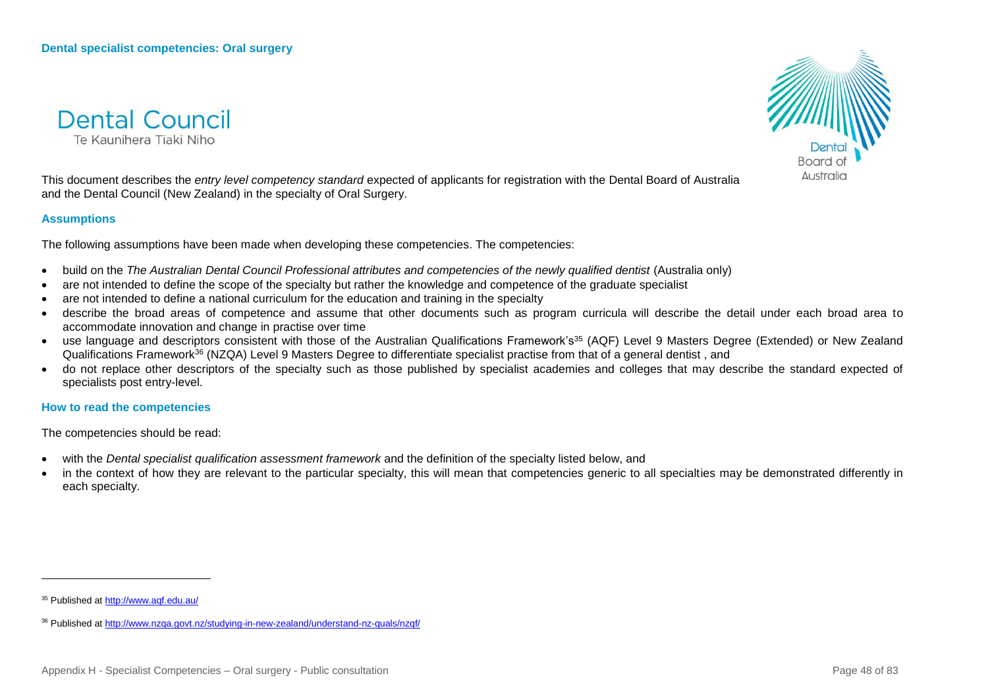**Dental Council** Te Kaupihera Tiaki Niho



This document describes the *entry level competency standard* expected of applicants for registration with the Dental Board of Australia and the Dental Council (New Zealand) in the specialty of Oral Surgery.

#### **Assumptions**

The following assumptions have been made when developing these competencies. The competencies:

- build on the *The Australian Dental Council Professional attributes and competencies of the newly qualified dentist (Australia only)*
- are not intended to define the scope of the specialty but rather the knowledge and competence of the graduate specialist
- are not intended to define a national curriculum for the education and training in the specialty
- describe the broad areas of competence and assume that other documents such as program curricula will describe the detail under each broad area to accommodate innovation and change in practise over time
- use language and descriptors consistent with those of the Australian Qualifications Framework's<sup>35</sup> (AQF) Level 9 Masters Degree (Extended) or New Zealand Qualifications Framework<sup>36</sup> (NZQA) Level 9 Masters Degree to differentiate specialist practise from that of a general dentist , and
- do not replace other descriptors of the specialty such as those published by specialist academies and colleges that may describe the standard expected of specialists post entry-level.

**How to read the competencies**

The competencies should be read:

- with the *Dental specialist qualification assessment framework* and the definition of the specialty listed below, and
- in the context of how they are relevant to the particular specialty, this will mean that competencies generic to all specialties may be demonstrated differently in each specialty.

<sup>35</sup> Published a[t http://www.aqf.edu.au/](http://www.aqf.edu.au/)

<sup>36</sup> Published a[t http://www.nzqa.govt.nz/studying-in-new-zealand/understand-nz-quals/nzqf/](http://www.nzqa.govt.nz/studying-in-new-zealand/understand-nz-quals/nzqf/)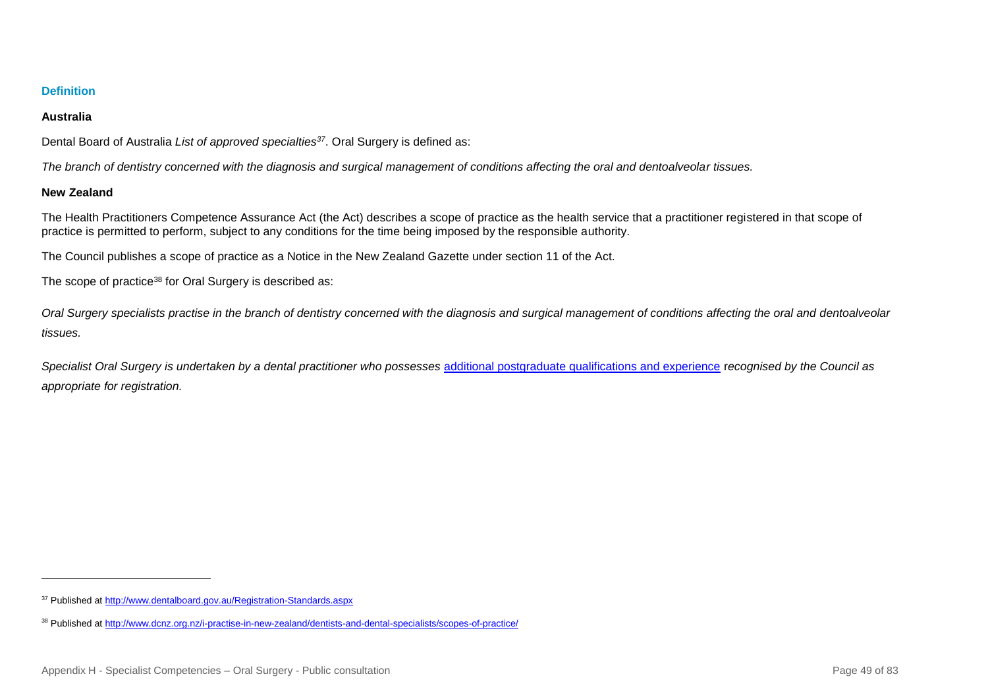## **Australia**

Dental Board of Australia *List of approved specialties<sup>37</sup>*. Oral Surgery is defined as:

*The branch of dentistry concerned with the diagnosis and surgical management of conditions affecting the oral and dentoalveolar tissues.*

## **New Zealand**

l

The Health Practitioners Competence Assurance Act (the Act) describes a scope of practice as the health service that a practitioner registered in that scope of practice is permitted to perform, subject to any conditions for the time being imposed by the responsible authority.

The Council publishes a scope of practice as a Notice in the New Zealand Gazette under section 11 of the Act.

The scope of practice<sup>38</sup> for Oral Surgery is described as:

*Oral Surgery specialists practise in the branch of dentistry concerned with the diagnosis and surgical management of conditions affecting the oral and dentoalveolar tissues.*

Specialist Oral Surgery is undertaken by a dental practitioner who possesses [additional postgraduate qualifications and experience](http://www.dcnz.org.nz/i-want-to-practise-in-new-zealand/dentists-and-dental-specialists/prescribed-qualifications-for-dental-specialists/) recognised by the Council as *appropriate for registration.*

<sup>37</sup> Published a[t http://www.dentalboard.gov.au/Registration-Standards.aspx](http://www.dentalboard.gov.au/Registration-Standards.aspx)

<sup>38</sup> Published a[t http://www.dcnz.org.nz/i-practise-in-new-zealand/dentists-and-dental-specialists/scopes-of-practice/](http://www.dcnz.org.nz/i-practise-in-new-zealand/dentists-and-dental-specialists/scopes-of-practice/)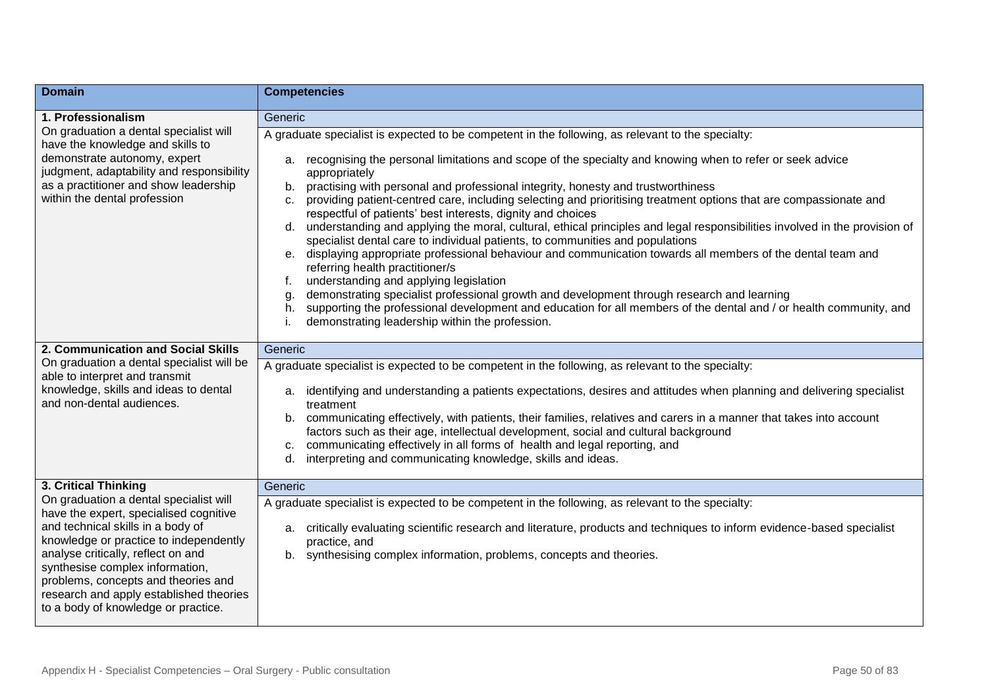| <b>Domain</b>                                                                                                                                                                                                                                                                                                                                                     | <b>Competencies</b>                                                                                                                                                                                                                                                                                                                                                                                                                                                                                                                                                                                                                                                                                                                                                                                                                                                                                                                                                                                                                                                                                                                                                                                                      |
|-------------------------------------------------------------------------------------------------------------------------------------------------------------------------------------------------------------------------------------------------------------------------------------------------------------------------------------------------------------------|--------------------------------------------------------------------------------------------------------------------------------------------------------------------------------------------------------------------------------------------------------------------------------------------------------------------------------------------------------------------------------------------------------------------------------------------------------------------------------------------------------------------------------------------------------------------------------------------------------------------------------------------------------------------------------------------------------------------------------------------------------------------------------------------------------------------------------------------------------------------------------------------------------------------------------------------------------------------------------------------------------------------------------------------------------------------------------------------------------------------------------------------------------------------------------------------------------------------------|
| 1. Professionalism                                                                                                                                                                                                                                                                                                                                                | Generic                                                                                                                                                                                                                                                                                                                                                                                                                                                                                                                                                                                                                                                                                                                                                                                                                                                                                                                                                                                                                                                                                                                                                                                                                  |
| On graduation a dental specialist will<br>have the knowledge and skills to<br>demonstrate autonomy, expert<br>judgment, adaptability and responsibility<br>as a practitioner and show leadership<br>within the dental profession                                                                                                                                  | A graduate specialist is expected to be competent in the following, as relevant to the specialty:<br>a. recognising the personal limitations and scope of the specialty and knowing when to refer or seek advice<br>appropriately<br>practising with personal and professional integrity, honesty and trustworthiness<br>b.<br>providing patient-centred care, including selecting and prioritising treatment options that are compassionate and<br>C.<br>respectful of patients' best interests, dignity and choices<br>d. understanding and applying the moral, cultural, ethical principles and legal responsibilities involved in the provision of<br>specialist dental care to individual patients, to communities and populations<br>e. displaying appropriate professional behaviour and communication towards all members of the dental team and<br>referring health practitioner/s<br>understanding and applying legislation<br>demonstrating specialist professional growth and development through research and learning<br>g.<br>supporting the professional development and education for all members of the dental and / or health community, and<br>h.<br>demonstrating leadership within the profession. |
| 2. Communication and Social Skills                                                                                                                                                                                                                                                                                                                                | Generic                                                                                                                                                                                                                                                                                                                                                                                                                                                                                                                                                                                                                                                                                                                                                                                                                                                                                                                                                                                                                                                                                                                                                                                                                  |
| On graduation a dental specialist will be<br>able to interpret and transmit<br>knowledge, skills and ideas to dental<br>and non-dental audiences.                                                                                                                                                                                                                 | A graduate specialist is expected to be competent in the following, as relevant to the specialty:<br>identifying and understanding a patients expectations, desires and attitudes when planning and delivering specialist<br>а.<br>treatment<br>b. communicating effectively, with patients, their families, relatives and carers in a manner that takes into account<br>factors such as their age, intellectual development, social and cultural background<br>communicating effectively in all forms of health and legal reporting, and<br>interpreting and communicating knowledge, skills and ideas.<br>d.                                                                                                                                                                                                                                                                                                                                                                                                                                                                                                                                                                                                           |
| 3. Critical Thinking                                                                                                                                                                                                                                                                                                                                              | Generic                                                                                                                                                                                                                                                                                                                                                                                                                                                                                                                                                                                                                                                                                                                                                                                                                                                                                                                                                                                                                                                                                                                                                                                                                  |
| On graduation a dental specialist will<br>have the expert, specialised cognitive<br>and technical skills in a body of<br>knowledge or practice to independently<br>analyse critically, reflect on and<br>synthesise complex information,<br>problems, concepts and theories and<br>research and apply established theories<br>to a body of knowledge or practice. | A graduate specialist is expected to be competent in the following, as relevant to the specialty:<br>critically evaluating scientific research and literature, products and techniques to inform evidence-based specialist<br>a.<br>practice, and<br>b. synthesising complex information, problems, concepts and theories.                                                                                                                                                                                                                                                                                                                                                                                                                                                                                                                                                                                                                                                                                                                                                                                                                                                                                               |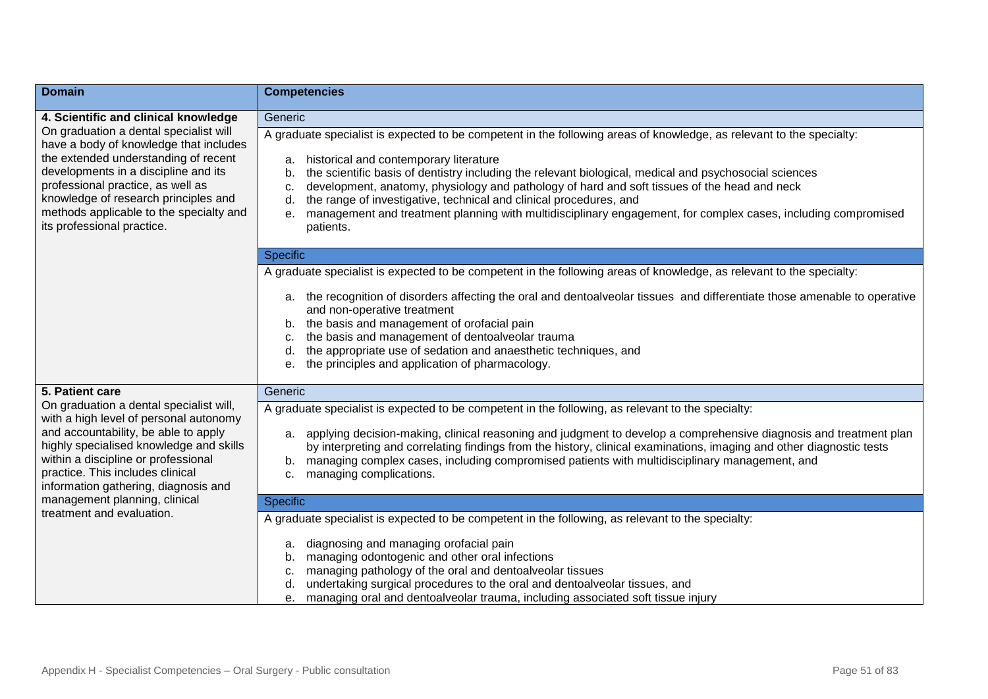| <b>Domain</b>                                                                                                                                                                                                                                                                                                          | <b>Competencies</b>                                                                                                                                                                                                                                                                                                                                                                                                                                                                                                                                                                                        |
|------------------------------------------------------------------------------------------------------------------------------------------------------------------------------------------------------------------------------------------------------------------------------------------------------------------------|------------------------------------------------------------------------------------------------------------------------------------------------------------------------------------------------------------------------------------------------------------------------------------------------------------------------------------------------------------------------------------------------------------------------------------------------------------------------------------------------------------------------------------------------------------------------------------------------------------|
| 4. Scientific and clinical knowledge                                                                                                                                                                                                                                                                                   | Generic                                                                                                                                                                                                                                                                                                                                                                                                                                                                                                                                                                                                    |
| On graduation a dental specialist will<br>have a body of knowledge that includes<br>the extended understanding of recent<br>developments in a discipline and its<br>professional practice, as well as<br>knowledge of research principles and<br>methods applicable to the specialty and<br>its professional practice. | A graduate specialist is expected to be competent in the following areas of knowledge, as relevant to the specialty:<br>historical and contemporary literature<br>a.<br>the scientific basis of dentistry including the relevant biological, medical and psychosocial sciences<br>b.<br>development, anatomy, physiology and pathology of hard and soft tissues of the head and neck<br>C.<br>the range of investigative, technical and clinical procedures, and<br>d.<br>management and treatment planning with multidisciplinary engagement, for complex cases, including compromised<br>е.<br>patients. |
|                                                                                                                                                                                                                                                                                                                        | <b>Specific</b>                                                                                                                                                                                                                                                                                                                                                                                                                                                                                                                                                                                            |
|                                                                                                                                                                                                                                                                                                                        | A graduate specialist is expected to be competent in the following areas of knowledge, as relevant to the specialty:                                                                                                                                                                                                                                                                                                                                                                                                                                                                                       |
|                                                                                                                                                                                                                                                                                                                        | a. the recognition of disorders affecting the oral and dentoalveolar tissues and differentiate those amenable to operative<br>and non-operative treatment<br>b. the basis and management of orofacial pain<br>the basis and management of dentoalveolar trauma<br>c.<br>the appropriate use of sedation and anaesthetic techniques, and<br>d.<br>the principles and application of pharmacology.<br>е.                                                                                                                                                                                                     |
| 5. Patient care                                                                                                                                                                                                                                                                                                        | Generic                                                                                                                                                                                                                                                                                                                                                                                                                                                                                                                                                                                                    |
| On graduation a dental specialist will,<br>with a high level of personal autonomy<br>and accountability, be able to apply<br>highly specialised knowledge and skills<br>within a discipline or professional<br>practice. This includes clinical<br>information gathering, diagnosis and                                | A graduate specialist is expected to be competent in the following, as relevant to the specialty:<br>a. applying decision-making, clinical reasoning and judgment to develop a comprehensive diagnosis and treatment plan<br>by interpreting and correlating findings from the history, clinical examinations, imaging and other diagnostic tests<br>b. managing complex cases, including compromised patients with multidisciplinary management, and<br>managing complications.<br>c.                                                                                                                     |
| management planning, clinical                                                                                                                                                                                                                                                                                          | <b>Specific</b>                                                                                                                                                                                                                                                                                                                                                                                                                                                                                                                                                                                            |
| treatment and evaluation.                                                                                                                                                                                                                                                                                              | A graduate specialist is expected to be competent in the following, as relevant to the specialty:<br>diagnosing and managing orofacial pain<br>a.<br>managing odontogenic and other oral infections<br>b.<br>managing pathology of the oral and dentoalveolar tissues<br>c.<br>undertaking surgical procedures to the oral and dentoalveolar tissues, and<br>d.<br>e. managing oral and dentoalveolar trauma, including associated soft tissue injury                                                                                                                                                      |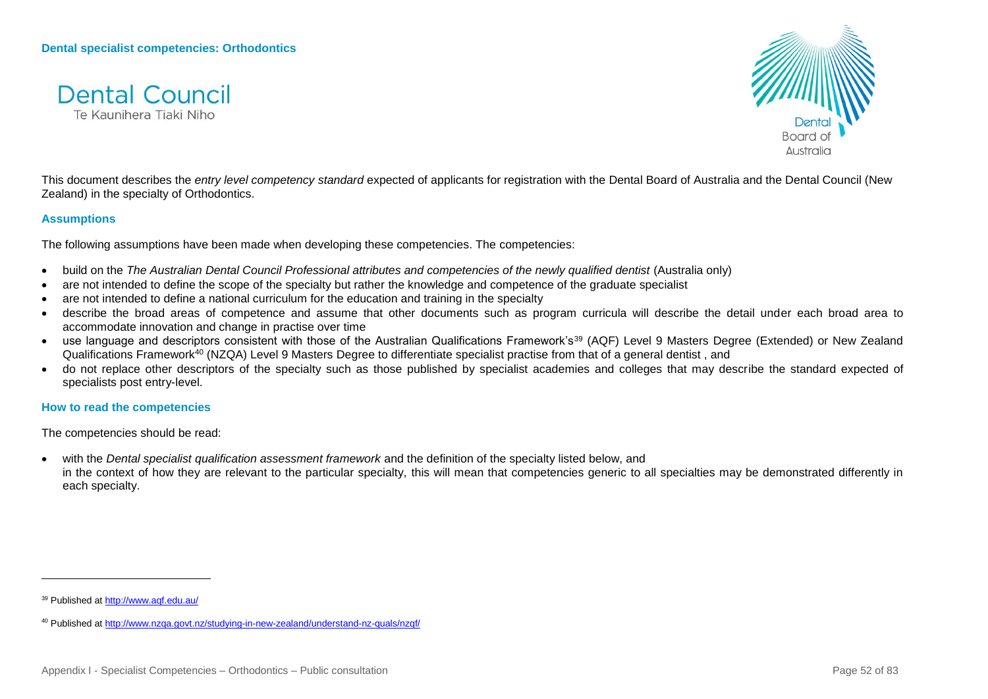



This document describes the *entry level competency standard* expected of applicants for registration with the Dental Board of Australia and the Dental Council (New Zealand) in the specialty of Orthodontics.

#### **Assumptions**

The following assumptions have been made when developing these competencies. The competencies:

- build on the *The Australian Dental Council Professional attributes and competencies of the newly qualified dentist (Australia only)*
- are not intended to define the scope of the specialty but rather the knowledge and competence of the graduate specialist
- are not intended to define a national curriculum for the education and training in the specialty
- describe the broad areas of competence and assume that other documents such as program curricula will describe the detail under each broad area to accommodate innovation and change in practise over time
- use language and descriptors consistent with those of the Australian Qualifications Framework's<sup>39</sup> (AQF) Level 9 Masters Degree (Extended) or New Zealand Qualifications Framework<sup>40</sup> (NZQA) Level 9 Masters Degree to differentiate specialist practise from that of a general dentist , and
- do not replace other descriptors of the specialty such as those published by specialist academies and colleges that may describe the standard expected of specialists post entry-level.

#### **How to read the competencies**

The competencies should be read:

 with the *Dental specialist qualification assessment framework* and the definition of the specialty listed below, and in the context of how they are relevant to the particular specialty, this will mean that competencies generic to all specialties may be demonstrated differently in each specialty.

<sup>39</sup> Published a[t http://www.aqf.edu.au/](http://www.aqf.edu.au/)

<sup>40</sup> Published a[t http://www.nzqa.govt.nz/studying-in-new-zealand/understand-nz-quals/nzqf/](http://www.nzqa.govt.nz/studying-in-new-zealand/understand-nz-quals/nzqf/)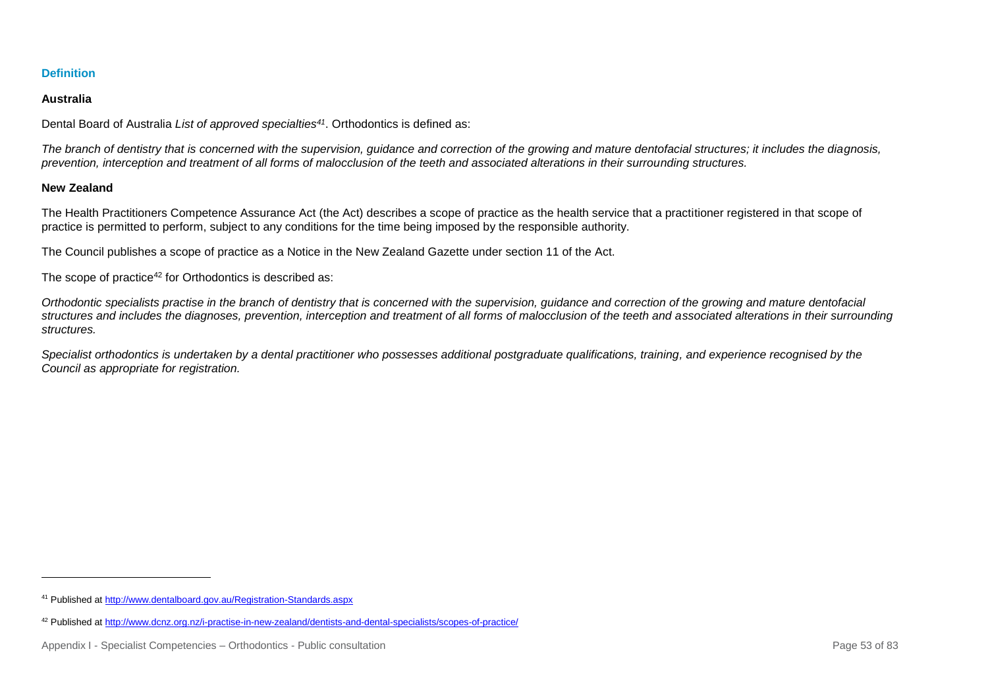## **Australia**

Dental Board of Australia *List of approved specialties<sup>41</sup>*. Orthodontics is defined as:

*The branch of dentistry that is concerned with the supervision, guidance and correction of the growing and mature dentofacial structures; it includes the diagnosis, prevention, interception and treatment of all forms of malocclusion of the teeth and associated alterations in their surrounding structures.*

## **New Zealand**

l

The Health Practitioners Competence Assurance Act (the Act) describes a scope of practice as the health service that a practitioner registered in that scope of practice is permitted to perform, subject to any conditions for the time being imposed by the responsible authority.

The Council publishes a scope of practice as a Notice in the New Zealand Gazette under section 11 of the Act.

The scope of practice<sup>42</sup> for Orthodontics is described as:

*Orthodontic specialists practise in the branch of dentistry that is concerned with the supervision, guidance and correction of the growing and mature dentofacial structures and includes the diagnoses, prevention, interception and treatment of all forms of malocclusion of the teeth and associated alterations in their surrounding structures.*

*Specialist orthodontics is undertaken by a dental practitioner who possesses additional postgraduate qualifications, training, and experience recognised by the Council as appropriate for registration.*

<sup>41</sup> Published a[t http://www.dentalboard.gov.au/Registration-Standards.aspx](http://www.dentalboard.gov.au/Registration-Standards.aspx)

<sup>42</sup> Published a[t http://www.dcnz.org.nz/i-practise-in-new-zealand/dentists-and-dental-specialists/scopes-of-practice/](http://www.dcnz.org.nz/i-practise-in-new-zealand/dentists-and-dental-specialists/scopes-of-practice/)

Appendix I - Specialist Competencies – Orthodontics - Public consultation **Page 53** of 83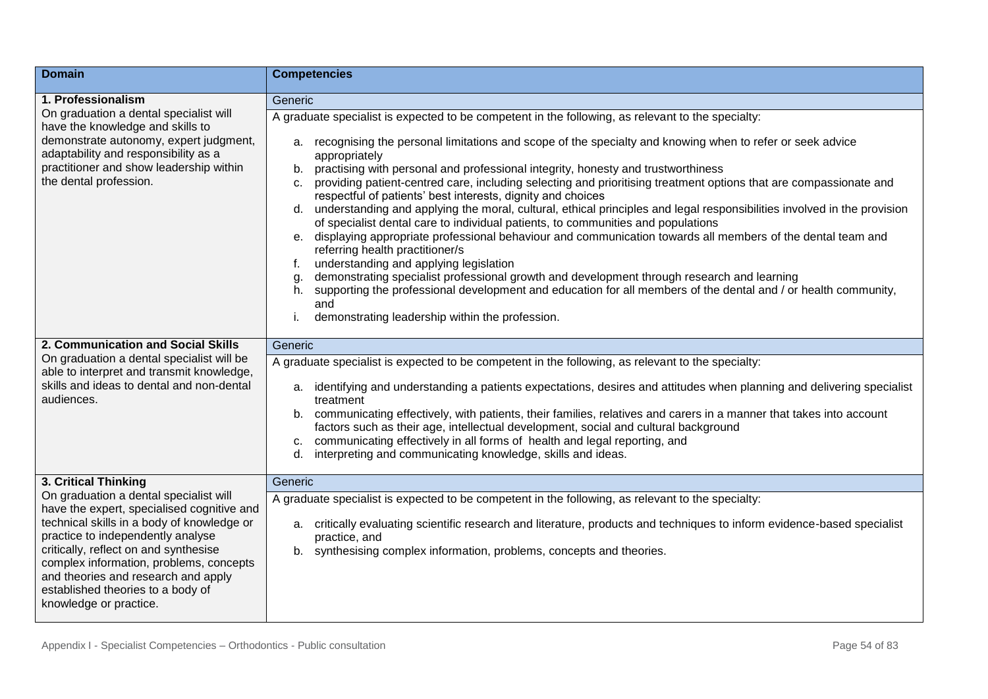| <b>Domain</b>                                                                                                                                                                                                                                                                                                                                                     | <b>Competencies</b>                                                                                                                                                                                                                                                                                                                                                                                                                                                                                                                                                                                                                                                                                                                                                                                                                                                                                                                                                                                                                                                                                                                                                                                                                     |
|-------------------------------------------------------------------------------------------------------------------------------------------------------------------------------------------------------------------------------------------------------------------------------------------------------------------------------------------------------------------|-----------------------------------------------------------------------------------------------------------------------------------------------------------------------------------------------------------------------------------------------------------------------------------------------------------------------------------------------------------------------------------------------------------------------------------------------------------------------------------------------------------------------------------------------------------------------------------------------------------------------------------------------------------------------------------------------------------------------------------------------------------------------------------------------------------------------------------------------------------------------------------------------------------------------------------------------------------------------------------------------------------------------------------------------------------------------------------------------------------------------------------------------------------------------------------------------------------------------------------------|
| 1. Professionalism                                                                                                                                                                                                                                                                                                                                                | Generic                                                                                                                                                                                                                                                                                                                                                                                                                                                                                                                                                                                                                                                                                                                                                                                                                                                                                                                                                                                                                                                                                                                                                                                                                                 |
| On graduation a dental specialist will<br>have the knowledge and skills to<br>demonstrate autonomy, expert judgment,<br>adaptability and responsibility as a<br>practitioner and show leadership within<br>the dental profession.                                                                                                                                 | A graduate specialist is expected to be competent in the following, as relevant to the specialty:<br>a. recognising the personal limitations and scope of the specialty and knowing when to refer or seek advice<br>appropriately<br>practising with personal and professional integrity, honesty and trustworthiness<br>b.<br>providing patient-centred care, including selecting and prioritising treatment options that are compassionate and<br>C.<br>respectful of patients' best interests, dignity and choices<br>understanding and applying the moral, cultural, ethical principles and legal responsibilities involved in the provision<br>d.<br>of specialist dental care to individual patients, to communities and populations<br>displaying appropriate professional behaviour and communication towards all members of the dental team and<br>e.<br>referring health practitioner/s<br>understanding and applying legislation<br>f.<br>demonstrating specialist professional growth and development through research and learning<br>g.<br>supporting the professional development and education for all members of the dental and / or health community,<br>h.<br>and<br>demonstrating leadership within the profession. |
|                                                                                                                                                                                                                                                                                                                                                                   |                                                                                                                                                                                                                                                                                                                                                                                                                                                                                                                                                                                                                                                                                                                                                                                                                                                                                                                                                                                                                                                                                                                                                                                                                                         |
| 2. Communication and Social Skills<br>On graduation a dental specialist will be<br>able to interpret and transmit knowledge,<br>skills and ideas to dental and non-dental<br>audiences.                                                                                                                                                                           | Generic<br>A graduate specialist is expected to be competent in the following, as relevant to the specialty:<br>identifying and understanding a patients expectations, desires and attitudes when planning and delivering specialist<br>а.<br>treatment<br>communicating effectively, with patients, their families, relatives and carers in a manner that takes into account<br>b.<br>factors such as their age, intellectual development, social and cultural background<br>communicating effectively in all forms of health and legal reporting, and<br>C.<br>interpreting and communicating knowledge, skills and ideas.<br>d.                                                                                                                                                                                                                                                                                                                                                                                                                                                                                                                                                                                                      |
| 3. Critical Thinking                                                                                                                                                                                                                                                                                                                                              | Generic                                                                                                                                                                                                                                                                                                                                                                                                                                                                                                                                                                                                                                                                                                                                                                                                                                                                                                                                                                                                                                                                                                                                                                                                                                 |
| On graduation a dental specialist will<br>have the expert, specialised cognitive and<br>technical skills in a body of knowledge or<br>practice to independently analyse<br>critically, reflect on and synthesise<br>complex information, problems, concepts<br>and theories and research and apply<br>established theories to a body of<br>knowledge or practice. | A graduate specialist is expected to be competent in the following, as relevant to the specialty:<br>a. critically evaluating scientific research and literature, products and techniques to inform evidence-based specialist<br>practice, and<br>synthesising complex information, problems, concepts and theories.<br>b.                                                                                                                                                                                                                                                                                                                                                                                                                                                                                                                                                                                                                                                                                                                                                                                                                                                                                                              |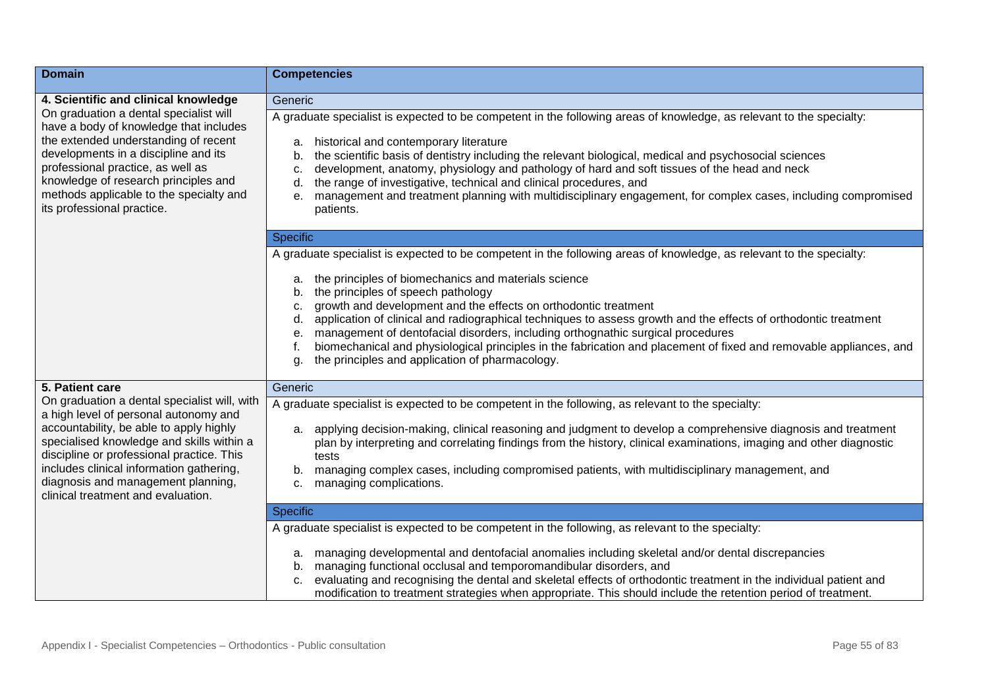| <b>Domain</b>                                                                                                                                                                                                                                                                                                          | <b>Competencies</b>                                                                                                                                                                                                                                                                                                                                                                                                                                                                                                                                                                                        |
|------------------------------------------------------------------------------------------------------------------------------------------------------------------------------------------------------------------------------------------------------------------------------------------------------------------------|------------------------------------------------------------------------------------------------------------------------------------------------------------------------------------------------------------------------------------------------------------------------------------------------------------------------------------------------------------------------------------------------------------------------------------------------------------------------------------------------------------------------------------------------------------------------------------------------------------|
| 4. Scientific and clinical knowledge                                                                                                                                                                                                                                                                                   | Generic                                                                                                                                                                                                                                                                                                                                                                                                                                                                                                                                                                                                    |
| On graduation a dental specialist will<br>have a body of knowledge that includes<br>the extended understanding of recent<br>developments in a discipline and its<br>professional practice, as well as<br>knowledge of research principles and<br>methods applicable to the specialty and<br>its professional practice. | A graduate specialist is expected to be competent in the following areas of knowledge, as relevant to the specialty:<br>historical and contemporary literature<br>a.<br>the scientific basis of dentistry including the relevant biological, medical and psychosocial sciences<br>b.<br>development, anatomy, physiology and pathology of hard and soft tissues of the head and neck<br>C.<br>the range of investigative, technical and clinical procedures, and<br>d.<br>management and treatment planning with multidisciplinary engagement, for complex cases, including compromised<br>е.<br>patients. |
|                                                                                                                                                                                                                                                                                                                        | <b>Specific</b>                                                                                                                                                                                                                                                                                                                                                                                                                                                                                                                                                                                            |
|                                                                                                                                                                                                                                                                                                                        | A graduate specialist is expected to be competent in the following areas of knowledge, as relevant to the specialty:                                                                                                                                                                                                                                                                                                                                                                                                                                                                                       |
|                                                                                                                                                                                                                                                                                                                        | the principles of biomechanics and materials science<br>a.<br>the principles of speech pathology<br>b.<br>growth and development and the effects on orthodontic treatment<br>C.<br>application of clinical and radiographical techniques to assess growth and the effects of orthodontic treatment<br>d.<br>management of dentofacial disorders, including orthognathic surgical procedures<br>е.<br>biomechanical and physiological principles in the fabrication and placement of fixed and removable appliances, and<br>the principles and application of pharmacology.<br>g.                           |
| 5. Patient care                                                                                                                                                                                                                                                                                                        | Generic                                                                                                                                                                                                                                                                                                                                                                                                                                                                                                                                                                                                    |
| On graduation a dental specialist will, with<br>a high level of personal autonomy and<br>accountability, be able to apply highly<br>specialised knowledge and skills within a<br>discipline or professional practice. This                                                                                             | A graduate specialist is expected to be competent in the following, as relevant to the specialty:<br>applying decision-making, clinical reasoning and judgment to develop a comprehensive diagnosis and treatment<br>а.<br>plan by interpreting and correlating findings from the history, clinical examinations, imaging and other diagnostic<br>tests                                                                                                                                                                                                                                                    |
| includes clinical information gathering,<br>diagnosis and management planning,<br>clinical treatment and evaluation.                                                                                                                                                                                                   | managing complex cases, including compromised patients, with multidisciplinary management, and<br>b.<br>managing complications.<br>C.                                                                                                                                                                                                                                                                                                                                                                                                                                                                      |
|                                                                                                                                                                                                                                                                                                                        | Specific                                                                                                                                                                                                                                                                                                                                                                                                                                                                                                                                                                                                   |
|                                                                                                                                                                                                                                                                                                                        | A graduate specialist is expected to be competent in the following, as relevant to the specialty:                                                                                                                                                                                                                                                                                                                                                                                                                                                                                                          |
|                                                                                                                                                                                                                                                                                                                        | managing developmental and dentofacial anomalies including skeletal and/or dental discrepancies<br>а.<br>managing functional occlusal and temporomandibular disorders, and<br>b.<br>evaluating and recognising the dental and skeletal effects of orthodontic treatment in the individual patient and<br>C.<br>modification to treatment strategies when appropriate. This should include the retention period of treatment.                                                                                                                                                                               |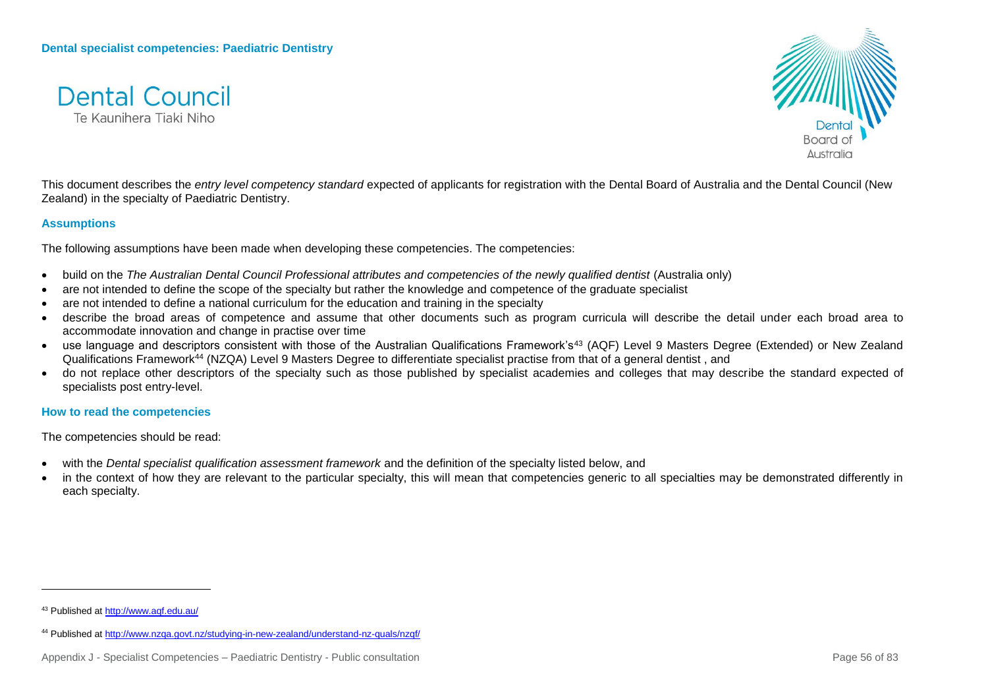



This document describes the *entry level competency standard* expected of applicants for registration with the Dental Board of Australia and the Dental Council (New Zealand) in the specialty of Paediatric Dentistry.

#### **Assumptions**

The following assumptions have been made when developing these competencies. The competencies:

- build on the *The Australian Dental Council Professional attributes and competencies of the newly qualified dentist (Australia only)*
- are not intended to define the scope of the specialty but rather the knowledge and competence of the graduate specialist
- are not intended to define a national curriculum for the education and training in the specialty
- describe the broad areas of competence and assume that other documents such as program curricula will describe the detail under each broad area to accommodate innovation and change in practise over time
- use language and descriptors consistent with those of the Australian Qualifications Framework's<sup>43</sup> (AQF) Level 9 Masters Degree (Extended) or New Zealand Qualifications Framework<sup>44</sup> (NZQA) Level 9 Masters Degree to differentiate specialist practise from that of a general dentist , and
- do not replace other descriptors of the specialty such as those published by specialist academies and colleges that may describe the standard expected of specialists post entry-level.

#### **How to read the competencies**

The competencies should be read:

- with the *Dental specialist qualification assessment framework* and the definition of the specialty listed below, and
- in the context of how they are relevant to the particular specialty, this will mean that competencies generic to all specialties may be demonstrated differently in each specialty.

<sup>43</sup> Published a[t http://www.aqf.edu.au/](http://www.aqf.edu.au/)

<sup>44</sup> Published a[t http://www.nzqa.govt.nz/studying-in-new-zealand/understand-nz-quals/nzqf/](http://www.nzqa.govt.nz/studying-in-new-zealand/understand-nz-quals/nzqf/)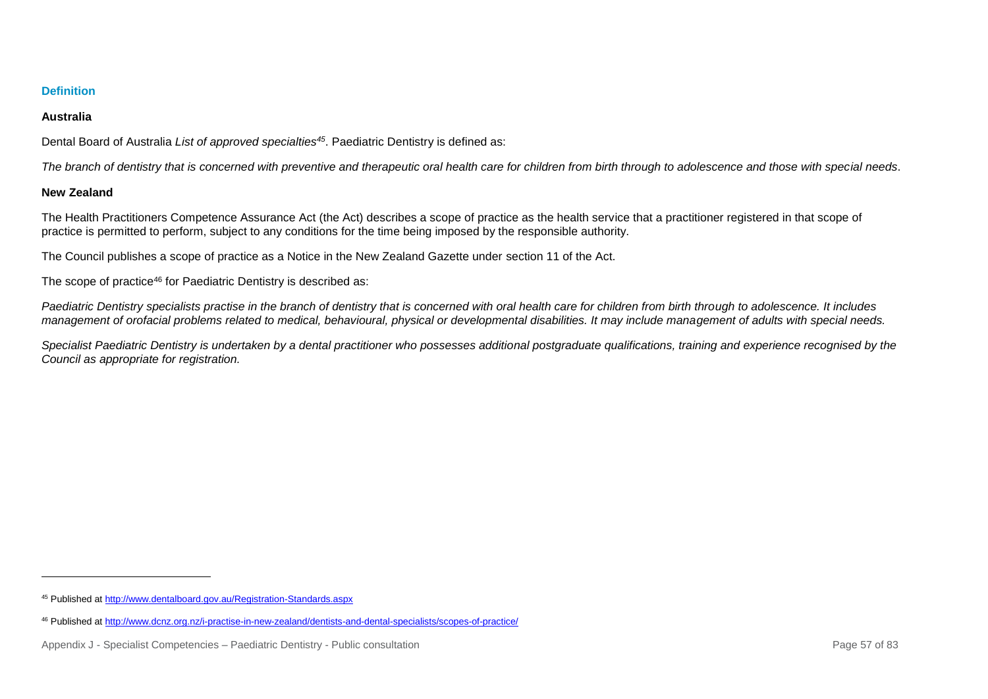## **Australia**

Dental Board of Australia *List of approved specialties<sup>45</sup>*. Paediatric Dentistry is defined as:

*The branch of dentistry that is concerned with preventive and therapeutic oral health care for children from birth through to adolescence and those with special needs*.

## **New Zealand**

l

The Health Practitioners Competence Assurance Act (the Act) describes a scope of practice as the health service that a practitioner registered in that scope of practice is permitted to perform, subject to any conditions for the time being imposed by the responsible authority.

The Council publishes a scope of practice as a Notice in the New Zealand Gazette under section 11 of the Act.

The scope of practice<sup>46</sup> for Paediatric Dentistry is described as:

*Paediatric Dentistry specialists practise in the branch of dentistry that is concerned with oral health care for children from birth through to adolescence. It includes management of orofacial problems related to medical, behavioural, physical or developmental disabilities. It may include management of adults with special needs.*

Specialist Paediatric Dentistry is undertaken by a dental practitioner who possesses additional postgraduate qualifications, training and experience recognised by the *Council as appropriate for registration.*

<sup>45</sup> Published a[t http://www.dentalboard.gov.au/Registration-Standards.aspx](http://www.dentalboard.gov.au/Registration-Standards.aspx)

<sup>46</sup> Published a[t http://www.dcnz.org.nz/i-practise-in-new-zealand/dentists-and-dental-specialists/scopes-of-practice/](http://www.dcnz.org.nz/i-practise-in-new-zealand/dentists-and-dental-specialists/scopes-of-practice/)

Appendix J - Specialist Competencies – Paediatric Dentistry - Public consultation Page 57 of 83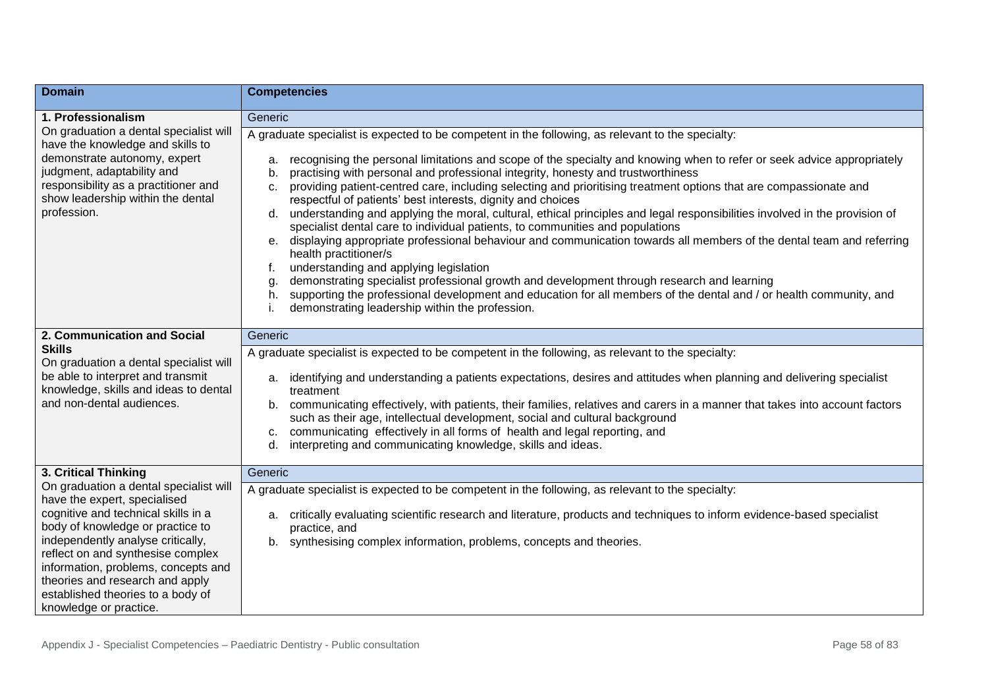| <b>Domain</b>                                                                                                                                                                                                                                                                                                                                                        | <b>Competencies</b>                                                                                                                                                                                                                                                                                                                                                                                                                                                                                                                                                                                                                                                                                                                                                                                                                                                                                                                                                                                                                                                                                                                                                                                                               |
|----------------------------------------------------------------------------------------------------------------------------------------------------------------------------------------------------------------------------------------------------------------------------------------------------------------------------------------------------------------------|-----------------------------------------------------------------------------------------------------------------------------------------------------------------------------------------------------------------------------------------------------------------------------------------------------------------------------------------------------------------------------------------------------------------------------------------------------------------------------------------------------------------------------------------------------------------------------------------------------------------------------------------------------------------------------------------------------------------------------------------------------------------------------------------------------------------------------------------------------------------------------------------------------------------------------------------------------------------------------------------------------------------------------------------------------------------------------------------------------------------------------------------------------------------------------------------------------------------------------------|
| 1. Professionalism                                                                                                                                                                                                                                                                                                                                                   | Generic                                                                                                                                                                                                                                                                                                                                                                                                                                                                                                                                                                                                                                                                                                                                                                                                                                                                                                                                                                                                                                                                                                                                                                                                                           |
| On graduation a dental specialist will<br>have the knowledge and skills to<br>demonstrate autonomy, expert<br>judgment, adaptability and<br>responsibility as a practitioner and<br>show leadership within the dental<br>profession.                                                                                                                                 | A graduate specialist is expected to be competent in the following, as relevant to the specialty:<br>recognising the personal limitations and scope of the specialty and knowing when to refer or seek advice appropriately<br>a.<br>practising with personal and professional integrity, honesty and trustworthiness<br>b.<br>providing patient-centred care, including selecting and prioritising treatment options that are compassionate and<br>c.<br>respectful of patients' best interests, dignity and choices<br>understanding and applying the moral, cultural, ethical principles and legal responsibilities involved in the provision of<br>d.<br>specialist dental care to individual patients, to communities and populations<br>e. displaying appropriate professional behaviour and communication towards all members of the dental team and referring<br>health practitioner/s<br>understanding and applying legislation<br>f.<br>demonstrating specialist professional growth and development through research and learning<br>g.<br>supporting the professional development and education for all members of the dental and / or health community, and<br>h.<br>demonstrating leadership within the profession. |
| 2. Communication and Social<br><b>Skills</b><br>On graduation a dental specialist will<br>be able to interpret and transmit<br>knowledge, skills and ideas to dental<br>and non-dental audiences.                                                                                                                                                                    | Generic<br>A graduate specialist is expected to be competent in the following, as relevant to the specialty:<br>identifying and understanding a patients expectations, desires and attitudes when planning and delivering specialist<br>а.<br>treatment<br>b. communicating effectively, with patients, their families, relatives and carers in a manner that takes into account factors<br>such as their age, intellectual development, social and cultural background<br>c. communicating effectively in all forms of health and legal reporting, and<br>interpreting and communicating knowledge, skills and ideas.<br>d.                                                                                                                                                                                                                                                                                                                                                                                                                                                                                                                                                                                                      |
| 3. Critical Thinking                                                                                                                                                                                                                                                                                                                                                 | Generic                                                                                                                                                                                                                                                                                                                                                                                                                                                                                                                                                                                                                                                                                                                                                                                                                                                                                                                                                                                                                                                                                                                                                                                                                           |
| On graduation a dental specialist will<br>have the expert, specialised<br>cognitive and technical skills in a<br>body of knowledge or practice to<br>independently analyse critically,<br>reflect on and synthesise complex<br>information, problems, concepts and<br>theories and research and apply<br>established theories to a body of<br>knowledge or practice. | A graduate specialist is expected to be competent in the following, as relevant to the specialty:<br>critically evaluating scientific research and literature, products and techniques to inform evidence-based specialist<br>а.<br>practice, and<br>b. synthesising complex information, problems, concepts and theories.                                                                                                                                                                                                                                                                                                                                                                                                                                                                                                                                                                                                                                                                                                                                                                                                                                                                                                        |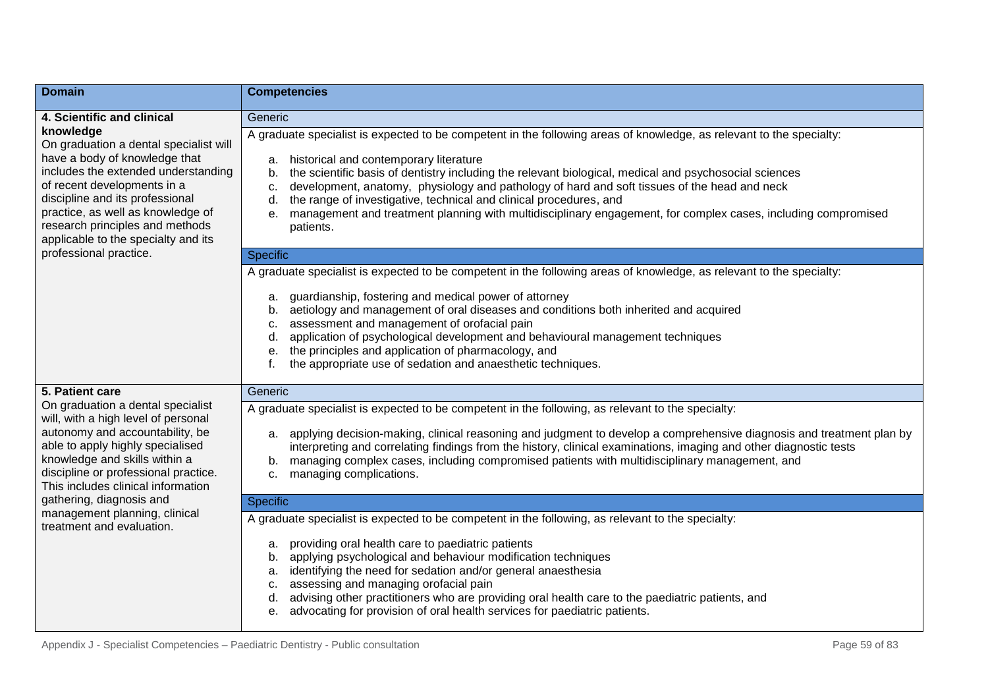| <b>Domain</b>                                                                                                                                                                                                                                                                                                | <b>Competencies</b>                                                                                                                                                                                                                                                                                                                                                                                                                                                                                                                                                                                        |
|--------------------------------------------------------------------------------------------------------------------------------------------------------------------------------------------------------------------------------------------------------------------------------------------------------------|------------------------------------------------------------------------------------------------------------------------------------------------------------------------------------------------------------------------------------------------------------------------------------------------------------------------------------------------------------------------------------------------------------------------------------------------------------------------------------------------------------------------------------------------------------------------------------------------------------|
| 4. Scientific and clinical                                                                                                                                                                                                                                                                                   | Generic                                                                                                                                                                                                                                                                                                                                                                                                                                                                                                                                                                                                    |
| knowledge<br>On graduation a dental specialist will<br>have a body of knowledge that<br>includes the extended understanding<br>of recent developments in a<br>discipline and its professional<br>practice, as well as knowledge of<br>research principles and methods<br>applicable to the specialty and its | A graduate specialist is expected to be competent in the following areas of knowledge, as relevant to the specialty:<br>historical and contemporary literature<br>a.<br>the scientific basis of dentistry including the relevant biological, medical and psychosocial sciences<br>b.<br>development, anatomy, physiology and pathology of hard and soft tissues of the head and neck<br>c.<br>the range of investigative, technical and clinical procedures, and<br>d.<br>management and treatment planning with multidisciplinary engagement, for complex cases, including compromised<br>е.<br>patients. |
| professional practice.                                                                                                                                                                                                                                                                                       | <b>Specific</b>                                                                                                                                                                                                                                                                                                                                                                                                                                                                                                                                                                                            |
|                                                                                                                                                                                                                                                                                                              | A graduate specialist is expected to be competent in the following areas of knowledge, as relevant to the specialty:<br>guardianship, fostering and medical power of attorney<br>а.<br>aetiology and management of oral diseases and conditions both inherited and acquired<br>b.<br>assessment and management of orofacial pain<br>c.<br>application of psychological development and behavioural management techniques<br>d.<br>the principles and application of pharmacology, and<br>е.<br>the appropriate use of sedation and anaesthetic techniques.                                                 |
| 5. Patient care                                                                                                                                                                                                                                                                                              | Generic                                                                                                                                                                                                                                                                                                                                                                                                                                                                                                                                                                                                    |
| On graduation a dental specialist<br>will, with a high level of personal<br>autonomy and accountability, be<br>able to apply highly specialised<br>knowledge and skills within a<br>discipline or professional practice.<br>This includes clinical information                                               | A graduate specialist is expected to be competent in the following, as relevant to the specialty:<br>a. applying decision-making, clinical reasoning and judgment to develop a comprehensive diagnosis and treatment plan by<br>interpreting and correlating findings from the history, clinical examinations, imaging and other diagnostic tests<br>managing complex cases, including compromised patients with multidisciplinary management, and<br>managing complications.<br>c.                                                                                                                        |
| gathering, diagnosis and<br>management planning, clinical                                                                                                                                                                                                                                                    | Specific                                                                                                                                                                                                                                                                                                                                                                                                                                                                                                                                                                                                   |
| treatment and evaluation.                                                                                                                                                                                                                                                                                    | A graduate specialist is expected to be competent in the following, as relevant to the specialty:<br>providing oral health care to paediatric patients<br>a.<br>b. applying psychological and behaviour modification techniques<br>identifying the need for sedation and/or general anaesthesia<br>a.<br>assessing and managing orofacial pain<br>c.<br>advising other practitioners who are providing oral health care to the paediatric patients, and<br>advocating for provision of oral health services for paediatric patients.<br>е.                                                                 |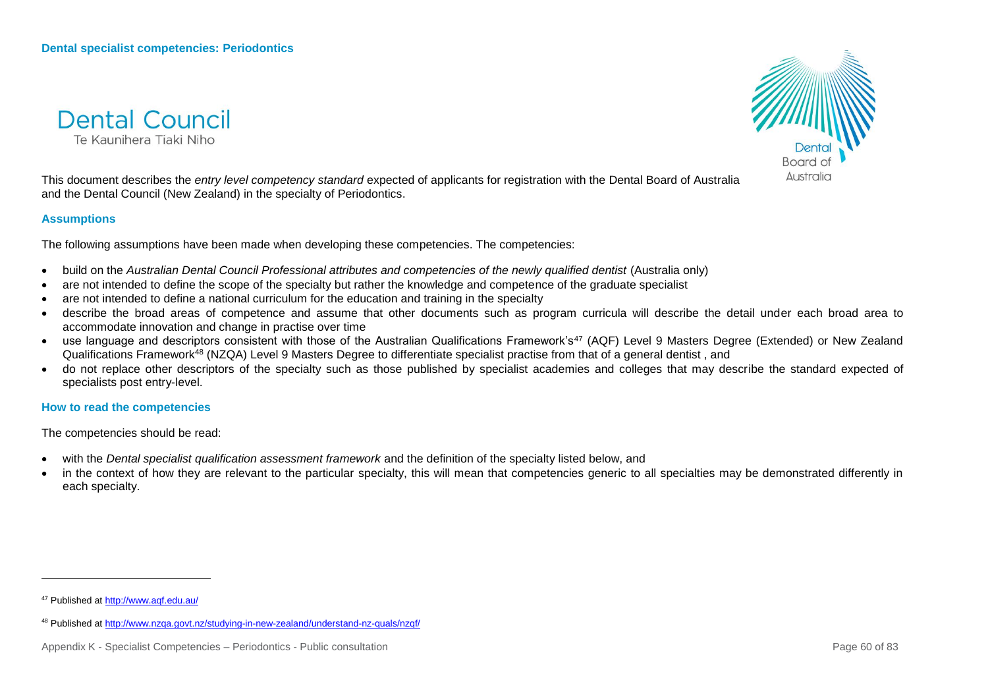



This document describes the *entry level competency standard* expected of applicants for registration with the Dental Board of Australia and the Dental Council (New Zealand) in the specialty of Periodontics.

#### **Assumptions**

The following assumptions have been made when developing these competencies. The competencies:

- build on the *Australian Dental Council Professional attributes and competencies of the newly qualified dentist (Australia only)*
- are not intended to define the scope of the specialty but rather the knowledge and competence of the graduate specialist
- are not intended to define a national curriculum for the education and training in the specialty
- describe the broad areas of competence and assume that other documents such as program curricula will describe the detail under each broad area to accommodate innovation and change in practise over time
- use language and descriptors consistent with those of the Australian Qualifications Framework's<sup>47</sup> (AQF) Level 9 Masters Degree (Extended) or New Zealand Qualifications Framework<sup>48</sup> (NZQA) Level 9 Masters Degree to differentiate specialist practise from that of a general dentist , and
- do not replace other descriptors of the specialty such as those published by specialist academies and colleges that may describe the standard expected of specialists post entry-level.

**How to read the competencies**

The competencies should be read:

- with the *Dental specialist qualification assessment framework* and the definition of the specialty listed below, and
- in the context of how they are relevant to the particular specialty, this will mean that competencies generic to all specialties may be demonstrated differently in each specialty.

<sup>47</sup> Published a[t http://www.aqf.edu.au/](http://www.aqf.edu.au/)

<sup>48</sup> Published a[t http://www.nzqa.govt.nz/studying-in-new-zealand/understand-nz-quals/nzqf/](http://www.nzqa.govt.nz/studying-in-new-zealand/understand-nz-quals/nzqf/)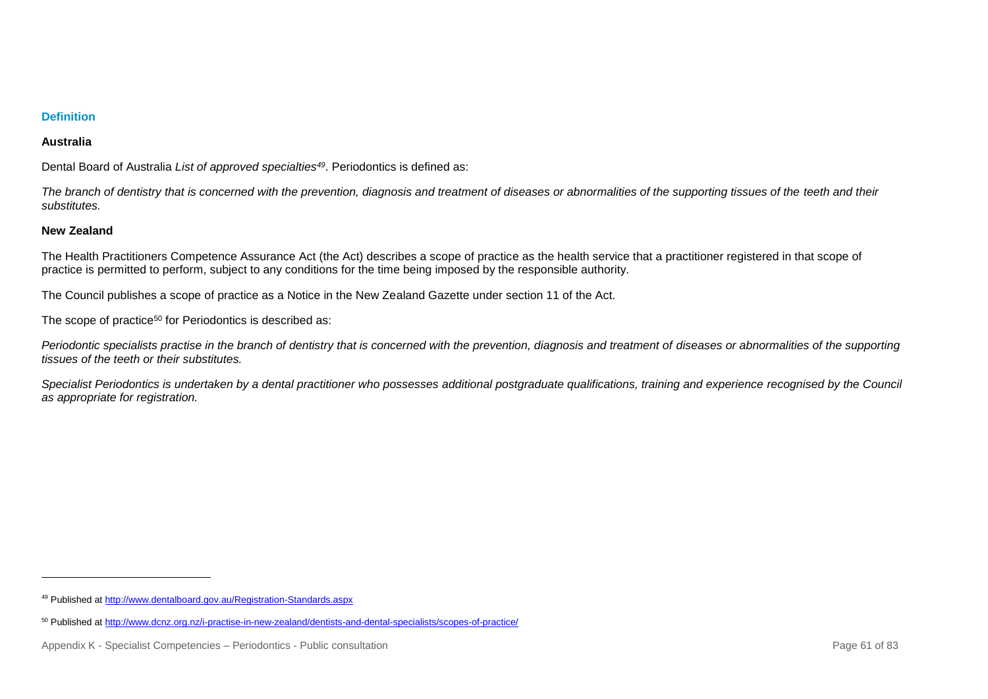### **Australia**

Dental Board of Australia *List of approved specialties<sup>49</sup>*. Periodontics is defined as:

*The branch of dentistry that is concerned with the prevention, diagnosis and treatment of diseases or abnormalities of the supporting tissues of the teeth and their substitutes.* 

### **New Zealand**

l

The Health Practitioners Competence Assurance Act (the Act) describes a scope of practice as the health service that a practitioner registered in that scope of practice is permitted to perform, subject to any conditions for the time being imposed by the responsible authority.

The Council publishes a scope of practice as a Notice in the New Zealand Gazette under section 11 of the Act.

The scope of practice<sup>50</sup> for Periodontics is described as:

Periodontic specialists practise in the branch of dentistry that is concerned with the prevention, diagnosis and treatment of diseases or abnormalities of the supporting *tissues of the teeth or their substitutes.*

*Specialist Periodontics is undertaken by a dental practitioner who possesses additional postgraduate qualifications, training and experience recognised by the Council as appropriate for registration.*

<sup>49</sup> Published a[t http://www.dentalboard.gov.au/Registration-Standards.aspx](http://www.dentalboard.gov.au/Registration-Standards.aspx)

<sup>50</sup> Published a[t http://www.dcnz.org.nz/i-practise-in-new-zealand/dentists-and-dental-specialists/scopes-of-practice/](http://www.dcnz.org.nz/i-practise-in-new-zealand/dentists-and-dental-specialists/scopes-of-practice/)

Appendix K - Specialist Competencies – Periodontics - Public consultation **Page 61** of 83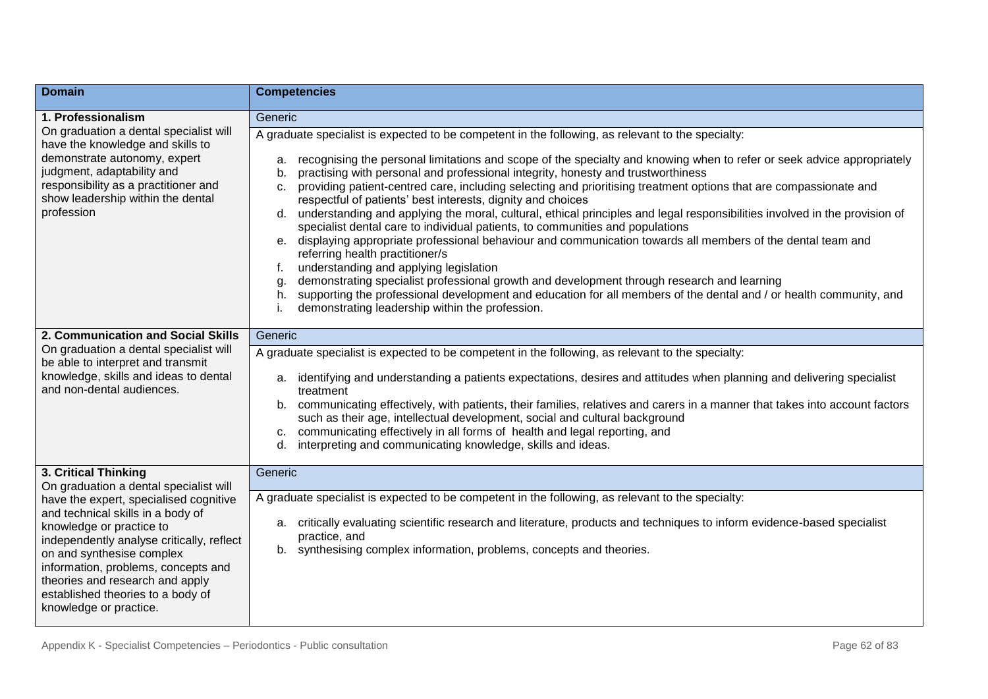| <b>Domain</b>                                                                                                                                                                                                                                                                                                              | <b>Competencies</b>                                                                                                                                                                                                                                                                                                                                                                                                                                                                                                                                                                                                                                                                                                                                                                                                                                                                                                                                                                                                                                                                                                                                                                                                           |
|----------------------------------------------------------------------------------------------------------------------------------------------------------------------------------------------------------------------------------------------------------------------------------------------------------------------------|-------------------------------------------------------------------------------------------------------------------------------------------------------------------------------------------------------------------------------------------------------------------------------------------------------------------------------------------------------------------------------------------------------------------------------------------------------------------------------------------------------------------------------------------------------------------------------------------------------------------------------------------------------------------------------------------------------------------------------------------------------------------------------------------------------------------------------------------------------------------------------------------------------------------------------------------------------------------------------------------------------------------------------------------------------------------------------------------------------------------------------------------------------------------------------------------------------------------------------|
| 1. Professionalism                                                                                                                                                                                                                                                                                                         | Generic                                                                                                                                                                                                                                                                                                                                                                                                                                                                                                                                                                                                                                                                                                                                                                                                                                                                                                                                                                                                                                                                                                                                                                                                                       |
| On graduation a dental specialist will<br>have the knowledge and skills to<br>demonstrate autonomy, expert<br>judgment, adaptability and<br>responsibility as a practitioner and<br>show leadership within the dental<br>profession                                                                                        | A graduate specialist is expected to be competent in the following, as relevant to the specialty:<br>recognising the personal limitations and scope of the specialty and knowing when to refer or seek advice appropriately<br>a.<br>practising with personal and professional integrity, honesty and trustworthiness<br>b.<br>providing patient-centred care, including selecting and prioritising treatment options that are compassionate and<br>C.<br>respectful of patients' best interests, dignity and choices<br>d. understanding and applying the moral, cultural, ethical principles and legal responsibilities involved in the provision of<br>specialist dental care to individual patients, to communities and populations<br>e. displaying appropriate professional behaviour and communication towards all members of the dental team and<br>referring health practitioner/s<br>understanding and applying legislation<br>f.<br>demonstrating specialist professional growth and development through research and learning<br>g<br>supporting the professional development and education for all members of the dental and / or health community, and<br>h.<br>demonstrating leadership within the profession. |
| 2. Communication and Social Skills                                                                                                                                                                                                                                                                                         | Generic                                                                                                                                                                                                                                                                                                                                                                                                                                                                                                                                                                                                                                                                                                                                                                                                                                                                                                                                                                                                                                                                                                                                                                                                                       |
| On graduation a dental specialist will<br>be able to interpret and transmit<br>knowledge, skills and ideas to dental<br>and non-dental audiences.                                                                                                                                                                          | A graduate specialist is expected to be competent in the following, as relevant to the specialty:<br>identifying and understanding a patients expectations, desires and attitudes when planning and delivering specialist<br>а.<br>treatment<br>communicating effectively, with patients, their families, relatives and carers in a manner that takes into account factors<br>b.<br>such as their age, intellectual development, social and cultural background<br>communicating effectively in all forms of health and legal reporting, and<br>c.<br>interpreting and communicating knowledge, skills and ideas.<br>d.                                                                                                                                                                                                                                                                                                                                                                                                                                                                                                                                                                                                       |
| 3. Critical Thinking<br>On graduation a dental specialist will                                                                                                                                                                                                                                                             | Generic                                                                                                                                                                                                                                                                                                                                                                                                                                                                                                                                                                                                                                                                                                                                                                                                                                                                                                                                                                                                                                                                                                                                                                                                                       |
| have the expert, specialised cognitive<br>and technical skills in a body of<br>knowledge or practice to<br>independently analyse critically, reflect<br>on and synthesise complex<br>information, problems, concepts and<br>theories and research and apply<br>established theories to a body of<br>knowledge or practice. | A graduate specialist is expected to be competent in the following, as relevant to the specialty:<br>a. critically evaluating scientific research and literature, products and techniques to inform evidence-based specialist<br>practice, and<br>b. synthesising complex information, problems, concepts and theories.                                                                                                                                                                                                                                                                                                                                                                                                                                                                                                                                                                                                                                                                                                                                                                                                                                                                                                       |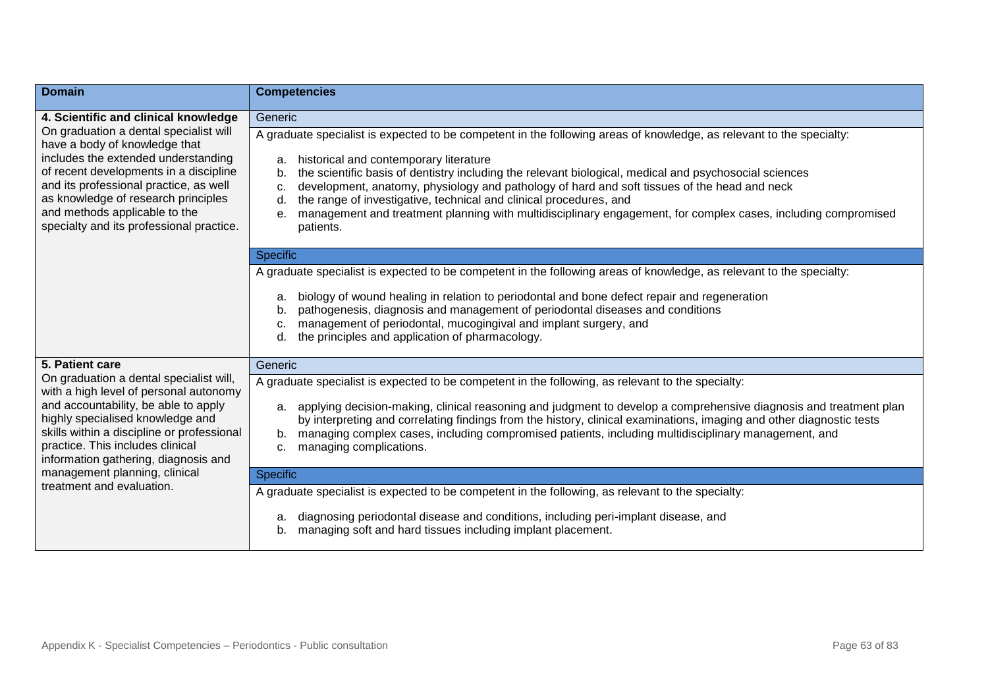| <b>Domain</b>                                                                                                                                                                                                                                                                                                            | <b>Competencies</b>                                                                                                                                                                                                                                                                                                                                                                                                                                                                                                                                                                                        |
|--------------------------------------------------------------------------------------------------------------------------------------------------------------------------------------------------------------------------------------------------------------------------------------------------------------------------|------------------------------------------------------------------------------------------------------------------------------------------------------------------------------------------------------------------------------------------------------------------------------------------------------------------------------------------------------------------------------------------------------------------------------------------------------------------------------------------------------------------------------------------------------------------------------------------------------------|
| 4. Scientific and clinical knowledge                                                                                                                                                                                                                                                                                     | Generic                                                                                                                                                                                                                                                                                                                                                                                                                                                                                                                                                                                                    |
| On graduation a dental specialist will<br>have a body of knowledge that<br>includes the extended understanding<br>of recent developments in a discipline<br>and its professional practice, as well<br>as knowledge of research principles<br>and methods applicable to the<br>specialty and its professional practice.   | A graduate specialist is expected to be competent in the following areas of knowledge, as relevant to the specialty:<br>historical and contemporary literature<br>a.<br>the scientific basis of dentistry including the relevant biological, medical and psychosocial sciences<br>b.<br>development, anatomy, physiology and pathology of hard and soft tissues of the head and neck<br>c.<br>the range of investigative, technical and clinical procedures, and<br>d.<br>management and treatment planning with multidisciplinary engagement, for complex cases, including compromised<br>е.<br>patients. |
|                                                                                                                                                                                                                                                                                                                          | Specific                                                                                                                                                                                                                                                                                                                                                                                                                                                                                                                                                                                                   |
|                                                                                                                                                                                                                                                                                                                          | A graduate specialist is expected to be competent in the following areas of knowledge, as relevant to the specialty:<br>biology of wound healing in relation to periodontal and bone defect repair and regeneration<br>a.<br>pathogenesis, diagnosis and management of periodontal diseases and conditions<br>b.<br>management of periodontal, mucogingival and implant surgery, and<br>C.<br>the principles and application of pharmacology.<br>d.                                                                                                                                                        |
| 5. Patient care                                                                                                                                                                                                                                                                                                          | Generic                                                                                                                                                                                                                                                                                                                                                                                                                                                                                                                                                                                                    |
| On graduation a dental specialist will,<br>with a high level of personal autonomy<br>and accountability, be able to apply<br>highly specialised knowledge and<br>skills within a discipline or professional<br>practice. This includes clinical<br>information gathering, diagnosis and<br>management planning, clinical | A graduate specialist is expected to be competent in the following, as relevant to the specialty:<br>a. applying decision-making, clinical reasoning and judgment to develop a comprehensive diagnosis and treatment plan<br>by interpreting and correlating findings from the history, clinical examinations, imaging and other diagnostic tests<br>managing complex cases, including compromised patients, including multidisciplinary management, and<br>b.<br>managing complications.<br>c.<br><b>Specific</b>                                                                                         |
| treatment and evaluation.                                                                                                                                                                                                                                                                                                | A graduate specialist is expected to be competent in the following, as relevant to the specialty:                                                                                                                                                                                                                                                                                                                                                                                                                                                                                                          |
|                                                                                                                                                                                                                                                                                                                          | diagnosing periodontal disease and conditions, including peri-implant disease, and<br>a.<br>managing soft and hard tissues including implant placement.<br>b.                                                                                                                                                                                                                                                                                                                                                                                                                                              |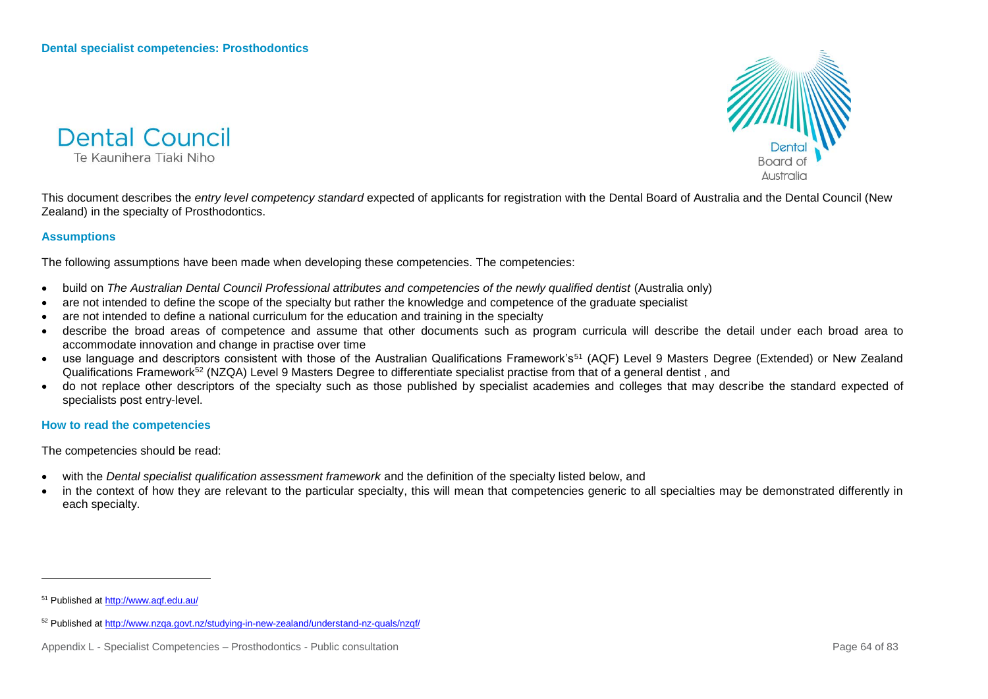



This document describes the *entry level competency standard* expected of applicants for registration with the Dental Board of Australia and the Dental Council (New Zealand) in the specialty of Prosthodontics.

### **Assumptions**

The following assumptions have been made when developing these competencies. The competencies:

- build on *The Australian Dental Council Professional attributes and competencies of the newly qualified dentist* (Australia only)
- are not intended to define the scope of the specialty but rather the knowledge and competence of the graduate specialist
- are not intended to define a national curriculum for the education and training in the specialty
- describe the broad areas of competence and assume that other documents such as program curricula will describe the detail under each broad area to accommodate innovation and change in practise over time
- use language and descriptors consistent with those of the Australian Qualifications Framework's<sup>51</sup> (AQF) Level 9 Masters Degree (Extended) or New Zealand Qualifications Framework<sup>52</sup> (NZQA) Level 9 Masters Degree to differentiate specialist practise from that of a general dentist, and
- do not replace other descriptors of the specialty such as those published by specialist academies and colleges that may describe the standard expected of specialists post entry-level.

#### **How to read the competencies**

The competencies should be read:

- with the *Dental specialist qualification assessment framework* and the definition of the specialty listed below, and
- in the context of how they are relevant to the particular specialty, this will mean that competencies generic to all specialties may be demonstrated differently in each specialty.

<sup>51</sup> Published a[t http://www.aqf.edu.au/](http://www.aqf.edu.au/)

<sup>52</sup> Published a[t http://www.nzqa.govt.nz/studying-in-new-zealand/understand-nz-quals/nzqf/](http://www.nzqa.govt.nz/studying-in-new-zealand/understand-nz-quals/nzqf/)

Appendix L - Specialist Competencies – Prosthodontics - Public consultation Page 64 of 83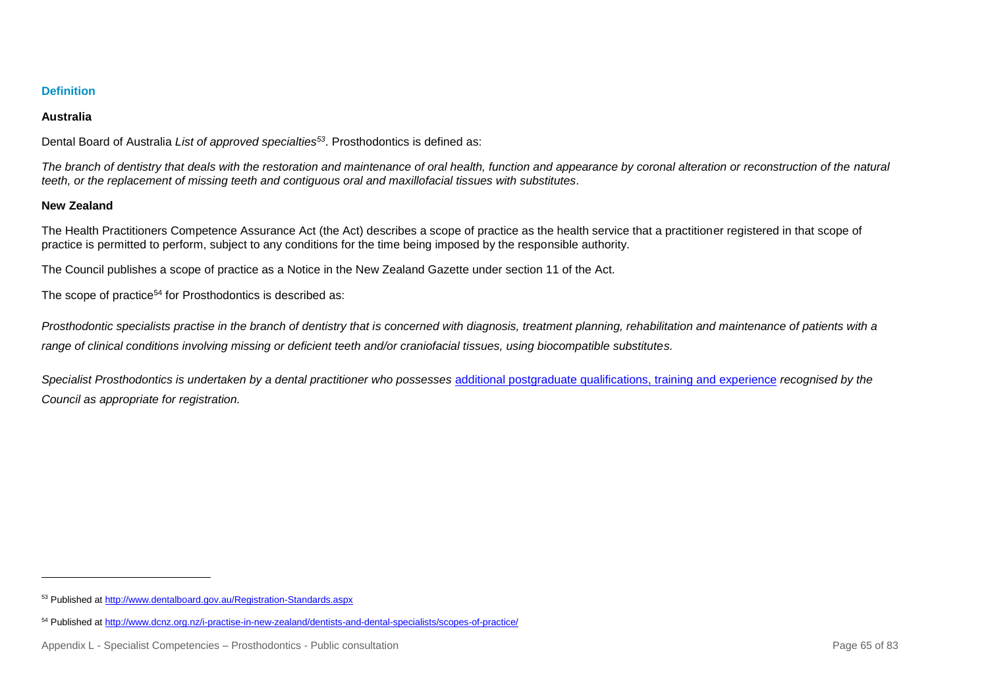## **Australia**

Dental Board of Australia *List of approved specialties<sup>53</sup>*. Prosthodontics is defined as:

*The branch of dentistry that deals with the restoration and maintenance of oral health, function and appearance by coronal alteration or reconstruction of the natural teeth, or the replacement of missing teeth and contiguous oral and maxillofacial tissues with substitutes.*

## **New Zealand**

l

The Health Practitioners Competence Assurance Act (the Act) describes a scope of practice as the health service that a practitioner registered in that scope of practice is permitted to perform, subject to any conditions for the time being imposed by the responsible authority.

The Council publishes a scope of practice as a Notice in the New Zealand Gazette under section 11 of the Act.

The scope of practice<sup>54</sup> for Prosthodontics is described as:

*Prosthodontic specialists practise in the branch of dentistry that is concerned with diagnosis, treatment planning, rehabilitation and maintenance of patients with a range of clinical conditions involving missing or deficient teeth and/or craniofacial tissues, using biocompatible substitutes.*

*Specialist Prosthodontics is undertaken by a dental practitioner who possesses* [additional postgraduate qualifications, training and](http://www.dcnz.org.nz/i-want-to-practise-in-new-zealand/dentists-and-dental-specialists/prescribed-qualifications-for-dental-specialists/) experience *recognised by the Council as appropriate for registration.*

<sup>53</sup> Published a[t http://www.dentalboard.gov.au/Registration-Standards.aspx](http://www.dentalboard.gov.au/Registration-Standards.aspx)

<sup>54</sup> Published a[t http://www.dcnz.org.nz/i-practise-in-new-zealand/dentists-and-dental-specialists/scopes-of-practice/](http://www.dcnz.org.nz/i-practise-in-new-zealand/dentists-and-dental-specialists/scopes-of-practice/)

Appendix L - Specialist Competencies – Prosthodontics - Public consultation Page 65 of 83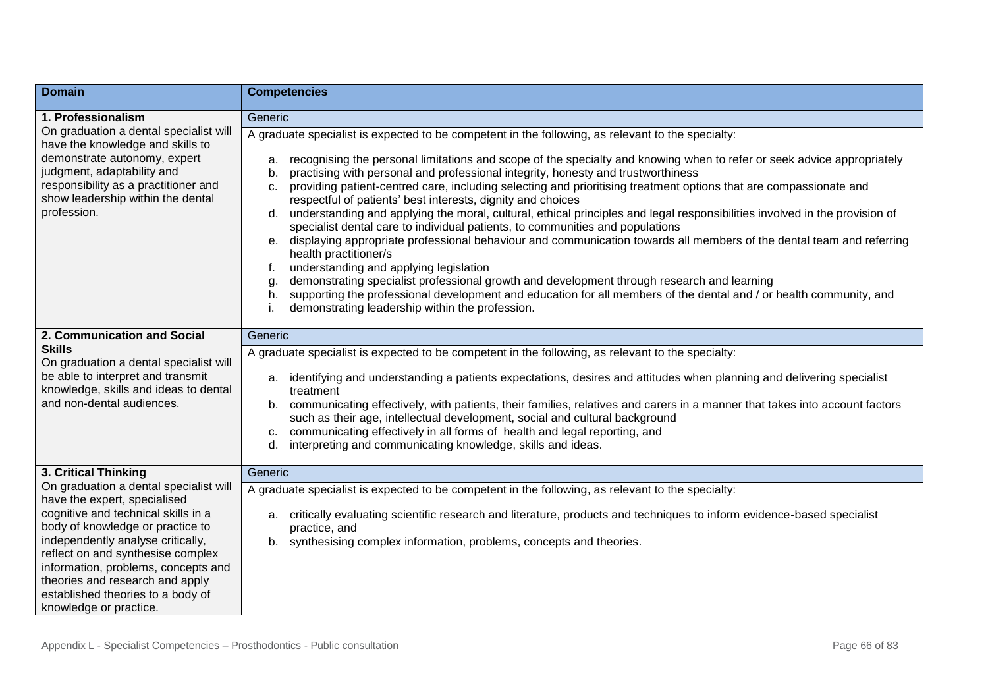| <b>Domain</b>                                                                                                                                                                                                                                                                                                                                                        | <b>Competencies</b>                                                                                                                                                                                                                                                                                                                                                                                                                                                                                                                                                                                                                                                                                                                                                                                                                                                                                                                                                                                                                                                                                                                                                                                                              |
|----------------------------------------------------------------------------------------------------------------------------------------------------------------------------------------------------------------------------------------------------------------------------------------------------------------------------------------------------------------------|----------------------------------------------------------------------------------------------------------------------------------------------------------------------------------------------------------------------------------------------------------------------------------------------------------------------------------------------------------------------------------------------------------------------------------------------------------------------------------------------------------------------------------------------------------------------------------------------------------------------------------------------------------------------------------------------------------------------------------------------------------------------------------------------------------------------------------------------------------------------------------------------------------------------------------------------------------------------------------------------------------------------------------------------------------------------------------------------------------------------------------------------------------------------------------------------------------------------------------|
| 1. Professionalism                                                                                                                                                                                                                                                                                                                                                   | Generic                                                                                                                                                                                                                                                                                                                                                                                                                                                                                                                                                                                                                                                                                                                                                                                                                                                                                                                                                                                                                                                                                                                                                                                                                          |
| On graduation a dental specialist will<br>have the knowledge and skills to<br>demonstrate autonomy, expert<br>judgment, adaptability and<br>responsibility as a practitioner and<br>show leadership within the dental<br>profession.                                                                                                                                 | A graduate specialist is expected to be competent in the following, as relevant to the specialty:<br>recognising the personal limitations and scope of the specialty and knowing when to refer or seek advice appropriately<br>a.<br>practising with personal and professional integrity, honesty and trustworthiness<br>b.<br>providing patient-centred care, including selecting and prioritising treatment options that are compassionate and<br>C.<br>respectful of patients' best interests, dignity and choices<br>understanding and applying the moral, cultural, ethical principles and legal responsibilities involved in the provision of<br>d.<br>specialist dental care to individual patients, to communities and populations<br>displaying appropriate professional behaviour and communication towards all members of the dental team and referring<br>$e_{1}$<br>health practitioner/s<br>understanding and applying legislation<br>demonstrating specialist professional growth and development through research and learning<br>g.<br>h. supporting the professional development and education for all members of the dental and / or health community, and<br>demonstrating leadership within the profession. |
| 2. Communication and Social<br><b>Skills</b><br>On graduation a dental specialist will<br>be able to interpret and transmit<br>knowledge, skills and ideas to dental<br>and non-dental audiences.                                                                                                                                                                    | Generic<br>A graduate specialist is expected to be competent in the following, as relevant to the specialty:<br>a. identifying and understanding a patients expectations, desires and attitudes when planning and delivering specialist<br>treatment<br>communicating effectively, with patients, their families, relatives and carers in a manner that takes into account factors<br>b.<br>such as their age, intellectual development, social and cultural background<br>c. communicating effectively in all forms of health and legal reporting, and<br>d. interpreting and communicating knowledge, skills and ideas.                                                                                                                                                                                                                                                                                                                                                                                                                                                                                                                                                                                                        |
| 3. Critical Thinking                                                                                                                                                                                                                                                                                                                                                 | Generic                                                                                                                                                                                                                                                                                                                                                                                                                                                                                                                                                                                                                                                                                                                                                                                                                                                                                                                                                                                                                                                                                                                                                                                                                          |
| On graduation a dental specialist will<br>have the expert, specialised<br>cognitive and technical skills in a<br>body of knowledge or practice to<br>independently analyse critically,<br>reflect on and synthesise complex<br>information, problems, concepts and<br>theories and research and apply<br>established theories to a body of<br>knowledge or practice. | A graduate specialist is expected to be competent in the following, as relevant to the specialty:<br>critically evaluating scientific research and literature, products and techniques to inform evidence-based specialist<br>а.<br>practice, and<br>b. synthesising complex information, problems, concepts and theories.                                                                                                                                                                                                                                                                                                                                                                                                                                                                                                                                                                                                                                                                                                                                                                                                                                                                                                       |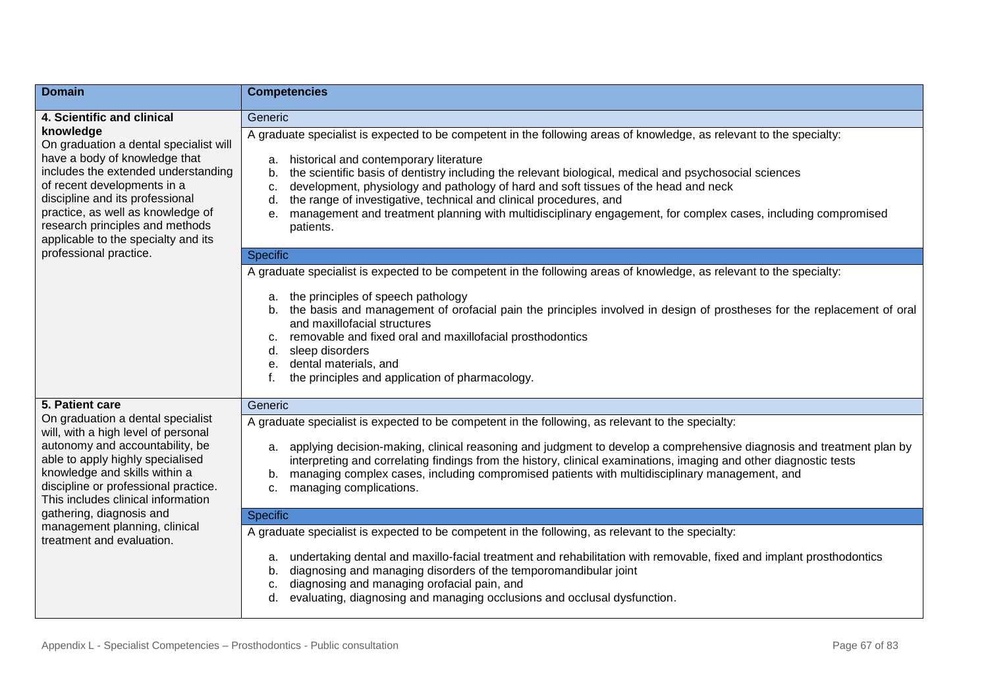| <b>Domain</b>                                                                                                                                                                                                                                                                                                | <b>Competencies</b>                                                                                                                                                                                                                                                                                                                                                                                                                                                                                                                                                                               |
|--------------------------------------------------------------------------------------------------------------------------------------------------------------------------------------------------------------------------------------------------------------------------------------------------------------|---------------------------------------------------------------------------------------------------------------------------------------------------------------------------------------------------------------------------------------------------------------------------------------------------------------------------------------------------------------------------------------------------------------------------------------------------------------------------------------------------------------------------------------------------------------------------------------------------|
| 4. Scientific and clinical                                                                                                                                                                                                                                                                                   | Generic                                                                                                                                                                                                                                                                                                                                                                                                                                                                                                                                                                                           |
| knowledge<br>On graduation a dental specialist will<br>have a body of knowledge that<br>includes the extended understanding<br>of recent developments in a<br>discipline and its professional<br>practice, as well as knowledge of<br>research principles and methods<br>applicable to the specialty and its | A graduate specialist is expected to be competent in the following areas of knowledge, as relevant to the specialty:<br>historical and contemporary literature<br>a.<br>the scientific basis of dentistry including the relevant biological, medical and psychosocial sciences<br>b.<br>development, physiology and pathology of hard and soft tissues of the head and neck<br>c.<br>the range of investigative, technical and clinical procedures, and<br>d.<br>management and treatment planning with multidisciplinary engagement, for complex cases, including compromised<br>е.<br>patients. |
| professional practice.                                                                                                                                                                                                                                                                                       | <b>Specific</b>                                                                                                                                                                                                                                                                                                                                                                                                                                                                                                                                                                                   |
|                                                                                                                                                                                                                                                                                                              | A graduate specialist is expected to be competent in the following areas of knowledge, as relevant to the specialty:<br>the principles of speech pathology<br>a.<br>the basis and management of orofacial pain the principles involved in design of prostheses for the replacement of oral<br>b.<br>and maxillofacial structures<br>removable and fixed oral and maxillofacial prosthodontics<br>C.<br>sleep disorders<br>d.<br>dental materials, and<br>$e_{1}$<br>the principles and application of pharmacology.                                                                               |
| 5. Patient care                                                                                                                                                                                                                                                                                              | Generic                                                                                                                                                                                                                                                                                                                                                                                                                                                                                                                                                                                           |
| On graduation a dental specialist<br>will, with a high level of personal<br>autonomy and accountability, be<br>able to apply highly specialised<br>knowledge and skills within a<br>discipline or professional practice.<br>This includes clinical information                                               | A graduate specialist is expected to be competent in the following, as relevant to the specialty:<br>applying decision-making, clinical reasoning and judgment to develop a comprehensive diagnosis and treatment plan by<br>a.<br>interpreting and correlating findings from the history, clinical examinations, imaging and other diagnostic tests<br>managing complex cases, including compromised patients with multidisciplinary management, and<br>b.<br>managing complications.<br>c.                                                                                                      |
| gathering, diagnosis and<br>management planning, clinical                                                                                                                                                                                                                                                    | <b>Specific</b>                                                                                                                                                                                                                                                                                                                                                                                                                                                                                                                                                                                   |
| treatment and evaluation.                                                                                                                                                                                                                                                                                    | A graduate specialist is expected to be competent in the following, as relevant to the specialty:<br>undertaking dental and maxillo-facial treatment and rehabilitation with removable, fixed and implant prosthodontics<br>a.<br>diagnosing and managing disorders of the temporomandibular joint<br>b.<br>diagnosing and managing orofacial pain, and<br>C.<br>evaluating, diagnosing and managing occlusions and occlusal dysfunction.<br>d.                                                                                                                                                   |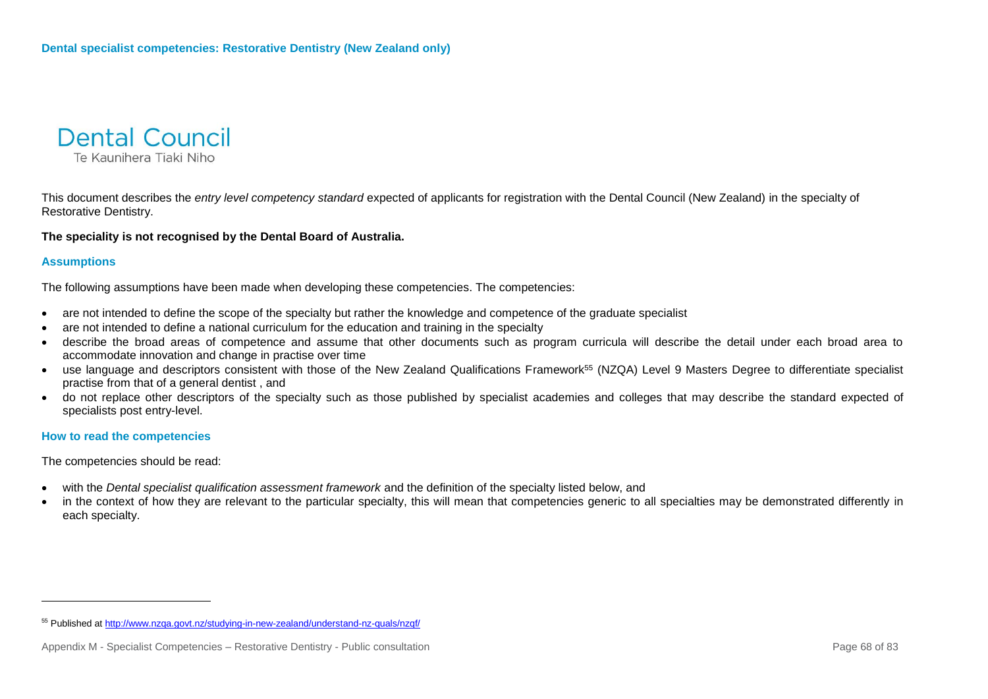

This document describes the *entry level competency standard* expected of applicants for registration with the Dental Council (New Zealand) in the specialty of Restorative Dentistry.

#### **The speciality is not recognised by the Dental Board of Australia.**

#### **Assumptions**

l

The following assumptions have been made when developing these competencies. The competencies:

- are not intended to define the scope of the specialty but rather the knowledge and competence of the graduate specialist
- are not intended to define a national curriculum for the education and training in the specialty
- describe the broad areas of competence and assume that other documents such as program curricula will describe the detail under each broad area to accommodate innovation and change in practise over time
- use language and descriptors consistent with those of the New Zealand Qualifications Framework<sup>55</sup> (NZQA) Level 9 Masters Degree to differentiate specialist practise from that of a general dentist , and
- do not replace other descriptors of the specialty such as those published by specialist academies and colleges that may describe the standard expected of specialists post entry-level.

#### **How to read the competencies**

The competencies should be read:

- with the *Dental specialist qualification assessment framework* and the definition of the specialty listed below, and
- in the context of how they are relevant to the particular specialty, this will mean that competencies generic to all specialties may be demonstrated differently in each specialty.

<sup>55</sup> Published a[t http://www.nzqa.govt.nz/studying-in-new-zealand/understand-nz-quals/nzqf/](http://www.nzqa.govt.nz/studying-in-new-zealand/understand-nz-quals/nzqf/)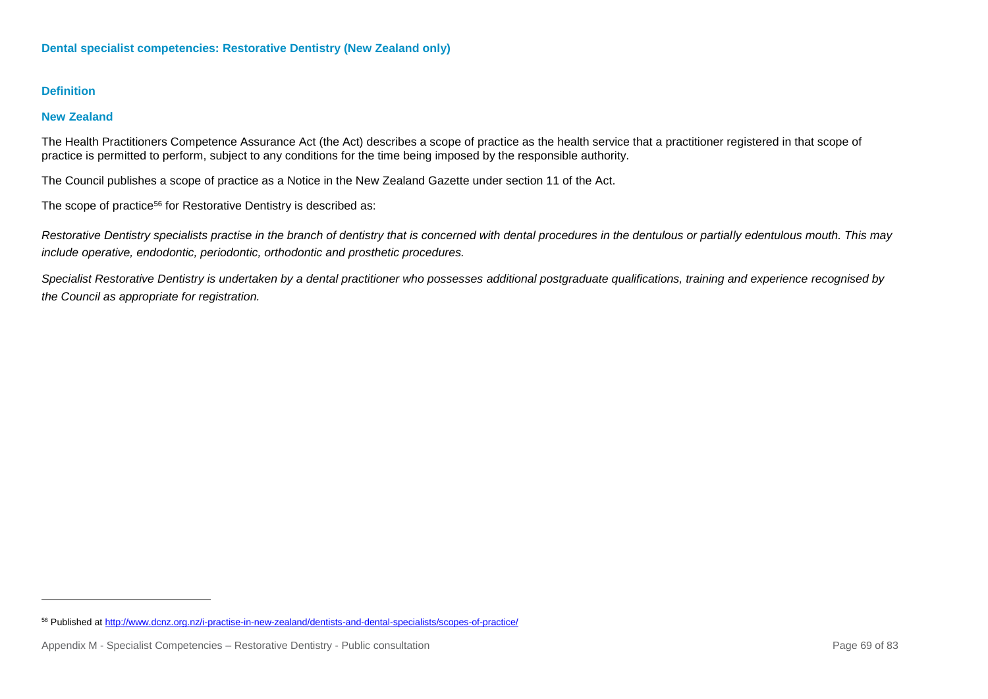l

### **New Zealand**

The Health Practitioners Competence Assurance Act (the Act) describes a scope of practice as the health service that a practitioner registered in that scope of practice is permitted to perform, subject to any conditions for the time being imposed by the responsible authority.

The Council publishes a scope of practice as a Notice in the New Zealand Gazette under section 11 of the Act.

The scope of practice<sup>56</sup> for Restorative Dentistry is described as:

*Restorative Dentistry specialists practise in the branch of dentistry that is concerned with dental procedures in the dentulous or partially edentulous mouth. This may include operative, endodontic, periodontic, orthodontic and prosthetic procedures.*

*Specialist Restorative Dentistry is undertaken by a dental practitioner who possesses [additional postgraduate qualifications, training and experience](http://dcnz.org.nz/i-want-to-practise-in-new-zealand/dentists-and-dental-specialists/prescribed-qualifications-for-dental-specialists/) recognised by the Council as appropriate for registration.*

<sup>56</sup> Published a[t http://www.dcnz.org.nz/i-practise-in-new-zealand/dentists-and-dental-specialists/scopes-of-practice/](http://www.dcnz.org.nz/i-practise-in-new-zealand/dentists-and-dental-specialists/scopes-of-practice/)

Appendix M - Specialist Competencies – Restorative Dentistry - Public consultation Page 69 of 83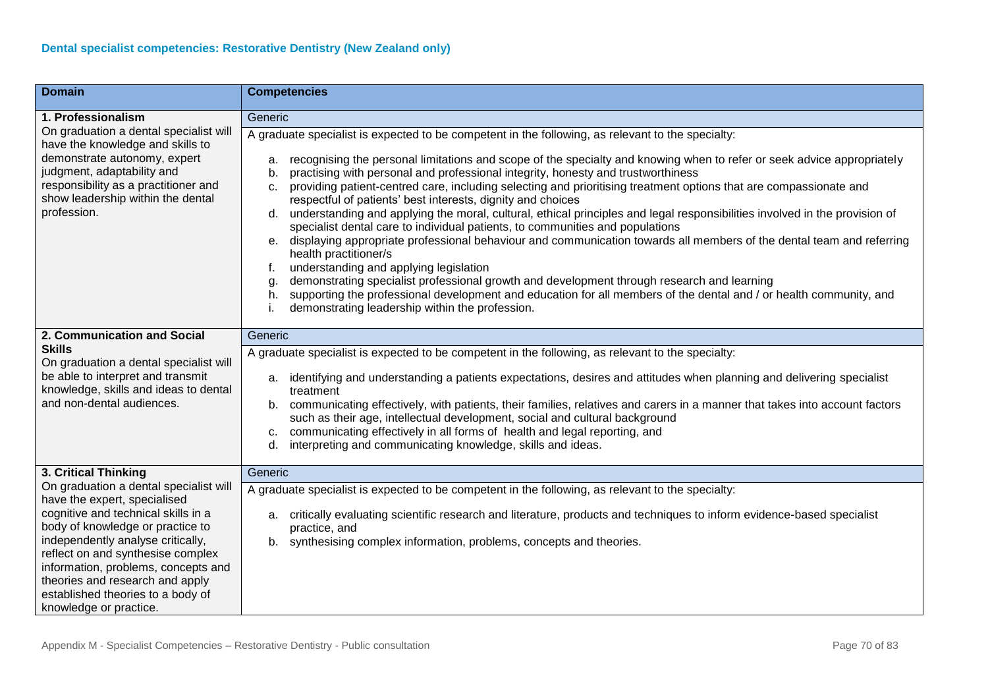| <b>Domain</b>                                                                                                                                                                                                                                                                                                                                                        | <b>Competencies</b>                                                                                                                                                                                                                                                                                                                                                                                                                                                                                                                                                                                                                                                                                                                                                                                                                                                                                                                                                                                                                                                                                                                                                                                                                        |
|----------------------------------------------------------------------------------------------------------------------------------------------------------------------------------------------------------------------------------------------------------------------------------------------------------------------------------------------------------------------|--------------------------------------------------------------------------------------------------------------------------------------------------------------------------------------------------------------------------------------------------------------------------------------------------------------------------------------------------------------------------------------------------------------------------------------------------------------------------------------------------------------------------------------------------------------------------------------------------------------------------------------------------------------------------------------------------------------------------------------------------------------------------------------------------------------------------------------------------------------------------------------------------------------------------------------------------------------------------------------------------------------------------------------------------------------------------------------------------------------------------------------------------------------------------------------------------------------------------------------------|
| 1. Professionalism                                                                                                                                                                                                                                                                                                                                                   | Generic                                                                                                                                                                                                                                                                                                                                                                                                                                                                                                                                                                                                                                                                                                                                                                                                                                                                                                                                                                                                                                                                                                                                                                                                                                    |
| On graduation a dental specialist will<br>have the knowledge and skills to<br>demonstrate autonomy, expert<br>judgment, adaptability and<br>responsibility as a practitioner and<br>show leadership within the dental<br>profession.                                                                                                                                 | A graduate specialist is expected to be competent in the following, as relevant to the specialty:<br>recognising the personal limitations and scope of the specialty and knowing when to refer or seek advice appropriately<br>a.<br>practising with personal and professional integrity, honesty and trustworthiness<br>b.<br>providing patient-centred care, including selecting and prioritising treatment options that are compassionate and<br>C <sub>1</sub><br>respectful of patients' best interests, dignity and choices<br>understanding and applying the moral, cultural, ethical principles and legal responsibilities involved in the provision of<br>d.<br>specialist dental care to individual patients, to communities and populations<br>displaying appropriate professional behaviour and communication towards all members of the dental team and referring<br>е.<br>health practitioner/s<br>understanding and applying legislation<br>demonstrating specialist professional growth and development through research and learning<br>g.<br>supporting the professional development and education for all members of the dental and / or health community, and<br>h.<br>demonstrating leadership within the profession. |
| 2. Communication and Social                                                                                                                                                                                                                                                                                                                                          | Generic                                                                                                                                                                                                                                                                                                                                                                                                                                                                                                                                                                                                                                                                                                                                                                                                                                                                                                                                                                                                                                                                                                                                                                                                                                    |
| <b>Skills</b><br>On graduation a dental specialist will<br>be able to interpret and transmit<br>knowledge, skills and ideas to dental<br>and non-dental audiences.                                                                                                                                                                                                   | A graduate specialist is expected to be competent in the following, as relevant to the specialty:<br>identifying and understanding a patients expectations, desires and attitudes when planning and delivering specialist<br>а.<br>treatment<br>communicating effectively, with patients, their families, relatives and carers in a manner that takes into account factors<br>b.<br>such as their age, intellectual development, social and cultural background<br>communicating effectively in all forms of health and legal reporting, and<br>C.<br>interpreting and communicating knowledge, skills and ideas.<br>d.                                                                                                                                                                                                                                                                                                                                                                                                                                                                                                                                                                                                                    |
| 3. Critical Thinking                                                                                                                                                                                                                                                                                                                                                 | Generic                                                                                                                                                                                                                                                                                                                                                                                                                                                                                                                                                                                                                                                                                                                                                                                                                                                                                                                                                                                                                                                                                                                                                                                                                                    |
| On graduation a dental specialist will<br>have the expert, specialised<br>cognitive and technical skills in a<br>body of knowledge or practice to<br>independently analyse critically,<br>reflect on and synthesise complex<br>information, problems, concepts and<br>theories and research and apply<br>established theories to a body of<br>knowledge or practice. | A graduate specialist is expected to be competent in the following, as relevant to the specialty:<br>critically evaluating scientific research and literature, products and techniques to inform evidence-based specialist<br>а.<br>practice, and<br>synthesising complex information, problems, concepts and theories.<br>b.                                                                                                                                                                                                                                                                                                                                                                                                                                                                                                                                                                                                                                                                                                                                                                                                                                                                                                              |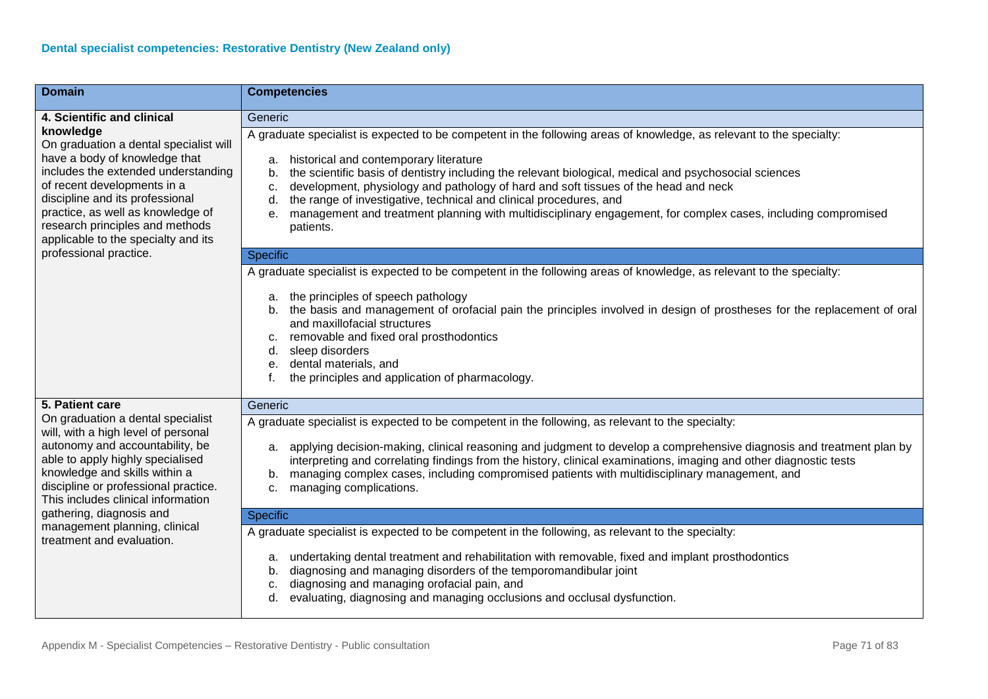| <b>Domain</b>                                                                                                                                                                                                                                                                                                                                            | <b>Competencies</b>                                                                                                                                                                                                                                                                                                                                                                                                                                                                                                                                                                                                                                                                                                                                                                                                                                                                                                                             |
|----------------------------------------------------------------------------------------------------------------------------------------------------------------------------------------------------------------------------------------------------------------------------------------------------------------------------------------------------------|-------------------------------------------------------------------------------------------------------------------------------------------------------------------------------------------------------------------------------------------------------------------------------------------------------------------------------------------------------------------------------------------------------------------------------------------------------------------------------------------------------------------------------------------------------------------------------------------------------------------------------------------------------------------------------------------------------------------------------------------------------------------------------------------------------------------------------------------------------------------------------------------------------------------------------------------------|
| 4. Scientific and clinical                                                                                                                                                                                                                                                                                                                               | Generic                                                                                                                                                                                                                                                                                                                                                                                                                                                                                                                                                                                                                                                                                                                                                                                                                                                                                                                                         |
| knowledge<br>On graduation a dental specialist will<br>have a body of knowledge that<br>includes the extended understanding<br>of recent developments in a<br>discipline and its professional<br>practice, as well as knowledge of<br>research principles and methods<br>applicable to the specialty and its                                             | A graduate specialist is expected to be competent in the following areas of knowledge, as relevant to the specialty:<br>historical and contemporary literature<br>a.<br>the scientific basis of dentistry including the relevant biological, medical and psychosocial sciences<br>b.<br>development, physiology and pathology of hard and soft tissues of the head and neck<br>c.<br>the range of investigative, technical and clinical procedures, and<br>d.<br>management and treatment planning with multidisciplinary engagement, for complex cases, including compromised<br>е.<br>patients.                                                                                                                                                                                                                                                                                                                                               |
| professional practice.                                                                                                                                                                                                                                                                                                                                   | <b>Specific</b>                                                                                                                                                                                                                                                                                                                                                                                                                                                                                                                                                                                                                                                                                                                                                                                                                                                                                                                                 |
|                                                                                                                                                                                                                                                                                                                                                          | A graduate specialist is expected to be competent in the following areas of knowledge, as relevant to the specialty:<br>the principles of speech pathology<br>a.<br>the basis and management of orofacial pain the principles involved in design of prostheses for the replacement of oral<br>b.<br>and maxillofacial structures<br>removable and fixed oral prosthodontics<br>C.<br>sleep disorders<br>d.<br>dental materials, and<br>е.<br>the principles and application of pharmacology.                                                                                                                                                                                                                                                                                                                                                                                                                                                    |
| 5. Patient care                                                                                                                                                                                                                                                                                                                                          | Generic                                                                                                                                                                                                                                                                                                                                                                                                                                                                                                                                                                                                                                                                                                                                                                                                                                                                                                                                         |
| On graduation a dental specialist<br>will, with a high level of personal<br>autonomy and accountability, be<br>able to apply highly specialised<br>knowledge and skills within a<br>discipline or professional practice.<br>This includes clinical information<br>gathering, diagnosis and<br>management planning, clinical<br>treatment and evaluation. | A graduate specialist is expected to be competent in the following, as relevant to the specialty:<br>applying decision-making, clinical reasoning and judgment to develop a comprehensive diagnosis and treatment plan by<br>a.<br>interpreting and correlating findings from the history, clinical examinations, imaging and other diagnostic tests<br>managing complex cases, including compromised patients with multidisciplinary management, and<br>b.<br>managing complications.<br>c.<br><b>Specific</b><br>A graduate specialist is expected to be competent in the following, as relevant to the specialty:<br>undertaking dental treatment and rehabilitation with removable, fixed and implant prosthodontics<br>a.<br>diagnosing and managing disorders of the temporomandibular joint<br>b.<br>diagnosing and managing orofacial pain, and<br>c.<br>evaluating, diagnosing and managing occlusions and occlusal dysfunction.<br>d. |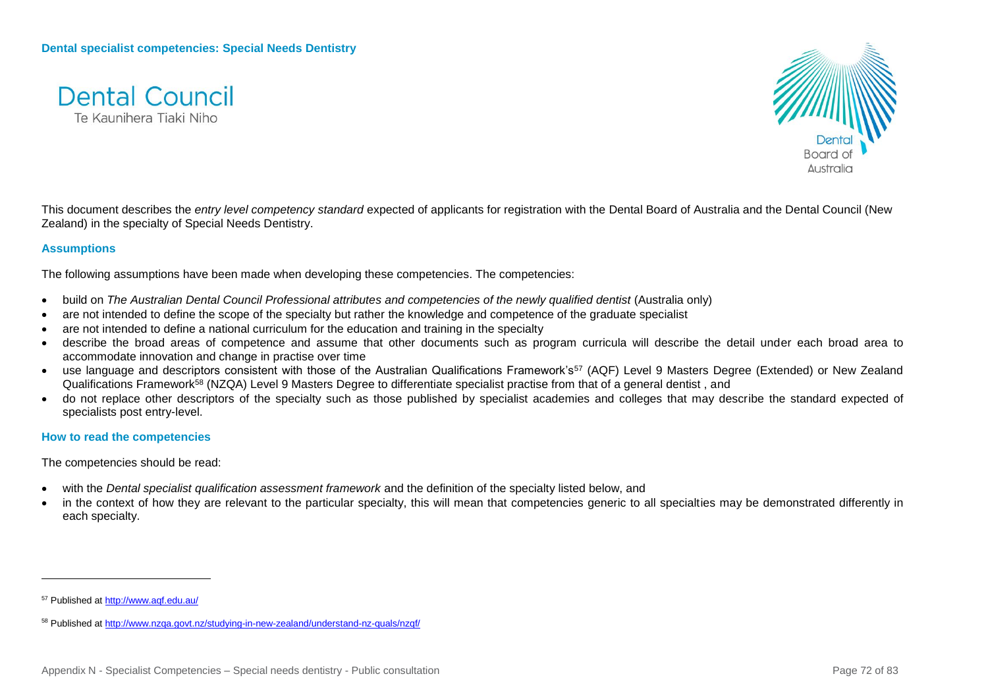



This document describes the *entry level competency standard* expected of applicants for registration with the Dental Board of Australia and the Dental Council (New Zealand) in the specialty of Special Needs Dentistry.

### **Assumptions**

The following assumptions have been made when developing these competencies. The competencies:

- build on *The Australian Dental Council Professional attributes and competencies of the newly qualified dentist (Australia only)*
- are not intended to define the scope of the specialty but rather the knowledge and competence of the graduate specialist
- are not intended to define a national curriculum for the education and training in the specialty
- describe the broad areas of competence and assume that other documents such as program curricula will describe the detail under each broad area to accommodate innovation and change in practise over time
- use language and descriptors consistent with those of the Australian Qualifications Framework's<sup>57</sup> (AQF) Level 9 Masters Degree (Extended) or New Zealand Qualifications Framework<sup>58</sup> (NZQA) Level 9 Masters Degree to differentiate specialist practise from that of a general dentist , and
- do not replace other descriptors of the specialty such as those published by specialist academies and colleges that may describe the standard expected of specialists post entry-level.

### **How to read the competencies**

The competencies should be read:

- with the *Dental specialist qualification assessment framework* and the definition of the specialty listed below, and
- in the context of how they are relevant to the particular specialty, this will mean that competencies generic to all specialties may be demonstrated differently in each specialty.

<sup>57</sup> Published a[t http://www.aqf.edu.au/](http://www.aqf.edu.au/)

<sup>58</sup> Published a[t http://www.nzqa.govt.nz/studying-in-new-zealand/understand-nz-quals/nzqf/](http://www.nzqa.govt.nz/studying-in-new-zealand/understand-nz-quals/nzqf/)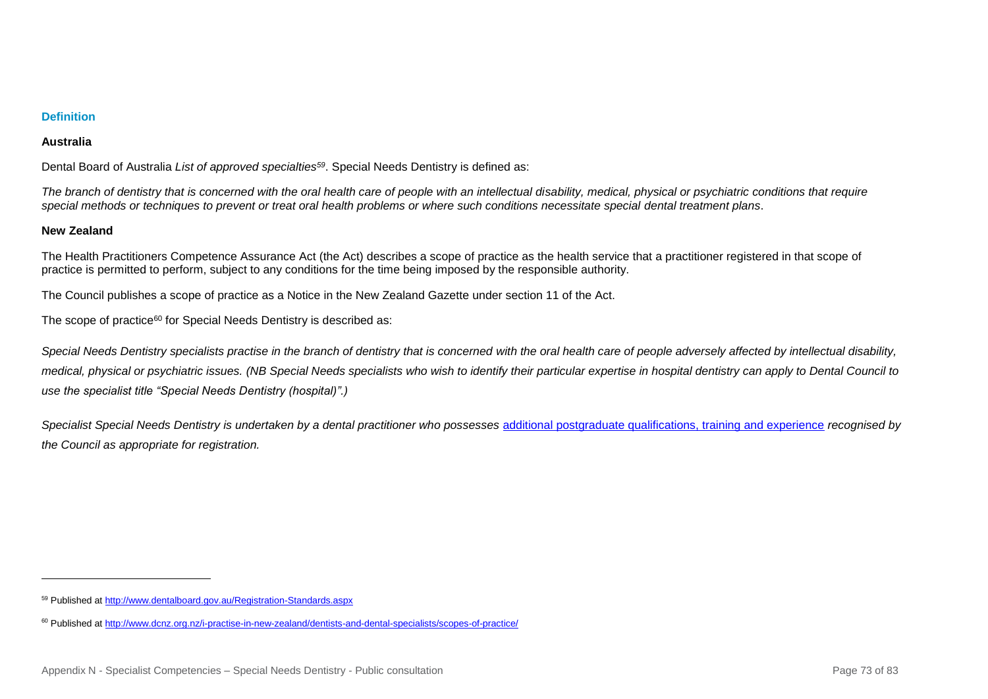# **Definition**

#### **Australia**

Dental Board of Australia *List of approved specialties<sup>59</sup>*. Special Needs Dentistry is defined as:

*The branch of dentistry that is concerned with the oral health care of people with an intellectual disability, medical, physical or psychiatric conditions that require special methods or techniques to prevent or treat oral health problems or where such conditions necessitate special dental treatment plans*.

#### **New Zealand**

l

The Health Practitioners Competence Assurance Act (the Act) describes a scope of practice as the health service that a practitioner registered in that scope of practice is permitted to perform, subject to any conditions for the time being imposed by the responsible authority.

The Council publishes a scope of practice as a Notice in the New Zealand Gazette under section 11 of the Act.

The scope of practice<sup>60</sup> for Special Needs Dentistry is described as:

*Special Needs Dentistry specialists practise in the branch of dentistry that is concerned with the oral health care of people adversely affected by intellectual disability, medical, physical or psychiatric issues. (NB Special Needs specialists who wish to identify their particular expertise in hospital dentistry can apply to Dental Council to use the specialist title "Special Needs Dentistry (hospital)".)*

*Specialist Special Needs Dentistry is undertaken by a dental practitioner who possesses* [additional postgraduate qualifications, training and experience](http://www.dcnz.org.nz/i-want-to-practise-in-new-zealand/dentists-and-dental-specialists/prescribed-qualifications-for-dental-specialists/) *recognised by the Council as appropriate for registration.*

<sup>59</sup> Published a[t http://www.dentalboard.gov.au/Registration-Standards.aspx](http://www.dentalboard.gov.au/Registration-Standards.aspx)

<sup>60</sup> Published a[t http://www.dcnz.org.nz/i-practise-in-new-zealand/dentists-and-dental-specialists/scopes-of-practice/](http://www.dcnz.org.nz/i-practise-in-new-zealand/dentists-and-dental-specialists/scopes-of-practice/)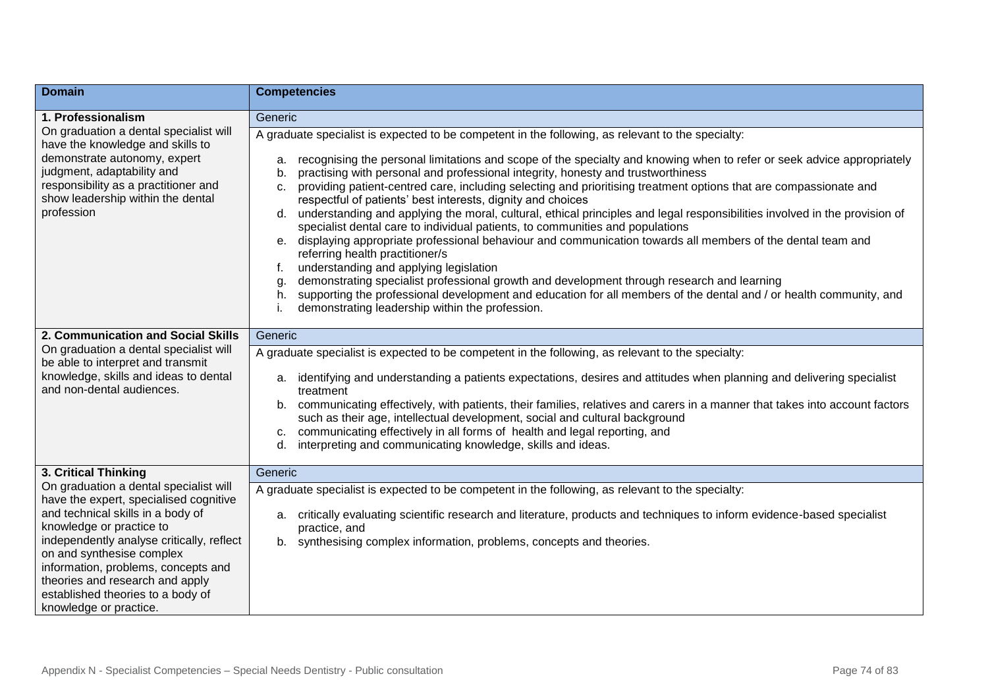| <b>Domain</b>                                                                                                                                                                                                                                                                                                                                                        | <b>Competencies</b>                                                                                                                                                                                                                                                                                                                                                                                                                                                                                                                                                                                                                                                                                                                                                                                                                                                                                                                                                                                                                                                                                                                                                                                                            |
|----------------------------------------------------------------------------------------------------------------------------------------------------------------------------------------------------------------------------------------------------------------------------------------------------------------------------------------------------------------------|--------------------------------------------------------------------------------------------------------------------------------------------------------------------------------------------------------------------------------------------------------------------------------------------------------------------------------------------------------------------------------------------------------------------------------------------------------------------------------------------------------------------------------------------------------------------------------------------------------------------------------------------------------------------------------------------------------------------------------------------------------------------------------------------------------------------------------------------------------------------------------------------------------------------------------------------------------------------------------------------------------------------------------------------------------------------------------------------------------------------------------------------------------------------------------------------------------------------------------|
| 1. Professionalism                                                                                                                                                                                                                                                                                                                                                   | Generic                                                                                                                                                                                                                                                                                                                                                                                                                                                                                                                                                                                                                                                                                                                                                                                                                                                                                                                                                                                                                                                                                                                                                                                                                        |
| On graduation a dental specialist will<br>have the knowledge and skills to<br>demonstrate autonomy, expert<br>judgment, adaptability and<br>responsibility as a practitioner and<br>show leadership within the dental<br>profession                                                                                                                                  | A graduate specialist is expected to be competent in the following, as relevant to the specialty:<br>recognising the personal limitations and scope of the specialty and knowing when to refer or seek advice appropriately<br>a.<br>practising with personal and professional integrity, honesty and trustworthiness<br>b.<br>providing patient-centred care, including selecting and prioritising treatment options that are compassionate and<br>C.<br>respectful of patients' best interests, dignity and choices<br>d. understanding and applying the moral, cultural, ethical principles and legal responsibilities involved in the provision of<br>specialist dental care to individual patients, to communities and populations<br>e. displaying appropriate professional behaviour and communication towards all members of the dental team and<br>referring health practitioner/s<br>understanding and applying legislation<br>f.<br>demonstrating specialist professional growth and development through research and learning<br>g.<br>supporting the professional development and education for all members of the dental and / or health community, and<br>h.<br>demonstrating leadership within the profession. |
| 2. Communication and Social Skills                                                                                                                                                                                                                                                                                                                                   | Generic                                                                                                                                                                                                                                                                                                                                                                                                                                                                                                                                                                                                                                                                                                                                                                                                                                                                                                                                                                                                                                                                                                                                                                                                                        |
| On graduation a dental specialist will<br>be able to interpret and transmit<br>knowledge, skills and ideas to dental<br>and non-dental audiences.                                                                                                                                                                                                                    | A graduate specialist is expected to be competent in the following, as relevant to the specialty:<br>a. identifying and understanding a patients expectations, desires and attitudes when planning and delivering specialist                                                                                                                                                                                                                                                                                                                                                                                                                                                                                                                                                                                                                                                                                                                                                                                                                                                                                                                                                                                                   |
|                                                                                                                                                                                                                                                                                                                                                                      | treatment<br>communicating effectively, with patients, their families, relatives and carers in a manner that takes into account factors<br>b.<br>such as their age, intellectual development, social and cultural background<br>communicating effectively in all forms of health and legal reporting, and<br>c.<br>interpreting and communicating knowledge, skills and ideas.<br>d.                                                                                                                                                                                                                                                                                                                                                                                                                                                                                                                                                                                                                                                                                                                                                                                                                                           |
| 3. Critical Thinking                                                                                                                                                                                                                                                                                                                                                 | Generic                                                                                                                                                                                                                                                                                                                                                                                                                                                                                                                                                                                                                                                                                                                                                                                                                                                                                                                                                                                                                                                                                                                                                                                                                        |
| On graduation a dental specialist will<br>have the expert, specialised cognitive<br>and technical skills in a body of<br>knowledge or practice to<br>independently analyse critically, reflect<br>on and synthesise complex<br>information, problems, concepts and<br>theories and research and apply<br>established theories to a body of<br>knowledge or practice. | A graduate specialist is expected to be competent in the following, as relevant to the specialty:<br>a. critically evaluating scientific research and literature, products and techniques to inform evidence-based specialist<br>practice, and<br>b. synthesising complex information, problems, concepts and theories.                                                                                                                                                                                                                                                                                                                                                                                                                                                                                                                                                                                                                                                                                                                                                                                                                                                                                                        |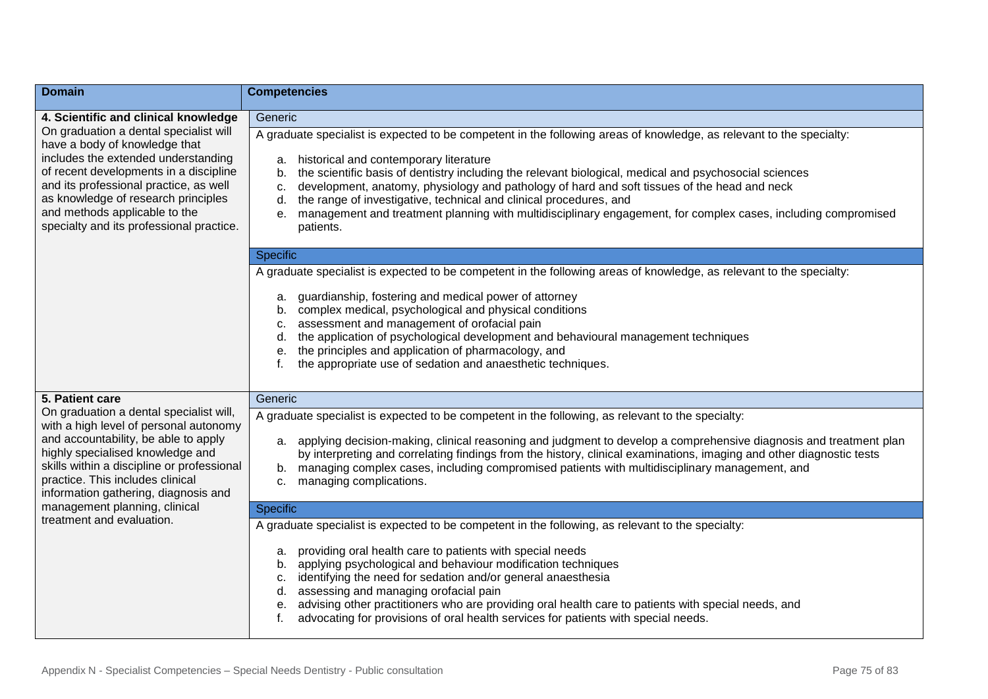| <b>Domain</b>                                                                                                                                                                                                                                                                                                                                         | <b>Competencies</b>                                                                                                                                                                                                                                                                                                                                                                                                                                                                                                                                                                                        |
|-------------------------------------------------------------------------------------------------------------------------------------------------------------------------------------------------------------------------------------------------------------------------------------------------------------------------------------------------------|------------------------------------------------------------------------------------------------------------------------------------------------------------------------------------------------------------------------------------------------------------------------------------------------------------------------------------------------------------------------------------------------------------------------------------------------------------------------------------------------------------------------------------------------------------------------------------------------------------|
| 4. Scientific and clinical knowledge                                                                                                                                                                                                                                                                                                                  | Generic                                                                                                                                                                                                                                                                                                                                                                                                                                                                                                                                                                                                    |
| On graduation a dental specialist will<br>have a body of knowledge that<br>includes the extended understanding<br>of recent developments in a discipline<br>and its professional practice, as well<br>as knowledge of research principles<br>and methods applicable to the<br>specialty and its professional practice.                                | A graduate specialist is expected to be competent in the following areas of knowledge, as relevant to the specialty:<br>historical and contemporary literature<br>a.<br>the scientific basis of dentistry including the relevant biological, medical and psychosocial sciences<br>b.<br>development, anatomy, physiology and pathology of hard and soft tissues of the head and neck<br>С.<br>the range of investigative, technical and clinical procedures, and<br>d.<br>management and treatment planning with multidisciplinary engagement, for complex cases, including compromised<br>е.<br>patients. |
|                                                                                                                                                                                                                                                                                                                                                       | <b>Specific</b>                                                                                                                                                                                                                                                                                                                                                                                                                                                                                                                                                                                            |
|                                                                                                                                                                                                                                                                                                                                                       | A graduate specialist is expected to be competent in the following areas of knowledge, as relevant to the specialty:<br>guardianship, fostering and medical power of attorney<br>a.<br>complex medical, psychological and physical conditions<br>b.<br>assessment and management of orofacial pain<br>С.<br>the application of psychological development and behavioural management techniques<br>d.<br>the principles and application of pharmacology, and<br>е.<br>the appropriate use of sedation and anaesthetic techniques.                                                                           |
| 5. Patient care                                                                                                                                                                                                                                                                                                                                       | Generic                                                                                                                                                                                                                                                                                                                                                                                                                                                                                                                                                                                                    |
| On graduation a dental specialist will,<br>with a high level of personal autonomy<br>and accountability, be able to apply<br>highly specialised knowledge and<br>skills within a discipline or professional<br>practice. This includes clinical<br>information gathering, diagnosis and<br>management planning, clinical<br>treatment and evaluation. | A graduate specialist is expected to be competent in the following, as relevant to the specialty:<br>a. applying decision-making, clinical reasoning and judgment to develop a comprehensive diagnosis and treatment plan<br>by interpreting and correlating findings from the history, clinical examinations, imaging and other diagnostic tests<br>managing complex cases, including compromised patients with multidisciplinary management, and<br>b.<br>managing complications.<br>C.                                                                                                                  |
|                                                                                                                                                                                                                                                                                                                                                       | <b>Specific</b>                                                                                                                                                                                                                                                                                                                                                                                                                                                                                                                                                                                            |
|                                                                                                                                                                                                                                                                                                                                                       | A graduate specialist is expected to be competent in the following, as relevant to the specialty:                                                                                                                                                                                                                                                                                                                                                                                                                                                                                                          |
|                                                                                                                                                                                                                                                                                                                                                       | providing oral health care to patients with special needs<br>a.<br>applying psychological and behaviour modification techniques<br>b.<br>identifying the need for sedation and/or general anaesthesia<br>c.<br>assessing and managing orofacial pain<br>d.<br>advising other practitioners who are providing oral health care to patients with special needs, and<br>е.<br>advocating for provisions of oral health services for patients with special needs.<br>f.                                                                                                                                        |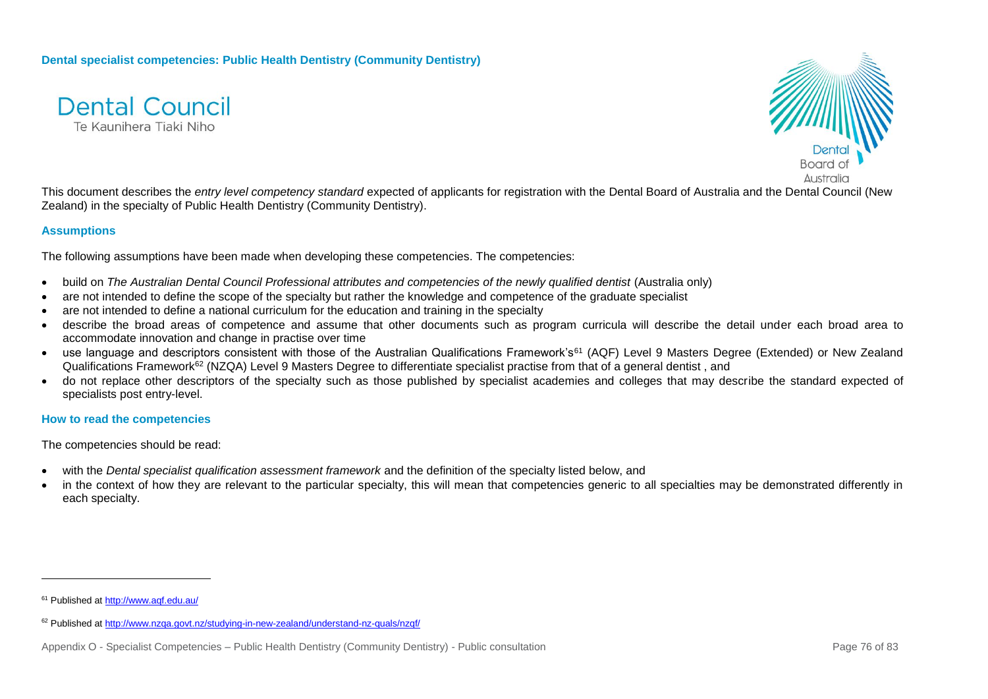



This document describes the *entry level competency standard* expected of applicants for registration with the Dental Board of Australia and the Dental Council (New Zealand) in the specialty of Public Health Dentistry (Community Dentistry).

# **Assumptions**

The following assumptions have been made when developing these competencies. The competencies:

- build on *The Australian Dental Council Professional attributes and competencies of the newly qualified dentist (Australia only)*
- are not intended to define the scope of the specialty but rather the knowledge and competence of the graduate specialist
- are not intended to define a national curriculum for the education and training in the specialty
- describe the broad areas of competence and assume that other documents such as program curricula will describe the detail under each broad area to accommodate innovation and change in practise over time
- use language and descriptors consistent with those of the Australian Qualifications Framework's<sup>61</sup> (AQF) Level 9 Masters Degree (Extended) or New Zealand Qualifications Framework<sup>62</sup> (NZQA) Level 9 Masters Degree to differentiate specialist practise from that of a general dentist, and
- do not replace other descriptors of the specialty such as those published by specialist academies and colleges that may describe the standard expected of specialists post entry-level.

#### **How to read the competencies**

The competencies should be read:

- with the *Dental specialist qualification assessment framework* and the definition of the specialty listed below, and
- in the context of how they are relevant to the particular specialty, this will mean that competencies generic to all specialties may be demonstrated differently in each specialty.

l

<sup>61</sup> Published a[t http://www.aqf.edu.au/](http://www.aqf.edu.au/)

<sup>62</sup> Published a[t http://www.nzqa.govt.nz/studying-in-new-zealand/understand-nz-quals/nzqf/](http://www.nzqa.govt.nz/studying-in-new-zealand/understand-nz-quals/nzqf/)

Appendix O - Specialist Competencies – Public Health Dentistry (Community Dentistry) - Public consultation Page 76 of 83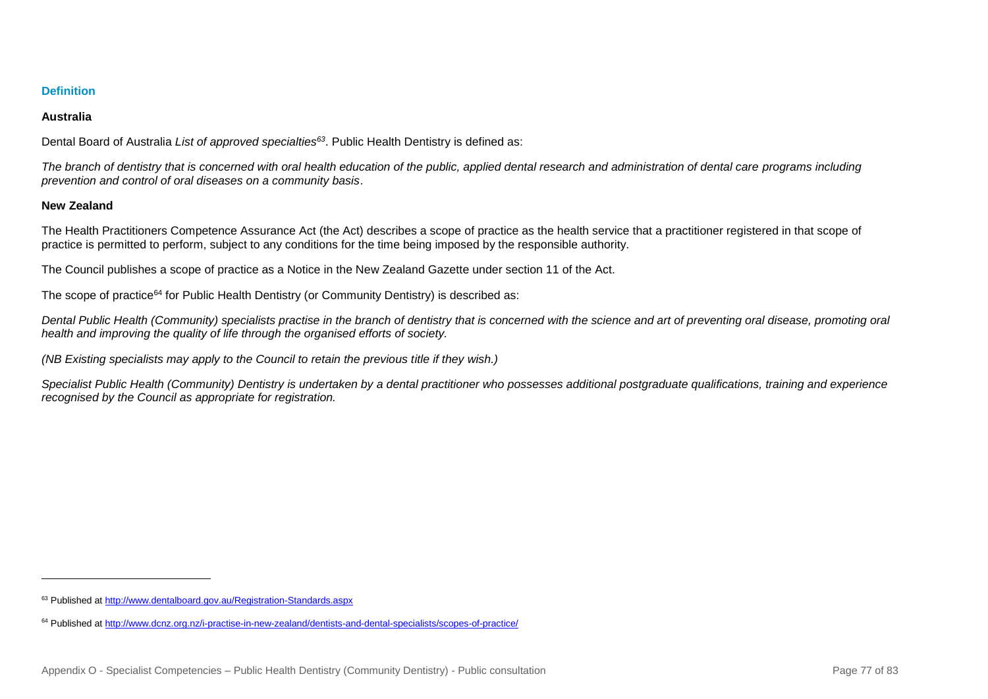# **Definition**

# **Australia**

Dental Board of Australia *List of approved specialties<sup>63</sup>*. Public Health Dentistry is defined as:

*The branch of dentistry that is concerned with oral health education of the public, applied dental research and administration of dental care programs including prevention and control of oral diseases on a community basis*.

# **New Zealand**

l

The Health Practitioners Competence Assurance Act (the Act) describes a scope of practice as the health service that a practitioner registered in that scope of practice is permitted to perform, subject to any conditions for the time being imposed by the responsible authority.

The Council publishes a scope of practice as a Notice in the New Zealand Gazette under section 11 of the Act.

The scope of practice<sup>64</sup> for Public Health Dentistry (or Community Dentistry) is described as:

*Dental Public Health (Community) specialists practise in the branch of dentistry that is concerned with the science and art of preventing oral disease, promoting oral health and improving the quality of life through the organised efforts of society.*

*(NB Existing specialists may apply to the Council to retain the previous title if they wish.)*

*Specialist Public Health (Community) Dentistry is undertaken by a dental practitioner who possesses additional postgraduate qualifications, training and experience recognised by the Council as appropriate for registration.*

<sup>63</sup> Published a[t http://www.dentalboard.gov.au/Registration-Standards.aspx](http://www.dentalboard.gov.au/Registration-Standards.aspx)

<sup>64</sup> Published a[t http://www.dcnz.org.nz/i-practise-in-new-zealand/dentists-and-dental-specialists/scopes-of-practice/](http://www.dcnz.org.nz/i-practise-in-new-zealand/dentists-and-dental-specialists/scopes-of-practice/)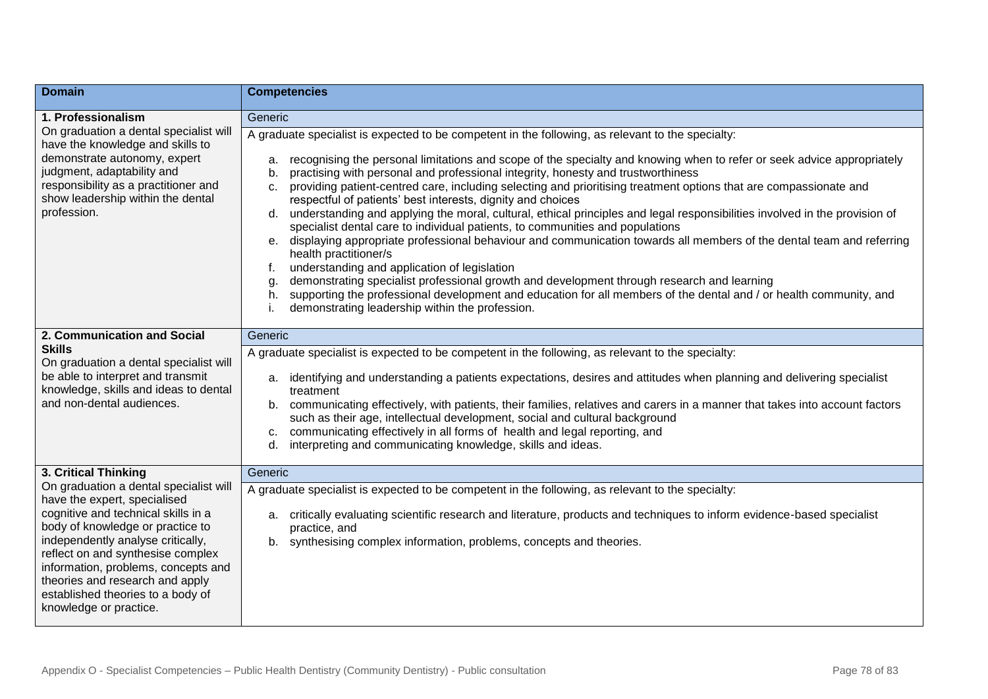| <b>Domain</b>                                                                                                                                                                                                                                                                                                                                                        | <b>Competencies</b>                                                                                                                                                                                                                                                                                                                                                                                                                                                                                                                                                                                                                                                                                                                                                                                                                                                                                                                                                                                                                                                                                                                                                                                                                  |
|----------------------------------------------------------------------------------------------------------------------------------------------------------------------------------------------------------------------------------------------------------------------------------------------------------------------------------------------------------------------|--------------------------------------------------------------------------------------------------------------------------------------------------------------------------------------------------------------------------------------------------------------------------------------------------------------------------------------------------------------------------------------------------------------------------------------------------------------------------------------------------------------------------------------------------------------------------------------------------------------------------------------------------------------------------------------------------------------------------------------------------------------------------------------------------------------------------------------------------------------------------------------------------------------------------------------------------------------------------------------------------------------------------------------------------------------------------------------------------------------------------------------------------------------------------------------------------------------------------------------|
| 1. Professionalism                                                                                                                                                                                                                                                                                                                                                   | Generic                                                                                                                                                                                                                                                                                                                                                                                                                                                                                                                                                                                                                                                                                                                                                                                                                                                                                                                                                                                                                                                                                                                                                                                                                              |
| On graduation a dental specialist will<br>have the knowledge and skills to<br>demonstrate autonomy, expert<br>judgment, adaptability and<br>responsibility as a practitioner and<br>show leadership within the dental<br>profession.                                                                                                                                 | A graduate specialist is expected to be competent in the following, as relevant to the specialty:<br>recognising the personal limitations and scope of the specialty and knowing when to refer or seek advice appropriately<br>a.<br>practising with personal and professional integrity, honesty and trustworthiness<br>b.<br>providing patient-centred care, including selecting and prioritising treatment options that are compassionate and<br>C.<br>respectful of patients' best interests, dignity and choices<br>understanding and applying the moral, cultural, ethical principles and legal responsibilities involved in the provision of<br>d.<br>specialist dental care to individual patients, to communities and populations<br>displaying appropriate professional behaviour and communication towards all members of the dental team and referring<br>e.<br>health practitioner/s<br>understanding and application of legislation<br>t.<br>demonstrating specialist professional growth and development through research and learning<br>supporting the professional development and education for all members of the dental and / or health community, and<br>h.<br>demonstrating leadership within the profession. |
| 2. Communication and Social                                                                                                                                                                                                                                                                                                                                          | Generic                                                                                                                                                                                                                                                                                                                                                                                                                                                                                                                                                                                                                                                                                                                                                                                                                                                                                                                                                                                                                                                                                                                                                                                                                              |
| <b>Skills</b><br>On graduation a dental specialist will<br>be able to interpret and transmit<br>knowledge, skills and ideas to dental<br>and non-dental audiences.                                                                                                                                                                                                   | A graduate specialist is expected to be competent in the following, as relevant to the specialty:<br>identifying and understanding a patients expectations, desires and attitudes when planning and delivering specialist<br>a.<br>treatment<br>communicating effectively, with patients, their families, relatives and carers in a manner that takes into account factors<br>b.<br>such as their age, intellectual development, social and cultural background<br>communicating effectively in all forms of health and legal reporting, and<br>c.<br>interpreting and communicating knowledge, skills and ideas.<br>d.                                                                                                                                                                                                                                                                                                                                                                                                                                                                                                                                                                                                              |
| 3. Critical Thinking                                                                                                                                                                                                                                                                                                                                                 | Generic                                                                                                                                                                                                                                                                                                                                                                                                                                                                                                                                                                                                                                                                                                                                                                                                                                                                                                                                                                                                                                                                                                                                                                                                                              |
| On graduation a dental specialist will<br>have the expert, specialised<br>cognitive and technical skills in a<br>body of knowledge or practice to<br>independently analyse critically,<br>reflect on and synthesise complex<br>information, problems, concepts and<br>theories and research and apply<br>established theories to a body of<br>knowledge or practice. | A graduate specialist is expected to be competent in the following, as relevant to the specialty:<br>critically evaluating scientific research and literature, products and techniques to inform evidence-based specialist<br>a.<br>practice, and<br>synthesising complex information, problems, concepts and theories.<br>b.                                                                                                                                                                                                                                                                                                                                                                                                                                                                                                                                                                                                                                                                                                                                                                                                                                                                                                        |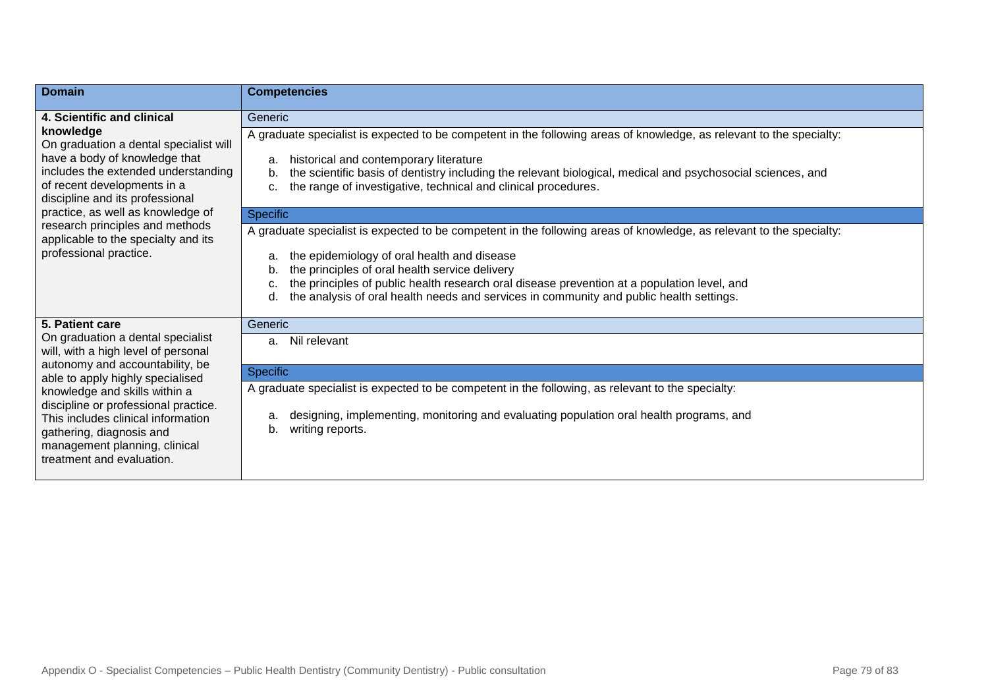| <b>Domain</b>                                                                                                                                                                                                                                                                                                                                                               | <b>Competencies</b>                                                                                                                                                                                                                                                                                                                                                                                                         |
|-----------------------------------------------------------------------------------------------------------------------------------------------------------------------------------------------------------------------------------------------------------------------------------------------------------------------------------------------------------------------------|-----------------------------------------------------------------------------------------------------------------------------------------------------------------------------------------------------------------------------------------------------------------------------------------------------------------------------------------------------------------------------------------------------------------------------|
| 4. Scientific and clinical<br>knowledge<br>On graduation a dental specialist will<br>have a body of knowledge that<br>includes the extended understanding<br>of recent developments in a<br>discipline and its professional<br>practice, as well as knowledge of<br>research principles and methods<br>applicable to the specialty and its<br>professional practice.        | Generic                                                                                                                                                                                                                                                                                                                                                                                                                     |
|                                                                                                                                                                                                                                                                                                                                                                             | A graduate specialist is expected to be competent in the following areas of knowledge, as relevant to the specialty:<br>historical and contemporary literature<br>a.<br>the scientific basis of dentistry including the relevant biological, medical and psychosocial sciences, and<br>b.<br>the range of investigative, technical and clinical procedures.<br>c.                                                           |
|                                                                                                                                                                                                                                                                                                                                                                             | <b>Specific</b>                                                                                                                                                                                                                                                                                                                                                                                                             |
|                                                                                                                                                                                                                                                                                                                                                                             | A graduate specialist is expected to be competent in the following areas of knowledge, as relevant to the specialty:<br>the epidemiology of oral health and disease<br>the principles of oral health service delivery<br>b.<br>the principles of public health research oral disease prevention at a population level, and<br>the analysis of oral health needs and services in community and public health settings.<br>d. |
| 5. Patient care<br>On graduation a dental specialist<br>will, with a high level of personal<br>autonomy and accountability, be<br>able to apply highly specialised<br>knowledge and skills within a<br>discipline or professional practice.<br>This includes clinical information<br>gathering, diagnosis and<br>management planning, clinical<br>treatment and evaluation. | Generic                                                                                                                                                                                                                                                                                                                                                                                                                     |
|                                                                                                                                                                                                                                                                                                                                                                             | Nil relevant<br>a.                                                                                                                                                                                                                                                                                                                                                                                                          |
|                                                                                                                                                                                                                                                                                                                                                                             | <b>Specific</b>                                                                                                                                                                                                                                                                                                                                                                                                             |
|                                                                                                                                                                                                                                                                                                                                                                             | A graduate specialist is expected to be competent in the following, as relevant to the specialty:<br>designing, implementing, monitoring and evaluating population oral health programs, and<br>а.<br>writing reports.<br>b.                                                                                                                                                                                                |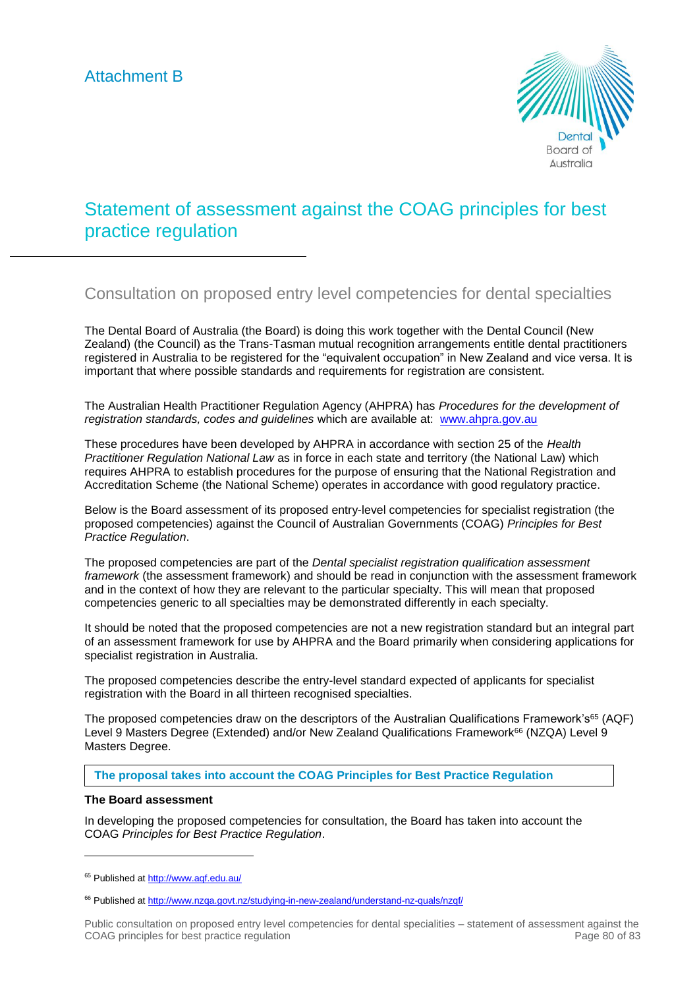

# Statement of assessment against the COAG principles for best practice regulation

# Consultation on proposed entry level competencies for dental specialties

The Dental Board of Australia (the Board) is doing this work together with the Dental Council (New Zealand) (the Council) as the Trans-Tasman mutual recognition arrangements entitle dental practitioners registered in Australia to be registered for the "equivalent occupation" in New Zealand and vice versa. It is important that where possible standards and requirements for registration are consistent.

The Australian Health Practitioner Regulation Agency (AHPRA) has *Procedures for the development of registration standards, codes and guidelines* which are available at: [www.ahpra.gov.au](http://www.ahpra.gov.au/)

These procedures have been developed by AHPRA in accordance with section 25 of the *Health Practitioner Regulation National Law* as in force in each state and territory (the National Law) which requires AHPRA to establish procedures for the purpose of ensuring that the National Registration and Accreditation Scheme (the National Scheme) operates in accordance with good regulatory practice.

Below is the Board assessment of its proposed entry-level competencies for specialist registration (the proposed competencies) against the Council of Australian Governments (COAG) *Principles for Best Practice Regulation*.

The proposed competencies are part of the *Dental specialist registration qualification assessment framework* (the assessment framework) and should be read in conjunction with the assessment framework and in the context of how they are relevant to the particular specialty. This will mean that proposed competencies generic to all specialties may be demonstrated differently in each specialty.

It should be noted that the proposed competencies are not a new registration standard but an integral part of an assessment framework for use by AHPRA and the Board primarily when considering applications for specialist registration in Australia.

The proposed competencies describe the entry-level standard expected of applicants for specialist registration with the Board in all thirteen recognised specialties.

The proposed competencies draw on the descriptors of the Australian Qualifications Framework's<sup>65</sup> (AQF) Level 9 Masters Degree (Extended) and/or New Zealand Qualifications Framework<sup>66</sup> (NZQA) Level 9 Masters Degree.

# **The proposal takes into account the COAG Principles for Best Practice Regulation**

# **The Board assessment**

-

In developing the proposed competencies for consultation, the Board has taken into account the COAG *Principles for Best Practice Regulation*.

<sup>&</sup>lt;sup>65</sup> Published at<http://www.aqf.edu.au/>

<sup>66</sup> Published at<http://www.nzqa.govt.nz/studying-in-new-zealand/understand-nz-quals/nzqf/>

Public consultation on proposed entry level competencies for dental specialities – statement of assessment against the COAG principles for best practice regulation **Page 80** of 83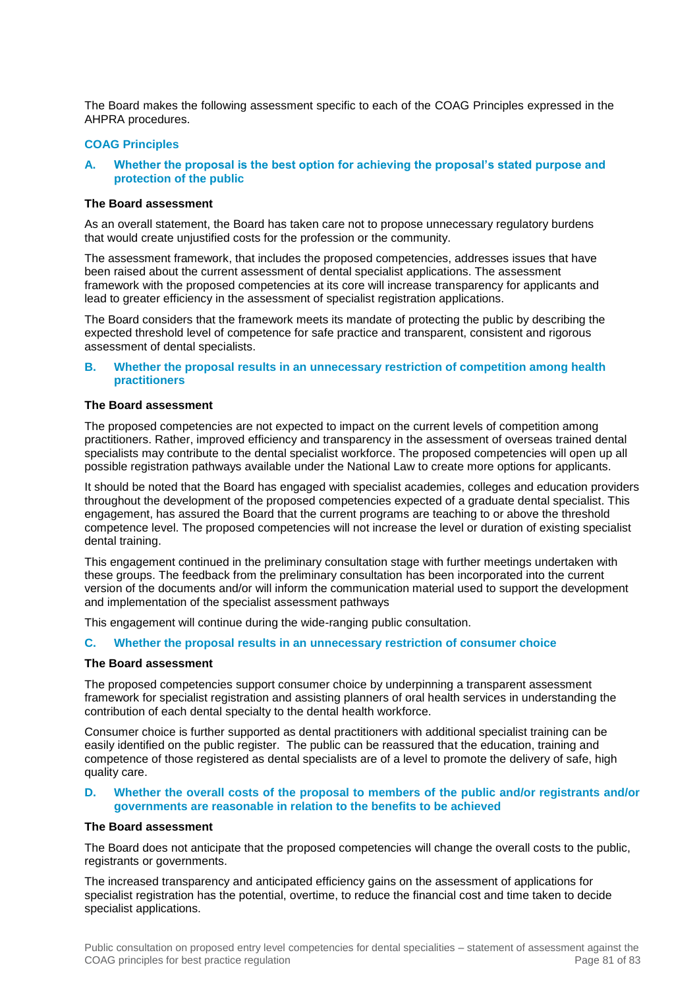The Board makes the following assessment specific to each of the COAG Principles expressed in the AHPRA procedures.

#### **COAG Principles**

#### **A. Whether the proposal is the best option for achieving the proposal's stated purpose and protection of the public**

#### **The Board assessment**

As an overall statement, the Board has taken care not to propose unnecessary regulatory burdens that would create unjustified costs for the profession or the community.

The assessment framework, that includes the proposed competencies, addresses issues that have been raised about the current assessment of dental specialist applications. The assessment framework with the proposed competencies at its core will increase transparency for applicants and lead to greater efficiency in the assessment of specialist registration applications.

The Board considers that the framework meets its mandate of protecting the public by describing the expected threshold level of competence for safe practice and transparent, consistent and rigorous assessment of dental specialists.

# **B. Whether the proposal results in an unnecessary restriction of competition among health practitioners**

# **The Board assessment**

The proposed competencies are not expected to impact on the current levels of competition among practitioners. Rather, improved efficiency and transparency in the assessment of overseas trained dental specialists may contribute to the dental specialist workforce. The proposed competencies will open up all possible registration pathways available under the National Law to create more options for applicants.

It should be noted that the Board has engaged with specialist academies, colleges and education providers throughout the development of the proposed competencies expected of a graduate dental specialist. This engagement, has assured the Board that the current programs are teaching to or above the threshold competence level. The proposed competencies will not increase the level or duration of existing specialist dental training.

This engagement continued in the preliminary consultation stage with further meetings undertaken with these groups. The feedback from the preliminary consultation has been incorporated into the current version of the documents and/or will inform the communication material used to support the development and implementation of the specialist assessment pathways

This engagement will continue during the wide-ranging public consultation.

#### **C. Whether the proposal results in an unnecessary restriction of consumer choice**

#### **The Board assessment**

The proposed competencies support consumer choice by underpinning a transparent assessment framework for specialist registration and assisting planners of oral health services in understanding the contribution of each dental specialty to the dental health workforce.

Consumer choice is further supported as dental practitioners with additional specialist training can be easily identified on the public register. The public can be reassured that the education, training and competence of those registered as dental specialists are of a level to promote the delivery of safe, high quality care.

#### **D. Whether the overall costs of the proposal to members of the public and/or registrants and/or governments are reasonable in relation to the benefits to be achieved**

# **The Board assessment**

The Board does not anticipate that the proposed competencies will change the overall costs to the public, registrants or governments.

The increased transparency and anticipated efficiency gains on the assessment of applications for specialist registration has the potential, overtime, to reduce the financial cost and time taken to decide specialist applications.